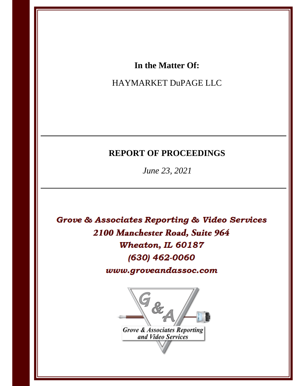# In the Matter Of:

# HAYMARKET DuPAGE LLC

# **REPORT OF PROCEEDINGS**

June 23, 2021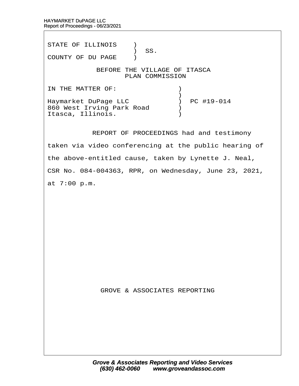STATE OF ILLINOIS )  $\prime$  SS. COUNTY OF DU PAGE ) BEFORE THE VILLAGE OF ITASCA PLAN COMMISSION IN THE MATTER OF:  $\qquad \qquad$  )  $\hspace{0.5cm}$   $\hspace{0.5cm}$   $\hspace{0.5cm}$   $\hspace{0.5cm}$   $\hspace{0.5cm}$   $\hspace{0.5cm}$   $\hspace{0.5cm}$   $\hspace{0.5cm}$   $\hspace{0.5cm}$   $\hspace{0.5cm}$   $\hspace{0.5cm}$   $\hspace{0.5cm}$   $\hspace{0.5cm}$   $\hspace{0.5cm}$   $\hspace{0.5cm}$   $\hspace{0.5cm}$   $\hspace{0.5cm}$   $\hspace{0.5cm}$   $\hspace{$ Haymarket DuPage LLC  $\qquad \qquad$  ) PC #19-014 860 West Irving Park Road  $\qquad$ Itasca, Illinois. (a) REPORT OF PROCEEDINGS had and testimony taken via video conferencing at the public hearing of the above-entitled cause, taken by Lynette J. Neal, CSR No. 084-004363, RPR, on Wednesday, June 23, 2021, at 7:00 p.m. GROVE & ASSOCIATES REPORTING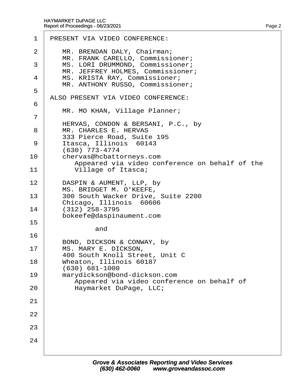| 1                   | PRESENT VIA VIDEO CONFERENCE:                                                                    |
|---------------------|--------------------------------------------------------------------------------------------------|
| 2                   | MR. BRENDAN DALY, Chairman;<br>MR. FRANK CARELLO, Commissioner;                                  |
| 3                   | MS. LORI DRUMMOND, Commissioner;<br>MR. JEFFREY HOLMES, Commissioner;                            |
| 4                   | MS. KRISTA RAY, Commissioner;<br>MR. ANTHONY RUSSO, Commissioner;                                |
| 5                   | ALSO PRESENT VIA VIDEO CONFERENCE:                                                               |
| 6<br>$\overline{7}$ | MR. MO KHAN, Village Planner;                                                                    |
| 8                   | HERVAS, CONDON & BERSANI, P.C., by<br><b>MR. CHARLES E. HERVAS</b><br>333 Pierce Road, Suite 195 |
| 9                   | Itasca, Illinois 60143<br>(630) 773-4774                                                         |
| 10                  | chervas@hcbattorneys.com<br>Appeared via video conference on behalf of the                       |
| 11                  | Village of Itasca;                                                                               |
| 12                  | DASPIN & AUMENT, LLP, by<br>MS. BRIDGET M. O'KEEFE,                                              |
| 13                  | 300 South Wacker Drive, Suite 2200<br>Chicago, Illinois 60606                                    |
| 14<br>15            | $(312)$ 258-3795<br>bokeefe@daspinaument.com                                                     |
| 16                  | and                                                                                              |
| 17                  | BOND, DICKSON & CONWAY, by<br>MS. MARY E. DICKSON,                                               |
| 18                  | 400 South Knoll Street, Unit C<br>Wheaton, Illinois 60187                                        |
| 19                  | (630) 681-1000<br>marydickson@bond-dickson.com                                                   |
| 20                  | Appeared via video conference on behalf of<br>Haymarket DuPage, LLC;                             |
| 21                  |                                                                                                  |
| 22                  |                                                                                                  |
| 23                  |                                                                                                  |
| 24                  |                                                                                                  |
|                     |                                                                                                  |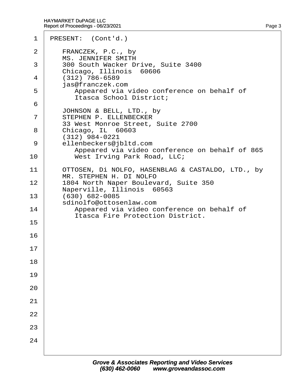| 1              | PRESENT: (Cont'd.)                                                                      |
|----------------|-----------------------------------------------------------------------------------------|
| 2              | FRANCZEK, P.C., by<br><b>MS. JENNIFER SMITH</b>                                         |
| 3              | 300 South Wacker Drive, Suite 3400<br>Chicago, Illinois 60606                           |
| 4              | $(312)$ 786-6589<br>jas@franczek.com                                                    |
| 5              | Appeared via video conference on behalf of<br>Itasca School District;                   |
| 6              |                                                                                         |
| $\overline{7}$ | JOHNSON & BELL, LTD., by<br>STEPHEN P. ELLENBECKER<br>33 West Monroe Street, Suite 2700 |
| 8              | Chicago, IL 60603<br>(312) 984-0221                                                     |
| 9              | ellenbeckers@jbltd.com<br>Appeared via video conference on behalf of 865                |
| 10             | West Irving Park Road, LLC;                                                             |
| 11             | OTTOSEN, DI NOLFO, HASENBLAG & CASTALDO, LTD., by<br>MR. STEPHEN H. DI NOLFO            |
| 12             | 1804 North Naper Boulevard, Suite 350<br>Naperville, Illinois 60563                     |
| 13             | (630) 682-0085<br>sdinolfo@ottosenlaw.com                                               |
| 14             | Appeared via video conference on behalf of<br><b>Itasca Fire Protection District.</b>   |
| 15             |                                                                                         |
| 16             |                                                                                         |
| 17             |                                                                                         |
| 18             |                                                                                         |
| 19             |                                                                                         |
| 20             |                                                                                         |
| 21             |                                                                                         |
| 22             |                                                                                         |
| 23             |                                                                                         |
| 24             |                                                                                         |
|                |                                                                                         |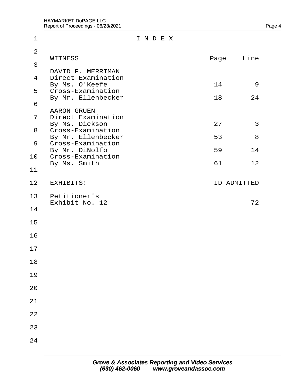| 1                                                  | INDEX                                                                                                                                                                     |                      |                    |
|----------------------------------------------------|---------------------------------------------------------------------------------------------------------------------------------------------------------------------------|----------------------|--------------------|
| $\overline{2}$<br>3                                | <b>WITNESS</b>                                                                                                                                                            | Page                 | Line               |
| 4<br>6                                             | DAVID F. MERRIMAN<br><b>Direct Examination</b><br>By Ms. O'Keefe<br>5 Cross-Examination<br>By Mr. Ellenbecker<br><b>AARON GRUEN</b>                                       | 14<br>18             | 9<br>24            |
| $\overline{7}$<br>11                               | <b>Direct Examination</b><br>By Ms. Dickson<br>8 Cross-Examination<br>By Mr. Ellenbecker<br>9 Cross-Examination<br>By Mr. DiNolfo<br>10 Cross-Examination<br>By Ms. Smith | 27<br>53<br>59<br>61 | 3<br>8<br>14<br>12 |
| 12                                                 | <b>EXHIBITS:</b>                                                                                                                                                          |                      | <b>ID ADMITTED</b> |
| 13<br>14<br>15<br>16<br>17<br>18<br>19<br>20<br>21 | Petitioner's<br>Exhibit No. 12                                                                                                                                            |                      | 72                 |
| 22<br>23<br>24                                     |                                                                                                                                                                           |                      |                    |
|                                                    |                                                                                                                                                                           |                      |                    |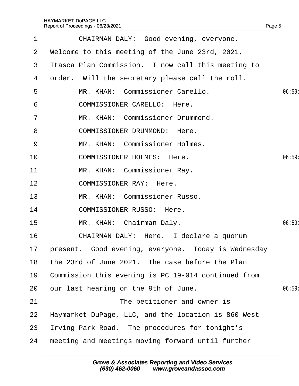|             | Report of Proceedings - 06/23/2021                  | Page 5 |
|-------------|-----------------------------------------------------|--------|
| $\mathbf 1$ | CHAIRMAN DALY: Good evening, everyone.              |        |
| 2           | Welcome to this meeting of the June 23rd, 2021,     |        |
| 3           | Itasca Plan Commission. I now call this meeting to  |        |
| 4           | order. Will the secretary please call the roll.     |        |
| 5           | MR. KHAN: Commissioner Carello.                     | 06:59: |
| 6           | <b>COMMISSIONER CARELLO: Here.</b>                  |        |
| 7           | MR. KHAN: Commissioner Drummond.                    |        |
| 8           | <b>COMMISSIONER DRUMMOND: Here.</b>                 |        |
| 9           | MR. KHAN: Commissioner Holmes.                      |        |
| 10          | <b>COMMISSIONER HOLMES: Here.</b>                   | 06:59  |
| 11          | MR. KHAN: Commissioner Ray.                         |        |
| 12          | <b>COMMISSIONER RAY: Here.</b>                      |        |
| 13          | MR. KHAN: Commissioner Russo.                       |        |
| 14          | <b>COMMISSIONER RUSSO: Here.</b>                    |        |
| 15          | MR. KHAN: Chairman Daly.                            | 06:59: |
| 16          | CHAIRMAN DALY: Here. I declare a quorum             |        |
| 17          | present. Good evening, everyone. Today is Wednesday |        |
| 18          | the 23rd of June 2021. The case before the Plan     |        |
| 19          | Commission this evening is PC 19-014 continued from |        |
| 20          | our last hearing on the 9th of June.                | 06:59  |
| 21          | The petitioner and owner is                         |        |
| 22          | Haymarket DuPage, LLC, and the location is 860 West |        |
| 23          | Irving Park Road. The procedures for tonight's      |        |
| 24          | meeting and meetings moving forward until further   |        |
|             |                                                     |        |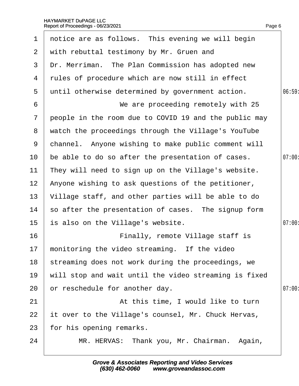#### HAYMARKET DuPAGE LLC Report of Proceedings - 06/23/2021 e de la construction de la construction de la construction de la construction de la construction de la constru

1 notice are as follows. This evening we will begin

2 with rebuttal testimony by Mr. Gruen and

| 3              | Dr. Merriman. The Plan Commission has adopted new     |       |
|----------------|-------------------------------------------------------|-------|
| 4              | rules of procedure which are now still in effect      |       |
| 5              | until otherwise determined by government action.      | 06:59 |
| 6              | We are proceeding remotely with 25                    |       |
| $\overline{7}$ | people in the room due to COVID 19 and the public may |       |
| 8              | watch the proceedings through the Village's YouTube   |       |
| 9              | channel. Anyone wishing to make public comment will   |       |
| 10             | be able to do so after the presentation of cases.     | 07:00 |
| 11             | They will need to sign up on the Village's website.   |       |
| 12             | Anyone wishing to ask questions of the petitioner,    |       |
| 13             | Village staff, and other parties will be able to do   |       |
| 14             | so after the presentation of cases. The signup form   |       |
| 15             | is also on the Village's website.                     | 07:00 |
| 16             | Finally, remote Village staff is                      |       |
| 17             | monitoring the video streaming. If the video          |       |
| 18             | streaming does not work during the proceedings, we    |       |
| 19             | will stop and wait until the video streaming is fixed |       |
| 20             | or reschedule for another day.                        | 07:00 |
| 21             | At this time, I would like to turn                    |       |
| 22             | it over to the Village's counsel, Mr. Chuck Hervas,   |       |
| 23             | for his opening remarks.                              |       |
| 24             | MR. HERVAS: Thank you, Mr. Chairman. Again,           |       |
|                |                                                       |       |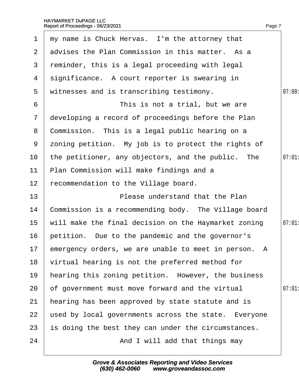| $\mathbf 1$     | my name is Chuck Hervas. I'm the attorney that          |        |
|-----------------|---------------------------------------------------------|--------|
|                 | 2 advises the Plan Commission in this matter. As a      |        |
| 3               | reminder, this is a legal proceeding with legal         |        |
| 4               | significance. A court reporter is swearing in           |        |
| 5               | witnesses and is transcribing testimony.                | 07:00: |
| 6               | This is not a trial, but we are                         |        |
| $7\phantom{.}$  | developing a record of proceedings before the Plan      |        |
| 8               | Commission. This is a legal public hearing on a         |        |
| 9               | zoning petition. My job is to protect the rights of     |        |
| 10              | the petitioner, any objectors, and the public. The      | 07:01  |
| 11              | Plan Commission will make findings and a                |        |
| 12 <sub>2</sub> | recommendation to the Village board.                    |        |
| 13 <sub>2</sub> | Please understand that the Plan                         |        |
| 14              | Commission is a recommending body. The Village board    |        |
| 15              | will make the final decision on the Haymarket zoning    | 07:01: |
| 16              | petition. Due to the pandemic and the governor's        |        |
|                 | 17 emergency orders, we are unable to meet in person. A |        |
| 18              | virtual hearing is not the preferred method for         |        |
| 19              | hearing this zoning petition. However, the business     |        |
| 20              | of government must move forward and the virtual         | 07:01  |
| 21              | hearing has been approved by state statute and is       |        |
| 22              | used by local governments across the state. Everyone    |        |
| 23              | is doing the best they can under the circumstances.     |        |
| 24              | And I will add that things may                          |        |
|                 |                                                         |        |

Page 7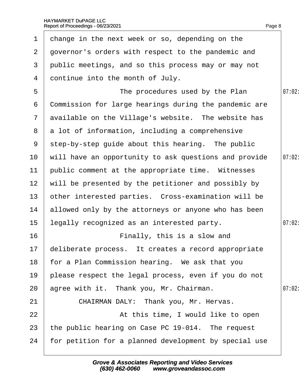| $\mathbf 1$     | change in the next week or so, depending on the        |        |
|-----------------|--------------------------------------------------------|--------|
| $\overline{2}$  | governor's orders with respect to the pandemic and     |        |
| 3               | public meetings, and so this process may or may not    |        |
| 4               | dontinue into the month of July.                       |        |
| 5               | The procedures used by the Plan                        | 07:02: |
| 6               | Commission for large hearings during the pandemic are  |        |
|                 | 7 available on the Village's website. The website has  |        |
|                 | 8 a lot of information, including a comprehensive      |        |
| 9               | step-by-step guide about this hearing. The public      |        |
| 10 <sup>°</sup> | will have an opportunity to ask questions and provide  | 07:02: |
| 11              | public comment at the appropriate time. Witnesses      |        |
| 12 <sub>2</sub> | will be presented by the petitioner and possibly by    |        |
| 13 <sup>°</sup> | other interested parties. Cross-examination will be    |        |
| 14              | allowed only by the attorneys or anyone who has been   |        |
| 15              | legally recognized as an interested party.             | 07:02: |
| 16              | Finally, this is a slow and                            |        |
|                 | 17 deliberate process. It creates a record appropriate |        |
| 18              | for a Plan Commission hearing. We ask that you         |        |
| 19              | please respect the legal process, even if you do not   |        |
| 20              | agree with it. Thank you, Mr. Chairman.                | 07:02  |
| 21              | CHAIRMAN DALY: Thank you, Mr. Hervas.                  |        |
| 22              | At this time, I would like to open                     |        |
| 23              | the public hearing on Case PC 19-014. The request      |        |
| 24              | for petition for a planned development by special use  |        |
|                 |                                                        |        |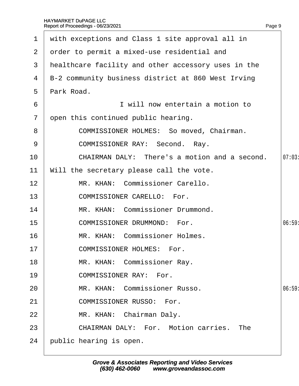|                | 1 with exceptions and Class 1 site approval all in  |       |
|----------------|-----------------------------------------------------|-------|
| 2 <sup>1</sup> | order to permit a mixed-use residential and         |       |
| 3              | healthcare facility and other accessory uses in the |       |
| 4              | B-2 community business district at 860 West Irving  |       |
| $5^{\circ}$    | Park Road.                                          |       |
| 6              | I will now entertain a motion to                    |       |
| $\overline{7}$ | open this continued public hearing.                 |       |
| 8              | <b>COMMISSIONER HOLMES: So moved, Chairman.</b>     |       |
| 9              | <b>COMMISSIONER RAY: Second. Ray.</b>               |       |
| 10             | CHAIRMAN DALY: There's a motion and a second.       | 07:03 |
| 11             | Will the secretary please call the vote.            |       |
| 12             | MR. KHAN: Commissioner Carello.                     |       |
| 13             | <b>COMMISSIONER CARELLO: For.</b>                   |       |
| 14             | MR. KHAN: Commissioner Drummond.                    |       |
| 15             | <b>COMMISSIONER DRUMMOND: For.</b>                  | 06:59 |
| 16             | MR. KHAN: Commissioner Holmes.                      |       |
| 17             | <b>COMMISSIONER HOLMES: For.</b>                    |       |
| 18             | MR. KHAN: Commissioner Ray.                         |       |
| 19             | <b>COMMISSIONER RAY: For.</b>                       |       |
| 20             | MR. KHAN: Commissioner Russo.                       | 06:59 |
| 21             | <b>COMMISSIONER RUSSO: For.</b>                     |       |
| 22             | MR. KHAN: Chairman Daly.                            |       |
| 23             | <b>CHAIRMAN DALY: For. Motion carries. The</b>      |       |
| 24             | public hearing is open.                             |       |

Page 9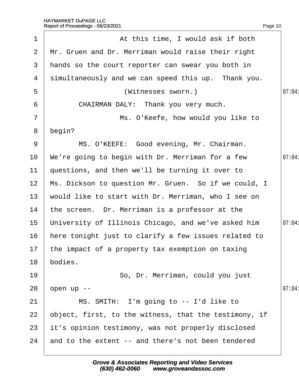| 1               | At this time, I would ask if both                     |        |
|-----------------|-------------------------------------------------------|--------|
| 2               | Mr. Gruen and Dr. Merriman would raise their right    |        |
| 3               | hands so the court reporter can swear you both in     |        |
| 4               | simultaneously and we can speed this up. Thank you.   |        |
| 5               | (Witnesses sworn.)                                    | 07:04: |
| 6               | CHAIRMAN DALY: Thank you very much.                   |        |
| $\overline{7}$  | Ms. O'Keefe, how would you like to                    |        |
| 8               | begin?                                                |        |
| 9               | MS. O'KEEFE: Good evening, Mr. Chairman.              |        |
| 10              | We're going to begin with Dr. Merriman for a few      | 07:04: |
| 11              | questions, and then we'll be turning it over to       |        |
| 12 <sub>2</sub> | Ms. Dickson to question Mr. Gruen. So if we could, I  |        |
| 13              | would like to start with Dr. Merriman, who I see on   |        |
| 14              | the screen. Dr. Merriman is a professor at the        |        |
| 15              | University of Illinois Chicago, and we've asked him   | 07:04: |
| 16              | here tonight just to clarify a few issues related to  |        |
|                 | 17 the impact of a property tax exemption on taxing   |        |
| 18              | bodies.                                               |        |
| 19              | So, Dr. Merriman, could you just                      |        |
| 20              | open up --                                            | 07:04  |
| 21              | MS. SMITH: I'm going to -- I'd like to                |        |
| 22              | object, first, to the witness, that the testimony, if |        |
| 23              | it's opinion testimony, was not properly disclosed    |        |
| 24              | and to the extent -- and there's not been tendered    |        |
|                 |                                                       |        |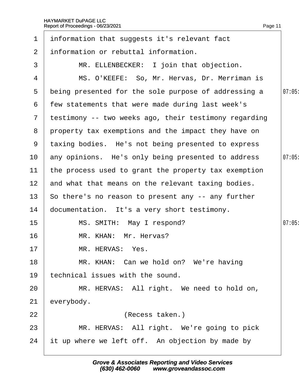| $\mathbf 1$     | information that suggests it's relevant fact            |       |
|-----------------|---------------------------------------------------------|-------|
| $\overline{2}$  | information or rebuttal information.                    |       |
| 3               | MR. ELLENBECKER: I join that objection.                 |       |
| 4               | MS. O'KEEFE: So, Mr. Hervas, Dr. Merriman is            |       |
| 5               | being presented for the sole purpose of addressing a    | 07:05 |
| 6               | few statements that were made during last week's        |       |
|                 | 7 testimony -- two weeks ago, their testimony regarding |       |
| 8               | property tax exemptions and the impact they have on     |       |
| 9               | taxing bodies. He's not being presented to express      |       |
| 10 <sup>°</sup> | any opinions. He's only being presented to address      | 07:05 |
| 11              | the process used to grant the property tax exemption    |       |
| 12 <sub>2</sub> | and what that means on the relevant taxing bodies.      |       |
| 13 <sup>2</sup> | So there's no reason to present any -- any further      |       |
| 14              | documentation. It's a very short testimony.             |       |
| $15\,$          | MS. SMITH: May I respond?                               | 07:05 |
| 16              | MR. KHAN: Mr. Hervas?                                   |       |
| 17              | MR. HERVAS: Yes.                                        |       |
| 18              | MR. KHAN: Can we hold on? We're having                  |       |
| 19              | echnical issues with the sound.                         |       |
| 20              | MR. HERVAS: All right. We need to hold on,              |       |
| 21              | everybody.                                              |       |
| 22              | (Recess taken.)                                         |       |
| 23              | MR. HERVAS: All right. We're going to pick              |       |
| 24              | it up where we left off. An objection by made by        |       |
|                 |                                                         |       |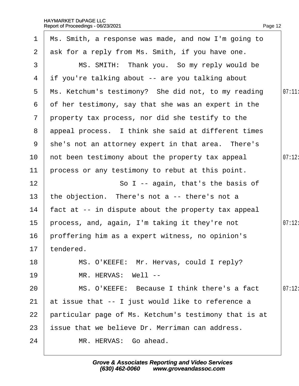| $\mathbf 1$     | Ms. Smith, a response was made, and now I'm going to  |        |
|-----------------|-------------------------------------------------------|--------|
| 2 <sup>1</sup>  | ask for a reply from Ms. Smith, if you have one.      |        |
| 3               | MS. SMITH: Thank you. So my reply would be            |        |
| 4               | if you're talking about -- are you talking about      |        |
| 5               | Ms. Ketchum's testimony? She did not, to my reading   | 07:11: |
| 6               | of her testimony, say that she was an expert in the   |        |
| $\overline{7}$  | property tax process, nor did she testify to the      |        |
| 8               | appeal process. I think she said at different times   |        |
| 9               | she's not an attorney expert in that area. There's    |        |
| 10              | not been testimony about the property tax appeal      | 07:12: |
| 11              | process or any testimony to rebut at this point.      |        |
| 12              | So I -- again, that's the basis of                    |        |
| 13              | the objection. There's not a -- there's not a         |        |
| 14              | fact at -- in dispute about the property tax appeal   |        |
| 15 <sub>1</sub> | process, and, again, I'm taking it they're not        | 07:12: |
| 16              | proffering him as a expert witness, no opinion's      |        |
|                 | 17 tendered                                           |        |
| 18              | MS. O'KEEFE: Mr. Hervas, could I reply?               |        |
| 19              | MR. HERVAS: Well --                                   |        |
| 20              | MS. O'KEEFE: Because I think there's a fact           | 07:12  |
| 21              | at issue that -- I just would like to reference a     |        |
| 22              | particular page of Ms. Ketchum's testimony that is at |        |
| 23              | issue that we believe Dr. Merriman can address.       |        |
| 24              | MR. HERVAS: Go ahead.                                 |        |
|                 |                                                       |        |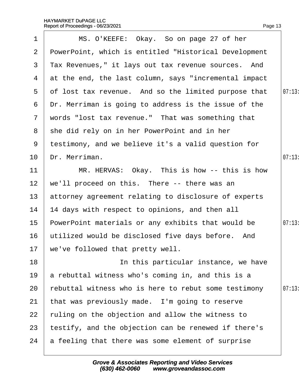| $\mathbf 1$     | MS. O'KEEFE: Okay. So on page 27 of her                  |        |
|-----------------|----------------------------------------------------------|--------|
| $\overline{2}$  | PowerPoint, which is entitled "Historical Development    |        |
| 3               | Tax Revenues," it lays out tax revenue sources. And      |        |
|                 | 4 at the end, the last column, says "incremental impact" |        |
| 5               | of lost tax revenue. And so the limited purpose that     | 07:13  |
| 6               | Dr. Merriman is going to address is the issue of the     |        |
|                 | 7 words "lost tax revenue." That was something that      |        |
|                 | 8 she did rely on in her PowerPoint and in her           |        |
| 9               | testimony, and we believe it's a valid question for      |        |
| 10 <sup>°</sup> | Dr. Merriman.                                            | 07:13  |
| 11              | MR. HERVAS: Okay. This is how -- this is how             |        |
| 12              | we'll proceed on this. There -- there was an             |        |
| 13              | attorney agreement relating to disclosure of experts     |        |
| 14              | 14 days with respect to opinions, and then all           |        |
| 15 <sub>2</sub> | PowerPoint materials or any exhibits that would be       | 07:13: |
| 16              | utilized would be disclosed five days before. And        |        |
|                 | 17 we've followed that pretty well.                      |        |
| 18              | In this particular instance, we have                     |        |
| 19              | a rebuttal witness who's coming in, and this is a        |        |
| 20              | rebuttal witness who is here to rebut some testimony     | 07:13  |
| 21              | that was previously made. I'm going to reserve           |        |
| 22              | fuling on the objection and allow the witness to         |        |
| 23              | testify, and the objection can be renewed if there's     |        |
| 24              | a feeling that there was some element of surprise        |        |
|                 |                                                          |        |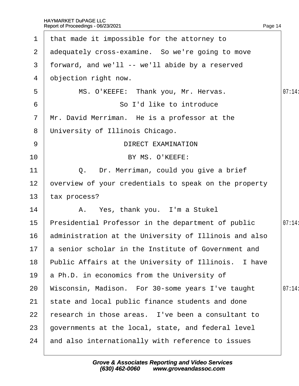| 1               | that made it impossible for the attorney to            |       |
|-----------------|--------------------------------------------------------|-------|
|                 | 2 adequately cross-examine. So we're going to move     |       |
| 3               | forward, and we'll -- we'll abide by a reserved        |       |
| 4               | objection right now.                                   |       |
| 5               | MS. O'KEEFE: Thank you, Mr. Hervas.                    | 07:14 |
| 6               | So I'd like to introduce                               |       |
| $\overline{7}$  | Mr. David Merriman. He is a professor at the           |       |
| 8               | University of Illinois Chicago.                        |       |
| 9               | <b>DIRECT EXAMINATION</b>                              |       |
| 10 <sup>°</sup> | BY MS. O'KEEFE:                                        |       |
| 11              | Q. Dr. Merriman, could you give a brief                |       |
| 12              | overview of your credentials to speak on the property  |       |
| 13              | tax process?                                           |       |
| 14              | A. Yes, thank you. I'm a Stukel                        |       |
| 15              | Presidential Professor in the department of public     | 07:14 |
| 16              | administration at the University of Illinois and also  |       |
|                 | 17 a senior scholar in the Institute of Government and |       |
| 18              | Public Affairs at the University of Illinois. I have   |       |
| 19              | a Ph.D. in economics from the University of            |       |
| 20              | Wisconsin, Madison. For 30-some years I've taught      | 07:14 |
| 21              | state and local public finance students and done       |       |
| 22              | research in those areas. I've been a consultant to     |       |
| 23              | governments at the local, state, and federal level     |       |
| 24              | and also internationally with reference to issues      |       |
|                 |                                                        |       |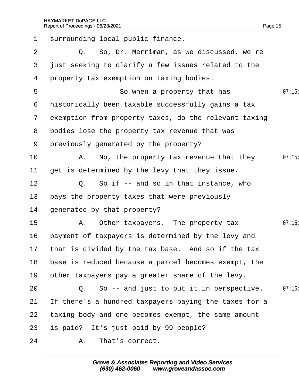| $\mathbf 1$     | surrounding local public finance.                       |       |
|-----------------|---------------------------------------------------------|-------|
| 2               | Q. So, Dr. Merriman, as we discussed, we're             |       |
| 3               | just seeking to clarify a few issues related to the     |       |
| 4               | property tax exemption on taxing bodies.                |       |
| 5               | So when a property that has                             | 07:15 |
| 6               | historically been taxable successfully gains a tax      |       |
|                 | 7 exemption from property taxes, do the relevant taxing |       |
| 8               | bodies lose the property tax revenue that was           |       |
|                 | 9 previously generated by the property?                 |       |
| 10              | A. No, the property tax revenue that they               | 07:15 |
| 11              | get is determined by the levy that they issue.          |       |
| 12 <sub>2</sub> | Q. So if -- and so in that instance, who                |       |
| 13              | pays the property taxes that were previously            |       |
| 14              | generated by that property?                             |       |
| 15              | A. Other taxpayers. The property tax                    | 07:15 |
| 16              | payment of taxpayers is determined by the levy and      |       |
|                 | 17 that is divided by the tax base. And so if the tax   |       |
| 18              | base is reduced because a parcel becomes exempt, the    |       |
| 19              | other taxpayers pay a greater share of the levy.        |       |
| 20              | Q. So -- and just to put it in perspective.             | 07:16 |
| 21              | If there's a hundred taxpayers paying the taxes for a   |       |
| 22              | taxing body and one becomes exempt, the same amount     |       |
| 23              | is paid? It's just paid by 99 people?                   |       |
| 24              | A. That's correct.                                      |       |
|                 |                                                         |       |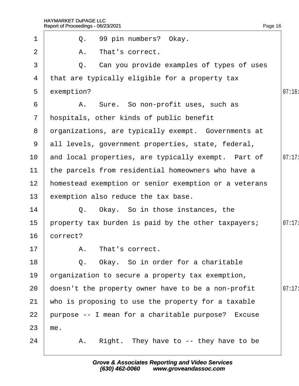|                 | Report of Proceedings - 06/23/2021                    | Page 16 |
|-----------------|-------------------------------------------------------|---------|
| $\mathbf 1$     | Q. 99 pin numbers? Okay.                              |         |
| 2               | A. That's correct.                                    |         |
| 3               | Q. Can you provide examples of types of uses          |         |
| 4               | that are typically eligible for a property tax        |         |
| 5               | exemption?                                            | 07:16   |
| 6               | A. Sure. So non-profit uses, such as                  |         |
| $7\phantom{.}$  | hospitals, other kinds of public benefit              |         |
| 8               | drganizations, are typically exempt. Governments at   |         |
| 9               | all levels, government properties, state, federal,    |         |
| 10              | and local properties, are typically exempt. Part of   | 07:17   |
| 11              | the parcels from residential homeowners who have a    |         |
| 12 <sub>2</sub> | homestead exemption or senior exemption or a veterans |         |
| 13              | exemption also reduce the tax base.                   |         |
| 14              | Q. Okay. So in those instances, the                   |         |
| 15              | property tax burden is paid by the other taxpayers;   | 07:17:  |
| 16              | correct?                                              |         |
| 17              | A. That's correct.                                    |         |
| 18              | Q. Okay. So in order for a charitable                 |         |
| 19              | prganization to secure a property tax exemption,      |         |
| 20              | doesn't the property owner have to be a non-profit    | 07:17   |
| 21              | who is proposing to use the property for a taxable    |         |
| 22              | purpose -- I mean for a charitable purpose? Excuse    |         |
| 23              | me.                                                   |         |
| 24              | A. Right. They have to -- they have to be             |         |
|                 |                                                       |         |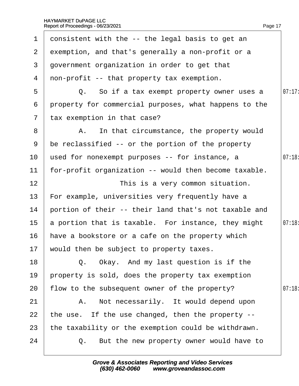| 1               | consistent with the -- the legal basis to get an      |       |
|-----------------|-------------------------------------------------------|-------|
| $\mathbf{2}$    | exemption, and that's generally a non-profit or a     |       |
| 3               | government organization in order to get that          |       |
| 4               | non-profit -- that property tax exemption.            |       |
| 5               | Q. So if a tax exempt property owner uses a           | 07:17 |
| 6               | property for commercial purposes, what happens to the |       |
| $\overline{7}$  | tax exemption in that case?                           |       |
| 8               | A. In that circumstance, the property would           |       |
| 9               | be reclassified -- or the portion of the property     |       |
| 10              | used for nonexempt purposes -- for instance, a        | 07:18 |
| 11              | for-profit organization -- would then become taxable. |       |
| 12              | This is a very common situation.                      |       |
| 13              | For example, universities very frequently have a      |       |
| 14              | portion of their -- their land that's not taxable and |       |
| 15 <sub>1</sub> | a portion that is taxable. For instance, they might   | 07:18 |
| 16              | have a bookstore or a cafe on the property which      |       |
|                 | 17 would then be subject to property taxes.           |       |
| 18              | Q. Okay. And my last question is if the               |       |
| 19              | property is sold, does the property tax exemption     |       |
| 20              | flow to the subsequent owner of the property?         | 07:18 |
| 21              | A. Not necessarily. It would depend upon              |       |
| 22              | the use. If the use changed, then the property --     |       |
| 23              | the taxability or the exemption could be withdrawn.   |       |
| 24              | Q. But the new property owner would have to           |       |
|                 |                                                       |       |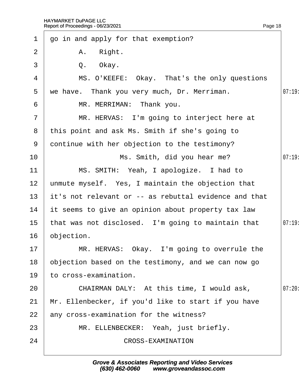| $\mathbf 1$     | go in and apply for that exemption?                   |       |
|-----------------|-------------------------------------------------------|-------|
| $\overline{2}$  | A. Right.                                             |       |
| 3               | Q. Okay.                                              |       |
| 4               | MS. O'KEEFE: Okay. That's the only questions          |       |
| 5               | we have. Thank you very much, Dr. Merriman.           | 07:19 |
| 6               | MR. MERRIMAN: Thank you.                              |       |
| $\overline{7}$  | MR. HERVAS: I'm going to interject here at            |       |
| 8               | this point and ask Ms. Smith if she's going to        |       |
| 9               | dontinue with her objection to the testimony?         |       |
| 10              | Ms. Smith, did you hear me?                           | 07:19 |
| 11              | MS. SMITH: Yeah, I apologize. I had to                |       |
| 12              | unmute myself. Yes, I maintain the objection that     |       |
| 13 <sup>°</sup> | it's not relevant or -- as rebuttal evidence and that |       |
| 14              | It seems to give an opinion about property tax law    |       |
| 15 <sub>1</sub> | that was not disclosed. I'm going to maintain that    | 07:19 |
| 16              | objection.                                            |       |
| 17              | MR. HERVAS: Okay. I'm going to overrule the           |       |
| 18              | objection based on the testimony, and we can now go   |       |
| 19              | to cross-examination.                                 |       |
| 20              | CHAIRMAN DALY: At this time, I would ask,             | 07:20 |
| 21              | Mr. Ellenbecker, if you'd like to start if you have   |       |
| 22              | any cross-examination for the witness?                |       |
| 23              | MR. ELLENBECKER: Yeah, just briefly.                  |       |
| 24              | <b>CROSS-EXAMINATION</b>                              |       |
|                 |                                                       |       |

Page 18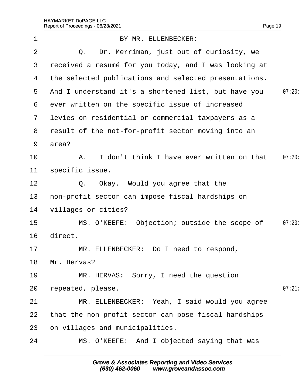|              | Report of Proceedings - 06/23/2021                    | Page 19 |
|--------------|-------------------------------------------------------|---------|
| 1            | BY MR. ELLENBECKER:                                   |         |
| 2            | Q. Dr. Merriman, just out of curiosity, we            |         |
| 3            | received a resumé for you today, and I was looking at |         |
| 4            | the selected publications and selected presentations. |         |
| 5            | And I understand it's a shortened list, but have you  | 07:20:  |
| 6            | ever written on the specific issue of increased       |         |
| $\mathbf{7}$ | levies on residential or commercial taxpayers as a    |         |
| 8            | result of the not-for-profit sector moving into an    |         |
| 9            | area?                                                 |         |
| 10           | A. I don't think I have ever written on that          | 07:20:  |
| 11           | specific issue.                                       |         |
| 12           | Q. Okay. Would you agree that the                     |         |
| 13           | hon-profit sector can impose fiscal hardships on      |         |
| 14           | villages or cities?                                   |         |
| 15           | MS. O'KEEFE: Objection; outside the scope of          | 07:20   |
| 16           | direct.                                               |         |
| 17           | MR. ELLENBECKER: Do I need to respond,                |         |
| 18           | Mr. Hervas?                                           |         |
| 19           | MR. HERVAS: Sorry, I need the question                |         |
| 20           | epeated, please.                                      | 07:21   |
| 21           | MR. ELLENBECKER: Yeah, I said would you agree         |         |
| 22           | that the non-profit sector can pose fiscal hardships  |         |
| 23           | on villages and municipalities.                       |         |
| 24           | MS. O'KEEFE: And I objected saying that was           |         |
|              |                                                       |         |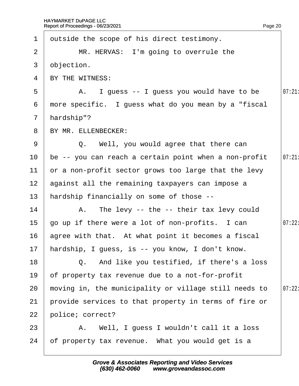| 1               | dutside the scope of his direct testimony.            |        |
|-----------------|-------------------------------------------------------|--------|
| $\overline{2}$  | MR. HERVAS: I'm going to overrule the                 |        |
| 3               | objection.                                            |        |
| $\overline{4}$  | BY THE WITNESS:                                       |        |
| 5               | A. I guess -- I guess you would have to be            | 07:21  |
| 6               | more specific. I guess what do you mean by a "fiscal" |        |
| $\mathbf{7}$    | hardship"?                                            |        |
| 8               | BY MR. ELLENBECKER:                                   |        |
| 9               | Q. Well, you would agree that there can               |        |
| 10              | be -- you can reach a certain point when a non-profit | 07:21  |
| 11              | or a non-profit sector grows too large that the levy  |        |
| 12 <sub>2</sub> | against all the remaining taxpayers can impose a      |        |
| 13              | hardship financially on some of those --              |        |
| 14              | A. The levy -- the -- their tax levy could            |        |
| 15              | go up if there were a lot of non-profits. I can       | 07:22: |
|                 | 16 agree with that. At what point it becomes a fiscal |        |
|                 | 17 hardship, I guess, is -- you know, I don't know.   |        |
| 18              | Q. And like you testified, if there's a loss          |        |
| 19              | of property tax revenue due to a not-for-profit       |        |
| 20              | moving in, the municipality or village still needs to | 07:22: |
| 21              | provide services to that property in terms of fire or |        |
| 22              | police; correct?                                      |        |
| 23              | A. Well, I guess I wouldn't call it a loss            |        |
| 24              | of property tax revenue. What you would get is a      |        |
|                 |                                                       |        |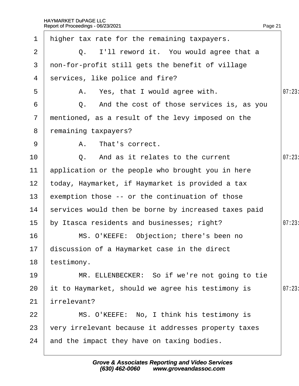| $\mathbf 1$     | higher tax rate for the remaining taxpayers.         |        |
|-----------------|------------------------------------------------------|--------|
| 2               | Q. I'll reword it. You would agree that a            |        |
| 3               | non-for-profit still gets the benefit of village     |        |
| 4               | services, like police and fire?                      |        |
| 5               | A. Yes, that I would agree with.                     | 07:23  |
| 6               | Q. And the cost of those services is, as you         |        |
| $\overline{7}$  | mentioned, as a result of the levy imposed on the    |        |
| 8               | remaining taxpayers?                                 |        |
| 9               | A. That's correct.                                   |        |
| 10              | Q. And as it relates to the current                  | 07:23  |
| 11              | application or the people who brought you in here    |        |
| 12 <sub>2</sub> | today, Haymarket, if Haymarket is provided a tax     |        |
| 13              | exemption those -- or the continuation of those      |        |
| 14              | services would then be borne by increased taxes paid |        |
| 15 <sub>1</sub> | by Itasca residents and businesses; right?           | 07:23: |
| 16              | MS. O'KEEFE: Objection; there's been no              |        |
|                 | 17 discussion of a Haymarket case in the direct      |        |
| 18              | testimony.                                           |        |
| 19              | MR. ELLENBECKER: So if we're not going to tie        |        |
| 20              | it to Haymarket, should we agree his testimony is    | 07:23  |
| 21              | irrelevant?                                          |        |
| 22              | MS. O'KEEFE: No, I think his testimony is            |        |
| 23              | very irrelevant because it addresses property taxes  |        |
| 24              | and the impact they have on taxing bodies.           |        |
|                 |                                                      |        |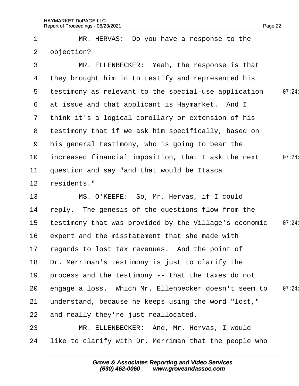| 1               | MR. HERVAS: Do you have a response to the             |        |
|-----------------|-------------------------------------------------------|--------|
| $\overline{2}$  | objection?                                            |        |
| 3               | MR. ELLENBECKER: Yeah, the response is that           |        |
| 4               | they brought him in to testify and represented his    |        |
| 5               | testimony as relevant to the special-use application  | 07:24: |
| 6               | at issue and that applicant is Haymarket. And I       |        |
|                 | 7 think it's a logical corollary or extension of his  |        |
| 8               | testimony that if we ask him specifically, based on   |        |
| 9               | his general testimony, who is going to bear the       |        |
| 10              | increased financial imposition, that I ask the next   | 07:24: |
| 11              | question and say "and that would be Itasca            |        |
| 12 <sub>2</sub> | residents."                                           |        |
| 13              | MS. O'KEEFE: So, Mr. Hervas, if I could               |        |
| 14              | reply. The genesis of the questions flow from the     |        |
| 15              | testimony that was provided by the Village's economic | 07:24: |
| 16              | expert and the misstatement that she made with        |        |
| 17              | regards to lost tax revenues. And the point of        |        |
| 18              | Dr. Merriman's testimony is just to clarify the       |        |
| 19              | process and the testimony -- that the taxes do not    |        |
| 20              | engage a loss. Which Mr. Ellenbecker doesn't seem to  | 07:24: |
| 21              | understand, because he keeps using the word "lost,"   |        |
| 22              | and really they're just reallocated.                  |        |
| 23              | MR. ELLENBECKER: And, Mr. Hervas, I would             |        |
| 24              | like to clarify with Dr. Merriman that the people who |        |

Page 22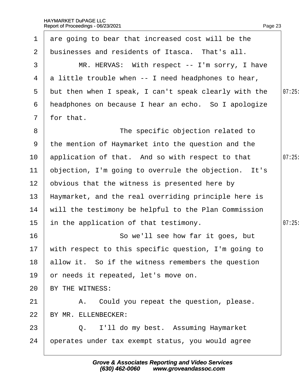| $\mathbf 1$     | are going to bear that increased cost will be the       |       |
|-----------------|---------------------------------------------------------|-------|
| $\overline{2}$  | businesses and residents of Itasca. That's all.         |       |
| 3               | MR. HERVAS: With respect -- I'm sorry, I have           |       |
| 4               | a little trouble when -- I need headphones to hear,     |       |
| 5               | but then when I speak, I can't speak clearly with the   | 07:25 |
| 6               | headphones on because I hear an echo. So I apologize    |       |
| $7\phantom{.}$  | for that.                                               |       |
| 8               | The specific objection related to                       |       |
| 9               | the mention of Haymarket into the question and the      |       |
| 10              | application of that. And so with respect to that        | 07:25 |
| $11$            | objection, I'm going to overrule the objection. It's    |       |
| 12 <sup>2</sup> | obvious that the witness is presented here by           |       |
| 13              | Haymarket, and the real overriding principle here is    |       |
| 14              | will the testimony be helpful to the Plan Commission    |       |
| 15              | in the application of that testimony.                   | 07:25 |
| 16              | So we'll see how far it goes, but                       |       |
|                 | 17 with respect to this specific question, I'm going to |       |
| 18              | allow it. So if the witness remembers the question      |       |
| 19              | or needs it repeated, let's move on.                    |       |
| 20              | BY THE WITNESS:                                         |       |
| 21              | A. Could you repeat the question, please.               |       |
| 22              | BY MR. ELLENBECKER:                                     |       |
| 23              | Q. I'll do my best. Assuming Haymarket                  |       |
| 24              | operates under tax exempt status, you would agree       |       |
|                 |                                                         |       |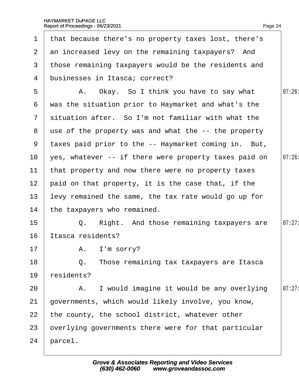| 1              | that because there's no property taxes lost, there's   |        |
|----------------|--------------------------------------------------------|--------|
| $\mathbf{2}$   | an increased levy on the remaining taxpayers? And      |        |
| 3              | those remaining taxpayers would be the residents and   |        |
| 4              | businesses in Itasca; correct?                         |        |
| 5              | A. Okay. So I think you have to say what               | 07:26  |
| 6              | was the situation prior to Haymarket and what's the    |        |
| $7\phantom{.}$ | situation after. So I'm not familiar with what the     |        |
|                | 8 use of the property was and what the -- the property |        |
| 9              | taxes paid prior to the -- Haymarket coming in. But,   |        |
| 10             | yes, whatever -- if there were property taxes paid on  | 07:26  |
| 11             | that property and now there were no property taxes     |        |
| 12             | paid on that property, it is the case that, if the     |        |
| 13             | levy remained the same, the tax rate would go up for   |        |
| 14             | the taxpayers who remained.                            |        |
| 15             | Q. Right. And those remaining taxpayers are            | 07:27: |
| 16             | Itasca residents?                                      |        |
| 17             | A. I'm sorry?                                          |        |
| 18             | Q. Those remaining tax taxpayers are Itasca            |        |
| 19             | residents?                                             |        |
| 20             | A. I would imagine it would be any overlying           | 07:27  |
| 21             | governments, which would likely involve, you know,     |        |
| 22             | the county, the school district, whatever other        |        |
| 23             | overlying governments there were for that particular   |        |
| 24             | parcel.                                                |        |
|                |                                                        |        |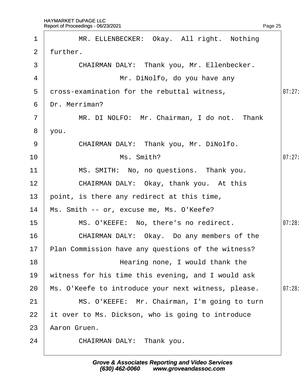$2$  further.

1 | MR. ELLENBECKER: Okay. All right. Nothing

| 3              | CHAIRMAN DALY: Thank you, Mr. Ellenbecker.            |       |
|----------------|-------------------------------------------------------|-------|
| 4              | Mr. DiNolfo, do you have any                          |       |
| 5              | dross-examination for the rebuttal witness,           | 07:27 |
| 6              | Dr. Merriman?                                         |       |
| $\overline{7}$ | MR. DI NOLFO: Mr. Chairman, I do not. Thank           |       |
| 8              | you.                                                  |       |
| 9              | CHAIRMAN DALY: Thank you, Mr. DiNolfo.                |       |
| 10             | Ms. Smith?                                            | 07:27 |
| 11             | MS. SMITH: No, no questions. Thank you.               |       |
| 12             | CHAIRMAN DALY: Okay, thank you. At this               |       |
| 13             | point, is there any redirect at this time,            |       |
| 14             | Ms. Smith -- or, excuse me, Ms. O'Keefe?              |       |
| 15             | MS. O'KEEFE: No, there's no redirect.                 | 07:28 |
| 16             | CHAIRMAN DALY: Okay. Do any members of the            |       |
| 17             | Plan Commission have any questions of the witness?    |       |
| 18             | Hearing none, I would thank the                       |       |
|                | 19 witness for his time this evening, and I would ask |       |
| 20             | Ms. O'Keefe to introduce your next witness, please.   | 07:28 |
| 21             | MS. O'KEEFE: Mr. Chairman, I'm going to turn          |       |
| 22             | it over to Ms. Dickson, who is going to introduce     |       |
| 23             | Aaron Gruen.                                          |       |
| 24             | CHAIRMAN DALY: Thank you.                             |       |
|                |                                                       |       |

Page 25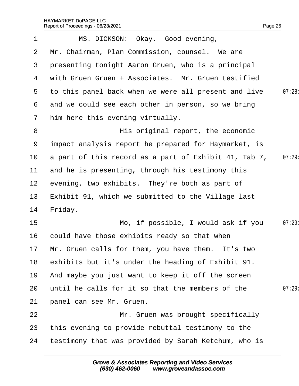| $\mathbf 1$     | MS. DICKSON: Okay. Good evening,                      |       |
|-----------------|-------------------------------------------------------|-------|
| $\mathbf{2}$    | Mr. Chairman, Plan Commission, counsel. We are        |       |
| 3 <sup>1</sup>  | presenting tonight Aaron Gruen, who is a principal    |       |
| 4               | with Gruen Gruen + Associates. Mr. Gruen testified    |       |
| 5               | to this panel back when we were all present and live  | 07:28 |
| 6               | and we could see each other in person, so we bring    |       |
| $\overline{7}$  | him here this evening virtually.                      |       |
| 8               | His original report, the economic                     |       |
| 9               | impact analysis report he prepared for Haymarket, is  |       |
| 10 <sup>°</sup> | a part of this record as a part of Exhibit 41, Tab 7, | 07:29 |
| 11              | and he is presenting, through his testimony this      |       |
| 12 <sub>2</sub> | evening, two exhibits. They're both as part of        |       |
| 13 <sub>2</sub> | Exhibit 91, which we submitted to the Village last    |       |
| 14              | Friday.                                               |       |
| 15              | Mo, if possible, I would ask if you                   | 07:29 |
| 16              | could have those exhibits ready so that when          |       |
|                 | 17 Mr. Gruen calls for them, you have them. It's two  |       |
| 18              | exhibits but it's under the heading of Exhibit 91.    |       |
| 19              | And maybe you just want to keep it off the screen     |       |
| 20              | until he calls for it so that the members of the      | 07:29 |
| 21              | panel can see Mr. Gruen.                              |       |
| 22              | Mr. Gruen was brought specifically                    |       |
| 23              | this evening to provide rebuttal testimony to the     |       |
| 24              | testimony that was provided by Sarah Ketchum, who is  |       |
|                 |                                                       |       |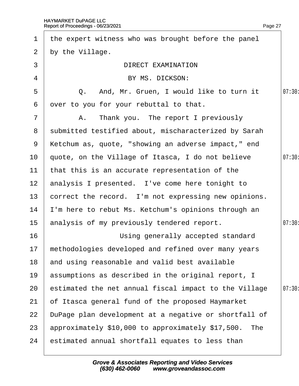| $\mathbf 1$     | the expert witness who was brought before the panel    |       |
|-----------------|--------------------------------------------------------|-------|
| 2 <sup>1</sup>  | by the Village.                                        |       |
| 3               | <b>DIRECT EXAMINATION</b>                              |       |
| 4               | BY MS. DICKSON:                                        |       |
| 5               | Q. And, Mr. Gruen, I would like to turn it             | 07:30 |
| 6               | over to you for your rebuttal to that.                 |       |
| $\overline{7}$  | A. Thank you. The report I previously                  |       |
|                 | 8 submitted testified about, mischaracterized by Sarah |       |
| 9               | Ketchum as, quote, "showing an adverse impact," end    |       |
| 10 <sup>°</sup> | quote, on the Village of Itasca, I do not believe      | 07:30 |
| 11              | that this is an accurate representation of the         |       |
| 12 <sub>2</sub> | analysis I presented. I've come here tonight to        |       |
| 13 <sup>°</sup> | correct the record. I'm not expressing new opinions.   |       |
| 14              | 'm here to rebut Ms. Ketchum's opinions through an     |       |
| 15 <sub>1</sub> | analysis of my previously tendered report.             | 07:30 |
| 16              | Using generally accepted standard                      |       |
|                 | 17 methodologies developed and refined over many years |       |
| 18              | and using reasonable and valid best available          |       |
| 19              | assumptions as described in the original report, I     |       |
| 20              | estimated the net annual fiscal impact to the Village  | 07:30 |
| 21              | of Itasca general fund of the proposed Haymarket       |       |
| 22              | DuPage plan development at a negative or shortfall of  |       |
| 23              | approximately \$10,000 to approximately \$17,500. The  |       |
| 24              | estimated annual shortfall equates to less than        |       |
|                 |                                                        |       |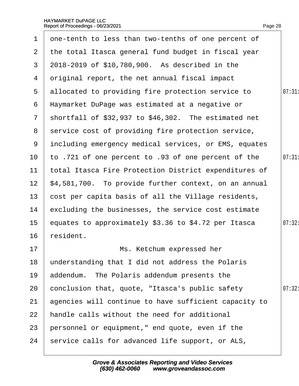| $\mathbf 1$     | one-tenth to less than two-tenths of one percent of     |        |
|-----------------|---------------------------------------------------------|--------|
| 2 <sup>1</sup>  | the total Itasca general fund budget in fiscal year     |        |
| 3               | 2018-2019 of \$10,780,900. As described in the          |        |
|                 | 4 driginal report, the net annual fiscal impact         |        |
| 5               | allocated to providing fire protection service to       | 07:31  |
|                 | 6 Haymarket DuPage was estimated at a negative or       |        |
|                 | 7 shortfall of \$32,937 to \$46,302. The estimated net  |        |
|                 | 8 service cost of providing fire protection service,    |        |
|                 | 9 including emergency medical services, or EMS, equates |        |
| 10 <sup>°</sup> | to .721 of one percent to .93 of one percent of the     | 07:31  |
| 11              | total Itasca Fire Protection District expenditures of   |        |
| 12 <sub>2</sub> | \$4,581,700. To provide further context, on an annual   |        |
| 13 <sup>°</sup> | cost per capita basis of all the Village residents,     |        |
| 14              | excluding the businesses, the service cost estimate     |        |
| 15 <sub>1</sub> | equates to approximately \$3.36 to \$4.72 per Itasca    | 07:32: |
| 16              | resident.                                               |        |
| 17              | Ms. Ketchum expressed her                               |        |
| 18              | understanding that I did not address the Polaris        |        |
| 19              | addendum. The Polaris addendum presents the             |        |
| 20              | conclusion that, quote, "Itasca's public safety         | 07:32: |
| 21              | agencies will continue to have sufficient capacity to   |        |
| 22              | handle calls without the need for additional            |        |
| 23              | personnel or equipment," end quote, even if the         |        |
| 24              | service calls for advanced life support, or ALS,        |        |
|                 |                                                         |        |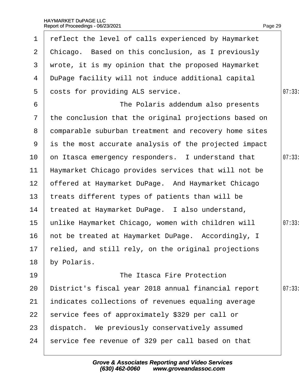| $\mathbf 1$     | reflect the level of calls experienced by Haymarket    |        |
|-----------------|--------------------------------------------------------|--------|
| $\overline{2}$  | Chicago. Based on this conclusion, as I previously     |        |
| 3               | wrote, it is my opinion that the proposed Haymarket    |        |
| 4               | DuPage facility will not induce additional capital     |        |
| 5               | dosts for providing ALS service.                       | 07:33: |
| 6               | The Polaris addendum also presents                     |        |
| $\mathbf{7}$    | the conclusion that the original projections based on  |        |
| 8               | domparable suburban treatment and recovery home sites  |        |
| 9               | is the most accurate analysis of the projected impact  |        |
| 10              | on Itasca emergency responders. I understand that      | 07:33  |
| 11              | Haymarket Chicago provides services that will not be   |        |
| 12 <sub>2</sub> | offered at Haymarket DuPage. And Haymarket Chicago     |        |
| 13              | treats different types of patients than will be        |        |
| 14              | treated at Haymarket DuPage. I also understand,        |        |
| 15              | unlike Haymarket Chicago, women with children will     | 07:33: |
| 16              | hot be treated at Haymarket DuPage. Accordingly, I     |        |
|                 | 17 felied, and still rely, on the original projections |        |
| 18              | by Polaris.                                            |        |
| 19              | The Itasca Fire Protection                             |        |
| 20              | District's fiscal year 2018 annual financial report    | 07:33  |
| 21              | indicates collections of revenues equaling average     |        |
| 22              | service fees of approximately \$329 per call or        |        |
| 23              | dispatch. We previously conservatively assumed         |        |
| 24              | service fee revenue of 329 per call based on that      |        |
|                 |                                                        |        |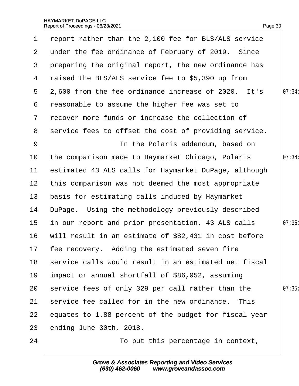| $\mathbf 1$           | report rather than the 2,100 fee for BLS/ALS service  |        |
|-----------------------|-------------------------------------------------------|--------|
| $\mathbf{2}^{\prime}$ | under the fee ordinance of February of 2019. Since    |        |
| 3                     | preparing the original report, the new ordinance has  |        |
| 4                     | raised the BLS/ALS service fee to \$5,390 up from     |        |
| 5                     | 2,600 from the fee ordinance increase of 2020. It's   | 07:34: |
| 6                     | reasonable to assume the higher fee was set to        |        |
| $\mathbf{7}$          | recover more funds or increase the collection of      |        |
| 8                     | service fees to offset the cost of providing service. |        |
| 9                     | In the Polaris addendum, based on                     |        |
| 10 <sup>°</sup>       | the comparison made to Haymarket Chicago, Polaris     | 07:34: |
| 11                    | estimated 43 ALS calls for Haymarket DuPage, although |        |
| 12 <sub>2</sub>       | this comparison was not deemed the most appropriate   |        |
| 13                    | basis for estimating calls induced by Haymarket       |        |
| 14                    | DuPage. Using the methodology previously described    |        |
| 15                    | in our report and prior presentation, 43 ALS calls    | 07:35  |
| 16                    | will result in an estimate of \$82,431 in cost before |        |
| 17 <sup>17</sup>      | fee recovery. Adding the estimated seven fire         |        |
| 18                    | service calls would result in an estimated net fiscal |        |
| 19                    | impact or annual shortfall of \$86,052, assuming      |        |
| 20                    | service fees of only 329 per call rather than the     | 07:35  |
| 21                    | service fee called for in the new ordinance. This     |        |
| 22                    | equates to 1.88 percent of the budget for fiscal year |        |
| 23                    | ending June 30th, 2018.                               |        |
| 24                    | To put this percentage in context,                    |        |
|                       |                                                       |        |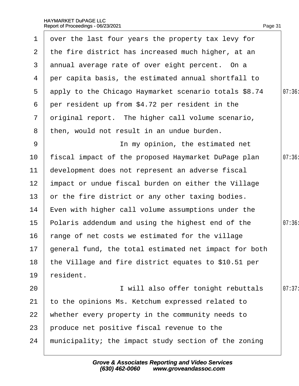|                 | 1 over the last four years the property tax levy for     |        |
|-----------------|----------------------------------------------------------|--------|
|                 | 2 the fire district has increased much higher, at an     |        |
|                 | 3 annual average rate of over eight percent. On a        |        |
|                 | 4 per capita basis, the estimated annual shortfall to    |        |
| 5               | apply to the Chicago Haymarket scenario totals \$8.74    | 07:36: |
| 6               | per resident up from \$4.72 per resident in the          |        |
| $\overline{7}$  | driginal report. The higher call volume scenario,        |        |
| 8               | then, would not result in an undue burden.               |        |
| 9               | In my opinion, the estimated net                         |        |
| 10              | fiscal impact of the proposed Haymarket DuPage plan      | 07:36  |
| 11              | development does not represent an adverse fiscal         |        |
| 12 <sub>2</sub> | impact or undue fiscal burden on either the Village      |        |
| 13 <sup>°</sup> | or the fire district or any other taxing bodies.         |        |
| 14              | Even with higher call volume assumptions under the       |        |
| 15 <sub>1</sub> | Polaris addendum and using the highest end of the        | 07:36  |
| 16              | range of net costs we estimated for the village          |        |
|                 | 17 general fund, the total estimated net impact for both |        |
| 18              | the Village and fire district equates to \$10.51 per     |        |
| 19              | resident.                                                |        |
| 20              | I will also offer tonight rebuttals                      | 07:37  |
| 21              | to the opinions Ms. Ketchum expressed related to         |        |
| 22              | whether every property in the community needs to         |        |
| 23              | produce net positive fiscal revenue to the               |        |
| 24              | municipality; the impact study section of the zoning     |        |
|                 |                                                          |        |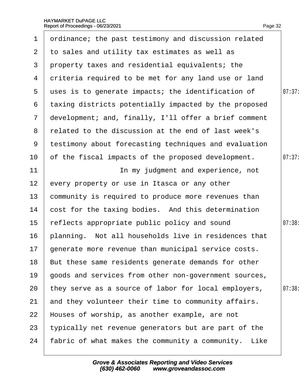|  | Page 32 |
|--|---------|

|                 | 1 drdinance; the past testimony and discussion related |        |
|-----------------|--------------------------------------------------------|--------|
|                 | 2 to sales and utility tax estimates as well as        |        |
| 3 <sup>1</sup>  | property taxes and residential equivalents; the        |        |
| 4               | driteria required to be met for any land use or land   |        |
| 5               | uses is to generate impacts; the identification of     | 07:37: |
| 6               | taxing districts potentially impacted by the proposed  |        |
| $\mathbf{7}$    | development; and, finally, I'll offer a brief comment  |        |
| 8               | related to the discussion at the end of last week's    |        |
| 9               | testimony about forecasting techniques and evaluation  |        |
| 10              | of the fiscal impacts of the proposed development.     | 07:37: |
| 11              | In my judgment and experience, not                     |        |
| 12 <sup>2</sup> | every property or use in Itasca or any other           |        |
| 13              | community is required to produce more revenues than    |        |
| 14              | cost for the taxing bodies. And this determination     |        |
| 15              | reflects appropriate public policy and sound           | 07:38: |
| 16              | planning. Not all households live in residences that   |        |
|                 | 17 generate more revenue than municipal service costs. |        |
| 18              | But these same residents generate demands for other    |        |
| 19              | goods and services from other non-government sources,  |        |
| 20              | they serve as a source of labor for local employers,   | 07:38  |
| 21              | and they volunteer their time to community affairs.    |        |
| 22              | Houses of worship, as another example, are not         |        |
| 23              | typically net revenue generators but are part of the   |        |
| 24              | fabric of what makes the community a community. Like   |        |
|                 |                                                        |        |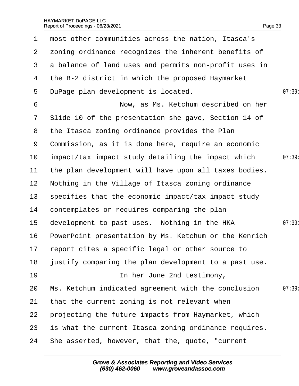|                  | 1 most other communities across the nation, Itasca's  |        |
|------------------|-------------------------------------------------------|--------|
| 2 <sup>1</sup>   | zoning ordinance recognizes the inherent benefits of  |        |
| 3                | a balance of land uses and permits non-profit uses in |        |
| 4                | the B-2 district in which the proposed Haymarket      |        |
| 5                | DuPage plan development is located.                   | 07:39  |
| 6                | Now, as Ms. Ketchum described on her                  |        |
| $\overline{7}$   | Slide 10 of the presentation she gave, Section 14 of  |        |
| 8                | the Itasca zoning ordinance provides the Plan         |        |
| 9                | Commission, as it is done here, require an economic   |        |
| 10               | impact/tax impact study detailing the impact which    | 07:39  |
| 11               | the plan development will have upon all taxes bodies. |        |
| 12 <sup>2</sup>  | Nothing in the Village of Itasca zoning ordinance     |        |
| 13 <sup>°</sup>  | specifies that the economic impact/tax impact study   |        |
| 14               | contemplates or requires comparing the plan           |        |
| 15 <sub>15</sub> | development to past uses. Nothing in the HKA          | 07:39: |
| 16               | PowerPoint presentation by Ms. Ketchum or the Kenrich |        |
|                  | 17 report cites a specific legal or other source to   |        |
| 18               | ustify comparing the plan development to a past use.  |        |
| 19               | In her June 2nd testimony,                            |        |
| 20               | Ms. Ketchum indicated agreement with the conclusion   | 07:39  |
| 21               | that the current zoning is not relevant when          |        |
| 22               | projecting the future impacts from Haymarket, which   |        |
| 23               | is what the current Itasca zoning ordinance requires. |        |
| 24               | She asserted, however, that the, quote, "current      |        |
|                  |                                                       |        |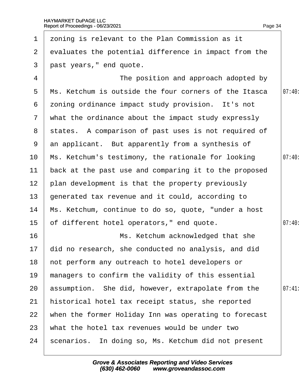| $\mathbf 1$     | zoning is relevant to the Plan Commission as it        |        |
|-----------------|--------------------------------------------------------|--------|
| $\mathbf{2}$    | evaluates the potential difference in impact from the  |        |
| 3               | past years," end quote.                                |        |
| 4               | The position and approach adopted by                   |        |
| 5               | Ms. Ketchum is outside the four corners of the Itasca  | 07:40: |
| 6               | zoning ordinance impact study provision. It's not      |        |
| $\overline{7}$  | what the ordinance about the impact study expressly    |        |
| 8               | states. A comparison of past uses is not required of   |        |
| 9               | an applicant. But apparently from a synthesis of       |        |
| 10              | Ms. Ketchum's testimony, the rationale for looking     | 07:40  |
| 11              | back at the past use and comparing it to the proposed  |        |
| 12 <sub>2</sub> | plan development is that the property previously       |        |
| 13              | generated tax revenue and it could, according to       |        |
| 14              | Ms. Ketchum, continue to do so, quote, "under a host   |        |
| 15              | of different hotel operators," end quote.              | 07:40  |
| 16              | Ms. Ketchum acknowledged that she                      |        |
|                 | 17 did no research, she conducted no analysis, and did |        |
| 18              | hot perform any outreach to hotel developers or        |        |
| 19              | managers to confirm the validity of this essential     |        |
| 20              | assumption. She did, however, extrapolate from the     | 07:41  |
| 21              | historical hotel tax receipt status, she reported      |        |
| 22              | when the former Holiday Inn was operating to forecast  |        |
| 23              | what the hotel tax revenues would be under two         |        |
| 24              | scenarios. In doing so, Ms. Ketchum did not present    |        |
|                 |                                                        |        |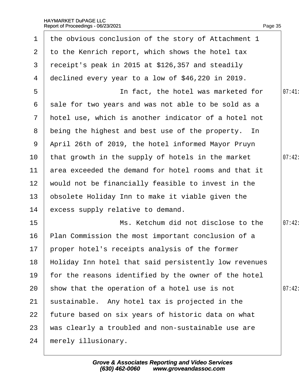| 1               | the obvious conclusion of the story of Attachment 1   |        |
|-----------------|-------------------------------------------------------|--------|
| $\mathbf{2}$    | to the Kenrich report, which shows the hotel tax      |        |
| 3               | receipt's peak in 2015 at \$126,357 and steadily      |        |
| 4               | declined every year to a low of \$46,220 in 2019.     |        |
| 5               | In fact, the hotel was marketed for                   | 07:41  |
| 6               | sale for two years and was not able to be sold as a   |        |
| $7\phantom{.}$  | hotel use, which is another indicator of a hotel not  |        |
|                 | 8 being the highest and best use of the property. In  |        |
| 9               | April 26th of 2019, the hotel informed Mayor Pruyn    |        |
| 10              | that growth in the supply of hotels in the market     | 07:42: |
| 11              | area exceeded the demand for hotel rooms and that it  |        |
| 12 <sup>°</sup> | would not be financially feasible to invest in the    |        |
| 13              | pbsolete Holiday Inn to make it viable given the      |        |
| 14              | excess supply relative to demand.                     |        |
| 15              | Ms. Ketchum did not disclose to the                   | 07:42: |
| 16              | Plan Commission the most important conclusion of a    |        |
|                 | 17 proper hotel's receipts analysis of the former     |        |
| 18              | Holiday Inn hotel that said persistently low revenues |        |
| 19              | for the reasons identified by the owner of the hotel  |        |
| 20              | show that the operation of a hotel use is not         | 07:42  |
| 21              | sustainable. Any hotel tax is projected in the        |        |
| 22              | future based on six years of historic data on what    |        |
| 23              | was clearly a troubled and non-sustainable use are    |        |
| 24              | merely illusionary.                                   |        |
|                 |                                                       |        |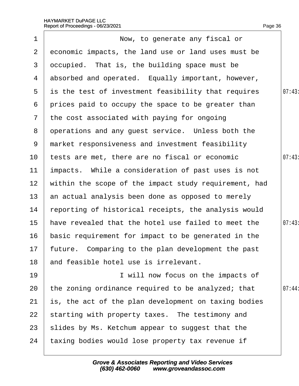| $\mathbf 1$     | Now, to generate any fiscal or                        |       |
|-----------------|-------------------------------------------------------|-------|
| $\overline{2}$  | economic impacts, the land use or land uses must be   |       |
| 3               | dccupied. That is, the building space must be         |       |
| 4               | absorbed and operated. Equally important, however,    |       |
| 5               | is the test of investment feasibility that requires   | 07:43 |
| 6               | prices paid to occupy the space to be greater than    |       |
| $7\overline{ }$ | the cost associated with paying for ongoing           |       |
| 8               | operations and any guest service. Unless both the     |       |
| 9               | market responsiveness and investment feasibility      |       |
| 10              | tests are met, there are no fiscal or economic        | 07:43 |
| 11              | impacts. While a consideration of past uses is not    |       |
| 12 <sub>2</sub> | within the scope of the impact study requirement, had |       |
| 13              | an actual analysis been done as opposed to merely     |       |
| 14              | reporting of historical receipts, the analysis would  |       |
| $15\,$          | have revealed that the hotel use failed to meet the   | 07:43 |
| 16              | basic requirement for impact to be generated in the   |       |
|                 | 17 future. Comparing to the plan development the past |       |
| 18              | and feasible hotel use is irrelevant.                 |       |
| 19              | I will now focus on the impacts of                    |       |
| 20              | the zoning ordinance required to be analyzed; that    | 07:44 |
| 21              | is, the act of the plan development on taxing bodies  |       |
| 22              | starting with property taxes. The testimony and       |       |
| 23              | slides by Ms. Ketchum appear to suggest that the      |       |
| 24              | taxing bodies would lose property tax revenue if      |       |
|                 |                                                       |       |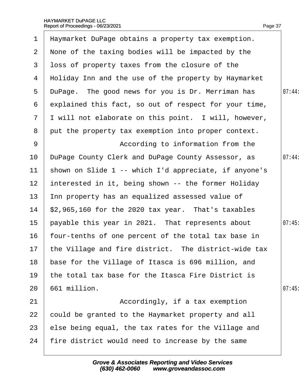| 1              | Haymarket DuPage obtains a property tax exemption.      |        |
|----------------|---------------------------------------------------------|--------|
| 2 <sup>1</sup> | None of the taxing bodies will be impacted by the       |        |
| 3              | loss of property taxes from the closure of the          |        |
| 4              | Holiday Inn and the use of the property by Haymarket    |        |
| 5              | DuPage. The good news for you is Dr. Merriman has       | 07:44: |
| 6              | explained this fact, so out of respect for your time,   |        |
| $\overline{7}$ | I will not elaborate on this point. I will, however,    |        |
| 8              | put the property tax exemption into proper context.     |        |
| 9              | According to information from the                       |        |
| 10             | DuPage County Clerk and DuPage County Assessor, as      | 07:44: |
| 11             | shown on Slide 1 -- which I'd appreciate, if anyone's   |        |
| 12             | interested in it, being shown -- the former Holiday     |        |
| 13             | Inn property has an equalized assessed value of         |        |
| 14             | \$2,965,160 for the 2020 tax year. That's taxables      |        |
| 15             | payable this year in 2021. That represents about        | 07:45  |
| 16             | four-tenths of one percent of the total tax base in     |        |
|                | 17 the Village and fire district. The district-wide tax |        |
| 18             | base for the Village of Itasca is 696 million, and      |        |
| 19             | the total tax base for the Itasca Fire District is      |        |
| 20             | 661 million.                                            | 07:45  |
| 21             | Accordingly, if a tax exemption                         |        |
| 22             | could be granted to the Haymarket property and all      |        |
| 23             | else being equal, the tax rates for the Village and     |        |
| 24             | fire district would need to increase by the same        |        |
|                |                                                         |        |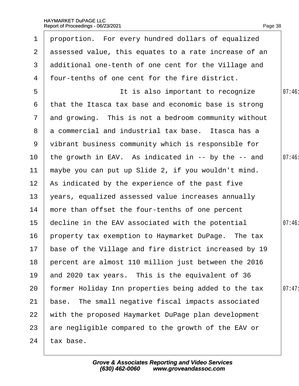|                 | 1 proportion. For every hundred dollars of equalized     |        |
|-----------------|----------------------------------------------------------|--------|
| $\mathbf{2}$    | assessed value, this equates to a rate increase of an    |        |
| 3               | additional one-tenth of one cent for the Village and     |        |
| 4               | four-tenths of one cent for the fire district.           |        |
| 5               | It is also important to recognize                        | 07:46: |
| 6               | that the Itasca tax base and economic base is strong     |        |
| $\overline{7}$  | and growing. This is not a bedroom community without     |        |
| 8               | a commercial and industrial tax base. Itasca has a       |        |
| 9               | vibrant business community which is responsible for      |        |
| 10 <sup>°</sup> | the growth in EAV. As indicated in -- by the -- and      | 07:46  |
| 11              | maybe you can put up Slide 2, if you wouldn't mind.      |        |
| 12 <sup>°</sup> | As indicated by the experience of the past five          |        |
| 13              | years, equalized assessed value increases annually       |        |
| 14              | more than offset the four-tenths of one percent          |        |
| 15 <sub>1</sub> | decline in the EAV associated with the potential         | 07:46: |
| 16              | property tax exemption to Haymarket DuPage. The tax      |        |
|                 | 17 base of the Village and fire district increased by 19 |        |
| 18              | percent are almost 110 million just between the 2016     |        |
| 19              | and 2020 tax years. This is the equivalent of 36         |        |
| 20              | former Holiday Inn properties being added to the tax     | 07:47: |
| 21              | base. The small negative fiscal impacts associated       |        |
| 22              | with the proposed Haymarket DuPage plan development      |        |
| 23              | are negligible compared to the growth of the EAV or      |        |
| 24              | tax base.                                                |        |
|                 |                                                          |        |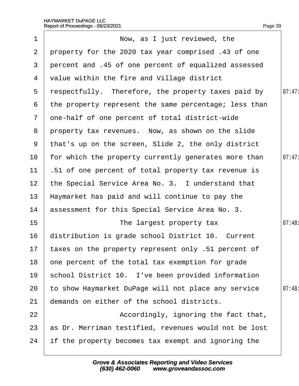| 1               | Now, as I just reviewed, the                           |        |
|-----------------|--------------------------------------------------------|--------|
| $\overline{2}$  | property for the 2020 tax year comprised .43 of one    |        |
| 3               | percent and .45 of one percent of equalized assessed   |        |
| 4               | value within the fire and Village district             |        |
| 5               | respectfully. Therefore, the property taxes paid by    | 07:47: |
| 6               | the property represent the same percentage; less than  |        |
| $7\phantom{.}$  | one-half of one percent of total district-wide         |        |
|                 | 8 property tax revenues. Now, as shown on the slide    |        |
| 9               | that's up on the screen, Slide 2, the only district    |        |
| 10              | for which the property currently generates more than   | 07:47  |
| 11              | 51 of one percent of total property tax revenue is     |        |
| 12 <sup>2</sup> | the Special Service Area No. 3. I understand that      |        |
| 13              | Haymarket has paid and will continue to pay the        |        |
| 14              | assessment for this Special Service Area No. 3.        |        |
| 15 <sub>1</sub> | The largest property tax                               | 07:48: |
| 16              | distribution is grade school District 10. Current      |        |
|                 | 17 taxes on the property represent only .51 percent of |        |
| 18              | one percent of the total tax exemption for grade       |        |
| 19              | school District 10. I've been provided information     |        |
| 20              | to show Haymarket DuPage will not place any service    | 07:48  |
| 21              | demands on either of the school districts.             |        |
| 22              | Accordingly, ignoring the fact that,                   |        |
| 23              | as Dr. Merriman testified, revenues would not be lost  |        |
| 24              | if the property becomes tax exempt and ignoring the    |        |
|                 |                                                        |        |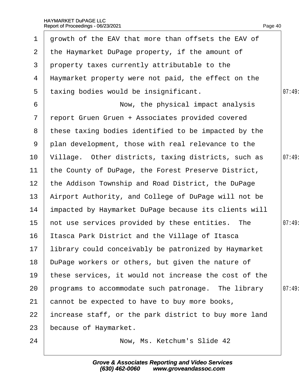| $\mathbf 1$     | growth of the EAV that more than offsets the EAV of     |       |
|-----------------|---------------------------------------------------------|-------|
| $\overline{2}$  | the Haymarket DuPage property, if the amount of         |       |
| 3               | property taxes currently attributable to the            |       |
| 4               | Haymarket property were not paid, the effect on the     |       |
| 5               | taxing bodies would be insignificant.                   | 07:49 |
| 6               | Now, the physical impact analysis                       |       |
| $\overline{7}$  | report Gruen Gruen + Associates provided covered        |       |
|                 | 8 these taxing bodies identified to be impacted by the  |       |
| 9               | plan development, those with real relevance to the      |       |
| 10              | Village. Other districts, taxing districts, such as     | 07:49 |
| 11              | the County of DuPage, the Forest Preserve District,     |       |
| 12 <sup>2</sup> | the Addison Township and Road District, the DuPage      |       |
| 13              | Airport Authority, and College of DuPage will not be    |       |
| 14              | impacted by Haymarket DuPage because its clients will   |       |
| 15 <sub>1</sub> | not use services provided by these entities. The        | 07:49 |
| 16              | Itasca Park District and the Village of Itasca          |       |
|                 | 17 library could conceivably be patronized by Haymarket |       |
| 18              | DuPage workers or others, but given the nature of       |       |
| 19              | these services, it would not increase the cost of the   |       |
| 20              | programs to accommodate such patronage. The library     | 07:49 |
| 21              | cannot be expected to have to buy more books,           |       |
| 22              | increase staff, or the park district to buy more land   |       |
| 23              | because of Haymarket.                                   |       |
| 24              | Now, Ms. Ketchum's Slide 42                             |       |
|                 |                                                         |       |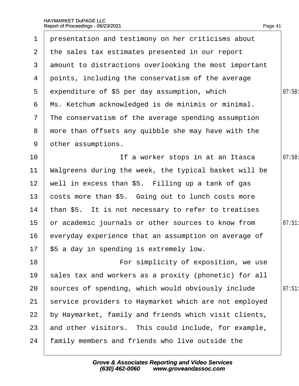| $\mathbf 1$           | presentation and testimony on her criticisms about    |        |
|-----------------------|-------------------------------------------------------|--------|
| $\mathbf{2}^{\prime}$ | the sales tax estimates presented in our report       |        |
| 3                     | amount to distractions overlooking the most important |        |
| 4                     | points, including the conservatism of the average     |        |
| 5                     | expenditure of \$5 per day assumption, which          | 07:50: |
| 6                     | Ms. Ketchum acknowledged is de minimis or minimal.    |        |
| $\mathbf{7}$          | The conservatism of the average spending assumption   |        |
| 8                     | more than offsets any quibble she may have with the   |        |
| 9                     | other assumptions.                                    |        |
| 10 <sup>°</sup>       | If a worker stops in at an Itasca                     | 07:50  |
| 11                    | Walgreens during the week, the typical basket will be |        |
| 12 <sub>2</sub>       | well in excess than \$5. Filling up a tank of gas     |        |
| 13                    | costs more than \$5. Going out to lunch costs more    |        |
| 14                    | than \$5. It is not necessary to refer to treatises   |        |
| 15 <sub>1</sub>       | or academic journals or other sources to know from    | 07:51  |
| 16                    | everyday experience that an assumption on average of  |        |
|                       | 17 \$5 a day in spending is extremely low.            |        |
| 18                    | For simplicity of exposition, we use                  |        |
| 19                    | sales tax and workers as a proxity (phonetic) for all |        |
| 20                    | sources of spending, which would obviously include    | 07:51  |
| 21                    | service providers to Haymarket which are not employed |        |
| 22                    | by Haymarket, family and friends which visit clients, |        |
| 23                    | and other visitors. This could include, for example,  |        |
| 24                    | family members and friends who live outside the       |        |
|                       |                                                       |        |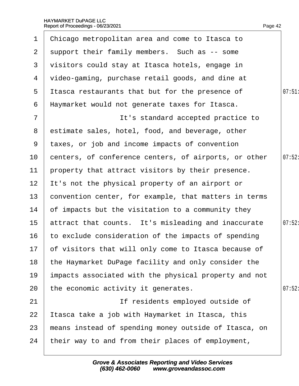| $\mathbf 1$     | Chicago metropolitan area and come to Itasca to         |        |
|-----------------|---------------------------------------------------------|--------|
| $\mathbf{2}$    | support their family members. Such as -- some           |        |
| 3               | visitors could stay at Itasca hotels, engage in         |        |
| 4               | video-gaming, purchase retail goods, and dine at        |        |
| 5               | It as carest aurants that but for the presence of       | 07:51  |
| 6               | Haymarket would not generate taxes for Itasca.          |        |
| $\overline{7}$  | It's standard accepted practice to                      |        |
| 8               | estimate sales, hotel, food, and beverage, other        |        |
| 9               | taxes, or job and income impacts of convention          |        |
| 10              | centers, of conference centers, of airports, or other   | 07:52  |
| 11              | property that attract visitors by their presence.       |        |
| 12 <sup>2</sup> | It's not the physical property of an airport or         |        |
| 13              | convention center, for example, that matters in terms   |        |
| 14              | of impacts but the visitation to a community they       |        |
| 15 <sub>1</sub> | attract that counts. It's misleading and inaccurate     | 07:52: |
| 16              | to exclude consideration of the impacts of spending     |        |
|                 | 17 of visitors that will only come to Itasca because of |        |
| 18              | the Haymarket DuPage facility and only consider the     |        |
| 19              | impacts associated with the physical property and not   |        |
| 20              | the economic activity it generates.                     | 07:52  |
| 21              | If residents employed outside of                        |        |
| 22              | Itasca take a job with Haymarket in Itasca, this        |        |
| 23              | means instead of spending money outside of Itasca, on   |        |
| 24              | their way to and from their places of employment,       |        |
|                 |                                                         |        |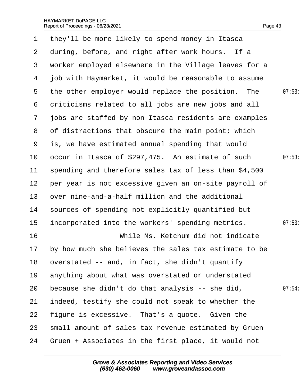|                  | 1 they'll be more likely to spend money in Itasca     |        |
|------------------|-------------------------------------------------------|--------|
| $\mathbf{2}$     | during, before, and right after work hours. If a      |        |
| 3                | worker employed elsewhere in the Village leaves for a |        |
| 4                | job with Haymarket, it would be reasonable to assume  |        |
| $5^{\circ}$      | the other employer would replace the position. The    | 07:53  |
| 6                | driticisms related to all jobs are new jobs and all   |        |
| $\overline{7}$   | jobs are staffed by non-Itasca residents are examples |        |
| 8                | of distractions that obscure the main point; which    |        |
| 9                | is, we have estimated annual spending that would      |        |
| 10               | occur in Itasca of \$297,475. An estimate of such     | 07:53  |
| 11               | spending and therefore sales tax of less than \$4,500 |        |
| 12 <sub>2</sub>  | per year is not excessive given an on-site payroll of |        |
| 13 <sup>°</sup>  | over nine-and-a-half million and the additional       |        |
| 14               | sources of spending not explicitly quantified but     |        |
| 15               | incorporated into the workers' spending metrics.      | 07:53  |
| 16               | While Ms. Ketchum did not indicate                    |        |
| 17 <sup>17</sup> | by how much she believes the sales tax estimate to be |        |
| 18               | overstated -- and, in fact, she didn't quantify       |        |
| 19               | anything about what was overstated or understated     |        |
| 20               | because she didn't do that analysis -- she did,       | 07:54: |
| 21               | indeed, testify she could not speak to whether the    |        |
| 22               | figure is excessive. That's a quote. Given the        |        |
| 23               | small amount of sales tax revenue estimated by Gruen  |        |
| 24               | Gruen + Associates in the first place, it would not   |        |
|                  |                                                       |        |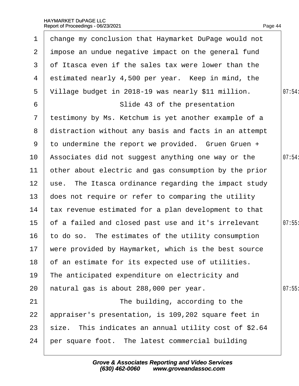| $\mathbf 1$      | change my conclusion that Haymarket DuPage would not    |        |
|------------------|---------------------------------------------------------|--------|
| $\mathbf{2}$     | impose an undue negative impact on the general fund     |        |
| 3                | of Itasca even if the sales tax were lower than the     |        |
| 4                | estimated nearly 4,500 per year. Keep in mind, the      |        |
| 5                | Village budget in 2018-19 was nearly \$11 million.      | 07:54: |
| 6                | Slide 43 of the presentation                            |        |
| $\mathbf{7}$     | testimony by Ms. Ketchum is yet another example of a    |        |
|                  | 8 distraction without any basis and facts in an attempt |        |
| 9                | to undermine the report we provided. Gruen Gruen +      |        |
| 10               | Associates did not suggest anything one way or the      | 07:54  |
| 11               | other about electric and gas consumption by the prior   |        |
| 12 <sup>1</sup>  | use. The Itasca ordinance regarding the impact study    |        |
| 13 <sup>°</sup>  | does not require or refer to comparing the utility      |        |
| 14               | tax revenue estimated for a plan development to that    |        |
| 15 <sub>15</sub> | of a failed and closed past use and it's irrelevant     | 07:55  |
| 16               | to do so. The estimates of the utility consumption      |        |
|                  | 17 were provided by Haymarket, which is the best source |        |
| 18               | of an estimate for its expected use of utilities.       |        |
| 19               | The anticipated expenditure on electricity and          |        |
| 20               | hatural gas is about 288,000 per year.                  | 07:55  |
| 21               | The building, according to the                          |        |
| 22               | appraiser's presentation, is 109,202 square feet in     |        |
| 23               | size. This indicates an annual utility cost of \$2.64   |        |
| 24               | per square foot. The latest commercial building         |        |
|                  |                                                         |        |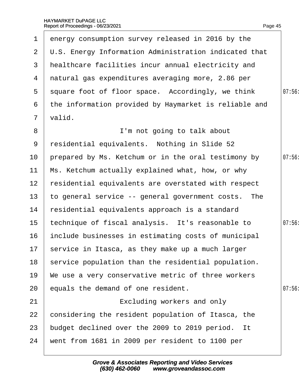| $\mathbf 1$     | energy consumption survey released in 2016 by the     |       |
|-----------------|-------------------------------------------------------|-------|
| $\overline{2}$  | U.S. Energy Information Administration indicated that |       |
| 3               | healthcare facilities incur annual electricity and    |       |
|                 | 4 natural gas expenditures averaging more, 2.86 per   |       |
|                 | 5 square foot of floor space. Accordingly, we think   | 07:56 |
| 6               | the information provided by Haymarket is reliable and |       |
| $\overline{7}$  | valid.                                                |       |
| 8               | I'm not going to talk about                           |       |
| 9               | residential equivalents. Nothing in Slide 52          |       |
| 10              | prepared by Ms. Ketchum or in the oral testimony by   | 07:56 |
| 11              | Ms. Ketchum actually explained what, how, or why      |       |
| 12 <sup>2</sup> | residential equivalents are overstated with respect   |       |
| 13              | to general service -- general government costs. The   |       |
| 14              | residential equivalents approach is a standard        |       |
| 15              | technique of fiscal analysis. It's reasonable to      | 07:56 |
| 16              | include businesses in estimating costs of municipal   |       |
|                 | 17 service in Itasca, as they make up a much larger   |       |
| 18              | service population than the residential population.   |       |
| 19              | We use a very conservative metric of three workers    |       |
| 20              | equals the demand of one resident.                    | 07:56 |
| 21              | Excluding workers and only                            |       |
| 22              | considering the resident population of Itasca, the    |       |
| 23              | budget declined over the 2009 to 2019 period. It      |       |
| 24              | went from 1681 in 2009 per resident to 1100 per       |       |
|                 |                                                       |       |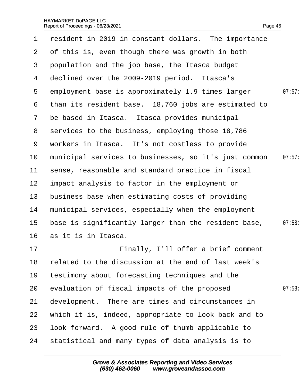٦

| $\mathbf 1$     | resident in 2019 in constant dollars. The importance  |        |
|-----------------|-------------------------------------------------------|--------|
| $\mathbf{2}$    | of this is, even though there was growth in both      |        |
| 3               | population and the job base, the Itasca budget        |        |
| 4               | declined over the 2009-2019 period. Itasca's          |        |
| $5^{\circ}$     | employment base is approximately 1.9 times larger     | 07:57: |
| 6               | than its resident base. 18,760 jobs are estimated to  |        |
| $\overline{7}$  | be based in Itasca. Itasca provides municipal         |        |
| 8               | services to the business, employing those 18,786      |        |
| 9               | workers in Itasca. It's not costless to provide       |        |
| 10              | municipal services to businesses, so it's just common | 07:57: |
| 11              | sense, reasonable and standard practice in fiscal     |        |
| 12 <sub>2</sub> | impact analysis to factor in the employment or        |        |
| 13              | business base when estimating costs of providing      |        |
| 14              | municipal services, especially when the employment    |        |
| 15              | base is significantly larger than the resident base,  | 07:58: |
| 16              | as it is in Itasca.                                   |        |
| 17              | Finally, I'll offer a brief comment                   |        |
| 18              | elated to the discussion at the end of last week's    |        |
| 19              | testimony about forecasting techniques and the        |        |
| 20              | evaluation of fiscal impacts of the proposed          | 07:58  |
| 21              | development. There are times and circumstances in     |        |
| 22              | which it is, indeed, appropriate to look back and to  |        |
| 23              | look forward. A good rule of thumb applicable to      |        |
| 24              | statistical and many types of data analysis is to     |        |
|                 |                                                       |        |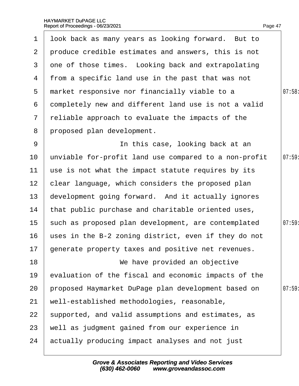| $\mathbf 1$     | look back as many years as looking forward. But to    |       |
|-----------------|-------------------------------------------------------|-------|
| $\overline{2}$  | produce credible estimates and answers, this is not   |       |
| 3               | one of those times. Looking back and extrapolating    |       |
| 4               | from a specific land use in the past that was not     |       |
| 5               | market responsive nor financially viable to a         | 07:58 |
| 6               | dompletely new and different land use is not a valid  |       |
| $\mathbf{7}$    | reliable approach to evaluate the impacts of the      |       |
| 8               | proposed plan development.                            |       |
| 9               | In this case, looking back at an                      |       |
| 10              | unviable for-profit land use compared to a non-profit | 07:59 |
| 11              | use is not what the impact statute requires by its    |       |
| 12 <sub>2</sub> | clear language, which considers the proposed plan     |       |
| 13              | development going forward. And it actually ignores    |       |
| 14              | that public purchase and charitable oriented uses,    |       |
| 15              | such as proposed plan development, are contemplated   | 07:59 |
| 16              | uses in the B-2 zoning district, even if they do not  |       |
|                 | 17 generate property taxes and positive net revenues. |       |
| 18              | We have provided an objective                         |       |
| 19              | evaluation of the fiscal and economic impacts of the  |       |
| 20              | proposed Haymarket DuPage plan development based on   | 07:59 |
| 21              | well-established methodologies, reasonable,           |       |
| 22              | supported, and valid assumptions and estimates, as    |       |
| 23              | well as judgment gained from our experience in        |       |
| 24              | actually producing impact analyses and not just       |       |
|                 |                                                       |       |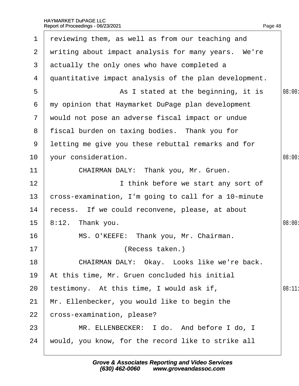| 1              | reviewing them, as well as from our teaching and      |        |
|----------------|-------------------------------------------------------|--------|
| $\overline{2}$ | writing about impact analysis for many years. We're   |        |
| 3              | actually the only ones who have completed a           |        |
| 4              | quantitative impact analysis of the plan development. |        |
| 5              | As I stated at the beginning, it is                   | 08:00: |
| 6              | my opinion that Haymarket DuPage plan development     |        |
| $\mathbf{7}$   | would not pose an adverse fiscal impact or undue      |        |
| 8              | fiscal burden on taxing bodies. Thank you for         |        |
| 9              | letting me give you these rebuttal remarks and for    |        |
| 10             | your consideration.                                   | 08:00: |
| 11             | CHAIRMAN DALY: Thank you, Mr. Gruen.                  |        |
| 12             | I think before we start any sort of                   |        |
| 13             | cross-examination, I'm going to call for a 10-minute  |        |
| 14             | recess. If we could reconvene, please, at about       |        |
| $15\,$         | 8:12. Thank you.                                      | 08:00: |
| 16             | MS. O'KEEFE: Thank you, Mr. Chairman.                 |        |
| 17             | (Recess taken.)                                       |        |
| 18             | CHAIRMAN DALY: Okay. Looks like we're back.           |        |
| 19             | At this time, Mr. Gruen concluded his initial         |        |
| 20             | testimony. At this time, I would ask if,              | 08:11  |
| 21             | Mr. Ellenbecker, you would like to begin the          |        |
| 22             | cross-examination, please?                            |        |
| 23             | MR. ELLENBECKER: I do. And before I do, I             |        |
| 24             | would, you know, for the record like to strike all    |        |
|                |                                                       |        |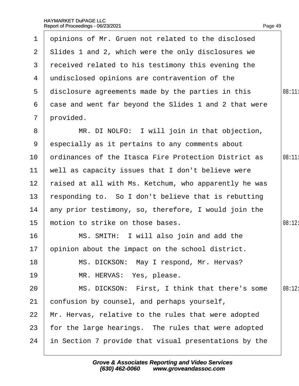| 1               | dpinions of Mr. Gruen not related to the disclosed    |        |
|-----------------|-------------------------------------------------------|--------|
| $\overline{2}$  | Slides 1 and 2, which were the only disclosures we    |        |
| 3               | received related to his testimony this evening the    |        |
| 4               | undisclosed opinions are contravention of the         |        |
| 5               | disclosure agreements made by the parties in this     | 08:11  |
| 6               | dase and went far beyond the Slides 1 and 2 that were |        |
| $\overline{7}$  | provided.                                             |        |
| 8               | MR. DI NOLFO: I will join in that objection,          |        |
| 9               | especially as it pertains to any comments about       |        |
| 10              | ordinances of the Itasca Fire Protection District as  | 08:11  |
| 11              | well as capacity issues that I don't believe were     |        |
| 12 <sub>2</sub> | raised at all with Ms. Ketchum, who apparently he was |        |
| 13              | responding to. So I don't believe that is rebutting   |        |
| 14              | any prior testimony, so, therefore, I would join the  |        |
| 15              | motion to strike on those bases.                      | 08:12: |
| 16              | MS. SMITH: I will also join and add the               |        |
|                 | 17 bpinion about the impact on the school district.   |        |
| 18              | MS. DICKSON: May I respond, Mr. Hervas?               |        |
| 19              | MR. HERVAS: Yes, please.                              |        |
| 20              | MS. DICKSON: First, I think that there's some         | 08:12: |
| 21              | confusion by counsel, and perhaps yourself,           |        |
| 22              | Mr. Hervas, relative to the rules that were adopted   |        |
| 23              | for the large hearings. The rules that were adopted   |        |
| 24              | in Section 7 provide that visual presentations by the |        |
|                 |                                                       |        |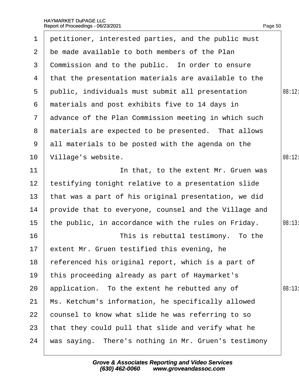| $\mathbf 1$     | petitioner, interested parties, and the public must   |        |
|-----------------|-------------------------------------------------------|--------|
| $\overline{2}$  | be made available to both members of the Plan         |        |
| 3               | Commission and to the public. In order to ensure      |        |
| 4               | that the presentation materials are available to the  |        |
| 5               | public, individuals must submit all presentation      | 08:12: |
| 6               | materials and post exhibits five to 14 days in        |        |
| $\mathbf{7}$    | advance of the Plan Commission meeting in which such  |        |
| 8               | materials are expected to be presented. That allows   |        |
| 9               | all materials to be posted with the agenda on the     |        |
| 10              | Village's website.                                    | 08:12: |
| 11              | In that, to the extent Mr. Gruen was                  |        |
| 12 <sub>2</sub> | testifying tonight relative to a presentation slide   |        |
| 13 <sup>°</sup> | that was a part of his original presentation, we did  |        |
| 14              | provide that to everyone, counsel and the Village and |        |
| 15              | the public, in accordance with the rules on Friday.   | 08:13: |
| 16              | This is rebuttal testimony. To the                    |        |
|                 | 17 extent Mr. Gruen testified this evening, he        |        |
| 18              | referenced his original report, which is a part of    |        |
| 19              | this proceeding already as part of Haymarket's        |        |
| 20              | application. To the extent he rebutted any of         | 08:13  |
| 21              | Ms. Ketchum's information, he specifically allowed    |        |
| 22              | counsel to know what slide he was referring to so     |        |
| 23              | that they could pull that slide and verify what he    |        |
| 24              | was saying. There's nothing in Mr. Gruen's testimony  |        |
|                 |                                                       |        |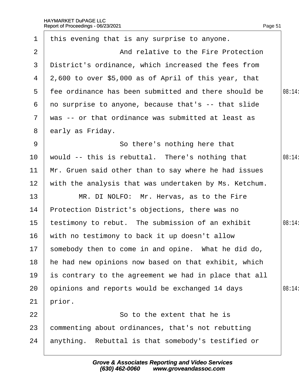| $\mathbf 1$     | this evening that is any surprise to anyone.           |        |
|-----------------|--------------------------------------------------------|--------|
| 2               | And relative to the Fire Protection                    |        |
| 3               | District's ordinance, which increased the fees from    |        |
|                 | 4 2,600 to over \$5,000 as of April of this year, that |        |
| 5               | the ordinance has been submitted and there should be   | 08:14: |
| 6               | no surprise to anyone, because that's -- that slide    |        |
|                 | 7 was -- or that ordinance was submitted at least as   |        |
| 8               | early as Friday.                                       |        |
| 9               | So there's nothing here that                           |        |
| 10              | would -- this is rebuttal. There's nothing that        | 08:14  |
| 11              | Mr. Gruen said other than to say where he had issues   |        |
| 12 <sub>2</sub> | with the analysis that was undertaken by Ms. Ketchum.  |        |
| 13              | MR. DI NOLFO: Mr. Hervas, as to the Fire               |        |
| 14              | Protection District's objections, there was no         |        |
| 15              | testimony to rebut. The submission of an exhibit       | 08:14: |
| 16              | with no testimony to back it up doesn't allow          |        |
|                 | 17 somebody then to come in and opine. What he did do, |        |
| 18              | he had new opinions now based on that exhibit, which   |        |
| 19              | is contrary to the agreement we had in place that all  |        |
| 20              | opinions and reports would be exchanged 14 days        | 08:14: |
| 21              | prior.                                                 |        |
| 22              | So to the extent that he is                            |        |
| 23              | commenting about ordinances, that's not rebutting      |        |
| 24              | anything. Rebuttal is that somebody's testified or     |        |
|                 |                                                        |        |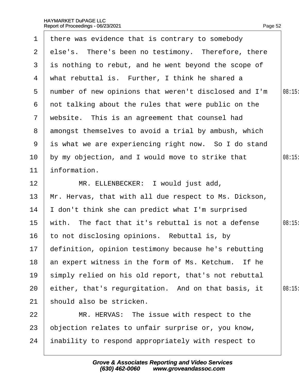|                 | 1 there was evidence that is contrary to somebody       |       |
|-----------------|---------------------------------------------------------|-------|
|                 | 2 else's. There's been no testimony. Therefore, there   |       |
| 3               | is nothing to rebut, and he went beyond the scope of    |       |
| 4               | what rebuttal is. Further, I think he shared a          |       |
|                 | 5 number of new opinions that weren't disclosed and I'm | 08:15 |
|                 | 6 not talking about the rules that were public on the   |       |
| $7\phantom{.}$  | website. This is an agreement that counsel had          |       |
|                 | 8 amongst themselves to avoid a trial by ambush, which  |       |
| 9               | is what we are experiencing right now. So I do stand    |       |
| 10 <sup>°</sup> | by my objection, and I would move to strike that        | 08:15 |
| 11              | information.                                            |       |
| 12 <sub>2</sub> | MR. ELLENBECKER: I would just add,                      |       |
| 13              | Mr. Hervas, that with all due respect to Ms. Dickson,   |       |
| 14              | don't think she can predict what I'm surprised          |       |
| 15              | with. The fact that it's rebuttal is not a defense      | 08:15 |
| 16              | to not disclosing opinions. Rebuttal is, by             |       |
|                 | 17 definition, opinion testimony because he's rebutting |       |
| 18              | an expert witness in the form of Ms. Ketchum. If he     |       |
| 19              | simply relied on his old report, that's not rebuttal    |       |
| 20              | either, that's regurgitation. And on that basis, it     | 08:15 |
| 21              | should also be stricken.                                |       |
| 22              | MR. HERVAS: The issue with respect to the               |       |
| 23              | objection relates to unfair surprise or, you know,      |       |
| 24              | inability to respond appropriately with respect to      |       |
|                 |                                                         |       |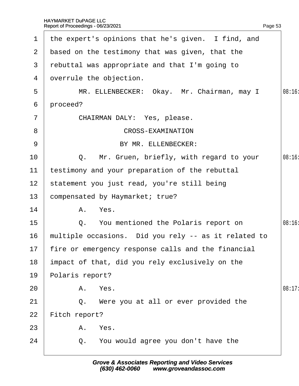| $\mathbf 1$     |                                                 | the expert's opinions that he's given. I find, and    |        |  |  |
|-----------------|-------------------------------------------------|-------------------------------------------------------|--------|--|--|
| 2 <sup>1</sup>  | based on the testimony that was given, that the |                                                       |        |  |  |
| 3               |                                                 | rebuttal was appropriate and that I'm going to        |        |  |  |
| 4               |                                                 | dverrule the objection.                               |        |  |  |
| 5               |                                                 | MR. ELLENBECKER: Okay. Mr. Chairman, may I            | 08:16  |  |  |
| 6               | proceed?                                        |                                                       |        |  |  |
| $\overline{7}$  |                                                 | CHAIRMAN DALY: Yes, please.                           |        |  |  |
| 8               |                                                 | <b>CROSS-EXAMINATION</b>                              |        |  |  |
| 9               |                                                 | BY MR. ELLENBECKER:                                   |        |  |  |
| 10              |                                                 | Q. Mr. Gruen, briefly, with regard to your            | 08:16  |  |  |
| 11              |                                                 | testimony and your preparation of the rebuttal        |        |  |  |
| 12 <sub>2</sub> |                                                 | statement you just read, you're still being           |        |  |  |
| 13              |                                                 | compensated by Haymarket; true?                       |        |  |  |
| 14              |                                                 | A. Yes.                                               |        |  |  |
| 15              |                                                 | Q. You mentioned the Polaris report on                | 08:16  |  |  |
| 16              |                                                 | multiple occasions. Did you rely -- as it related to  |        |  |  |
|                 |                                                 | 17 fire or emergency response calls and the financial |        |  |  |
| 18              |                                                 | impact of that, did you rely exclusively on the       |        |  |  |
| 19              | Polaris report?                                 |                                                       |        |  |  |
| 20              |                                                 | A. Yes.                                               | 08:17: |  |  |
| 21              |                                                 | Q. Were you at all or ever provided the               |        |  |  |
| 22              | Fitch report?                                   |                                                       |        |  |  |
| 23              |                                                 | A. Yes.                                               |        |  |  |
| 24              |                                                 | Q. You would agree you don't have the                 |        |  |  |
|                 |                                                 |                                                       |        |  |  |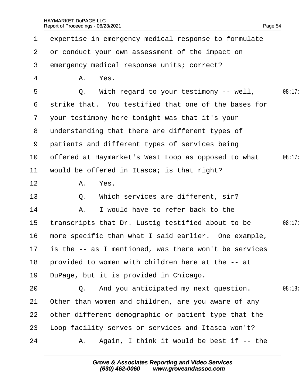$\overline{\phantom{a}}$ 

|                 | 1 expertise in emergency medical response to formulate |        |
|-----------------|--------------------------------------------------------|--------|
| 2 <sup>1</sup>  | or conduct your own assessment of the impact on        |        |
| 3               | emergency medical response units; correct?             |        |
| 4               | A. Yes.                                                |        |
| 5               | Q. With regard to your testimony -- well,              | 08:17: |
|                 | 6 strike that. You testified that one of the bases for |        |
|                 | 7 your testimony here tonight was that it's your       |        |
| 8               | understanding that there are different types of        |        |
|                 | 9 patients and different types of services being       |        |
| 10              | offered at Haymarket's West Loop as opposed to what    | 08:17: |
| 11              | would be offered in Itasca; is that right?             |        |
| 12              | A. Yes.                                                |        |
| 13              | Q. Which services are different, sir?                  |        |
| 14              | A. I would have to refer back to the                   |        |
| 15              | transcripts that Dr. Lustig testified about to be      | 08:17: |
| 16              | more specific than what I said earlier. One example,   |        |
| 17 <sup>7</sup> | is the -- as I mentioned, was there won't be services  |        |
| 18              | provided to women with children here at the -- at      |        |
| 19              | DuPage, but it is provided in Chicago.                 |        |
| 20              | Q. And you anticipated my next question.               | 08:18  |
| 21              | Other than women and children, are you aware of any    |        |
| 22              | other different demographic or patient type that the   |        |
| 23              | oop facility serves or services and Itasca won't?      |        |
| 24              | A. Again, I think it would be best if -- the           |        |
|                 |                                                        |        |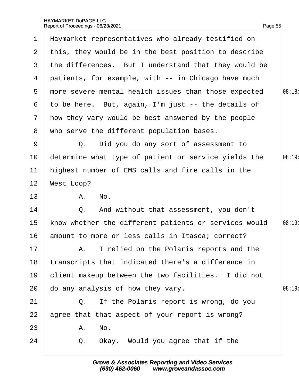| $\mathbf 1$    |            | Haymarket representatives who already testified on    |        |
|----------------|------------|-------------------------------------------------------|--------|
| $\mathbf{2}$   |            | this, they would be in the best position to describe  |        |
| 3              |            | the differences. But I understand that they would be  |        |
| 4              |            | patients, for example, with -- in Chicago have much   |        |
| 5              |            | more severe mental health issues than those expected  | 08:18  |
| 6              |            | to be here. But, again, I'm just -- the details of    |        |
| $\overline{7}$ |            | How they vary would be best answered by the people    |        |
| 8              |            | who serve the different population bases.             |        |
| 9              |            | Q. Did you do any sort of assessment to               |        |
| 10             |            | determine what type of patient or service yields the  | 08:19: |
| 11             |            | highest number of EMS calls and fire calls in the     |        |
| 12             | West Loop? |                                                       |        |
| 13             |            | A. No.                                                |        |
| 14             |            | Q. And without that assessment, you don't             |        |
| 15             |            | know whether the different patients or services would | 08:19: |
| 16             |            | amount to more or less calls in Itasca; correct?      |        |
| $17 \,$        |            | A. I relied on the Polaris reports and the            |        |
| 18             |            | transcripts that indicated there's a difference in    |        |
| 19             |            | client makeup between the two facilities. I did not   |        |
| 20             |            | do any analysis of how they vary.                     | 08:19  |
| 21             |            | Q. If the Polaris report is wrong, do you             |        |
| 22             |            | agree that that aspect of your report is wrong?       |        |
| 23             |            | A. No.                                                |        |
| 24             |            | Q. Okay. Would you agree that if the                  |        |
|                |            |                                                       |        |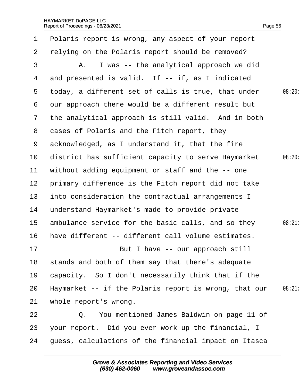|                  | 1 Polaris report is wrong, any aspect of your report  |        |
|------------------|-------------------------------------------------------|--------|
| $\overline{2}$   | relying on the Polaris report should be removed?      |        |
| 3                | A. I was -- the analytical approach we did            |        |
| 4                | and presented is valid. If -- if, as I indicated      |        |
| $5^{\circ}$      | today, a different set of calls is true, that under   | 08:20: |
| 6                | dur approach there would be a different result but    |        |
|                  | 7 the analytical approach is still valid. And in both |        |
| 8                | dases of Polaris and the Fitch report, they           |        |
|                  | 9 acknowledged, as I understand it, that the fire     |        |
| 10 <sup>°</sup>  | district has sufficient capacity to serve Haymarket   | 08:20: |
| 11               | without adding equipment or staff and the -- one      |        |
| 12 <sub>2</sub>  | primary difference is the Fitch report did not take   |        |
| 13 <sup>°</sup>  | into consideration the contractual arrangements I     |        |
| 14               | understand Haymarket's made to provide private        |        |
| 15 <sub>15</sub> | ambulance service for the basic calls, and so they    | 08:21  |
| 16               | have different -- different call volume estimates.    |        |
| 17               | But I have -- our approach still                      |        |
| 18               | stands and both of them say that there's adequate     |        |
| 19               | capacity. So I don't necessarily think that if the    |        |
| 20               | Haymarket -- if the Polaris report is wrong, that our | 08:21  |
| 21               | whole report's wrong.                                 |        |
| 22               | Q. You mentioned James Baldwin on page 11 of          |        |
| 23               | your report. Did you ever work up the financial, I    |        |
| 24               | guess, calculations of the financial impact on Itasca |        |
|                  |                                                       |        |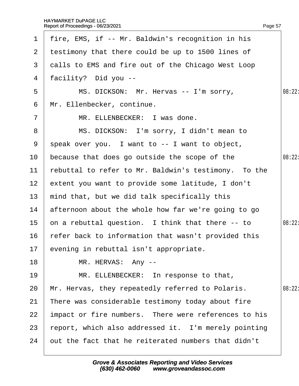|                 | 1 fire, EMS, if -- Mr. Baldwin's recognition in his  |        |
|-----------------|------------------------------------------------------|--------|
| $\mathbf{2}$    | testimony that there could be up to 1500 lines of    |        |
| 3               | dalls to EMS and fire out of the Chicago West Loop   |        |
| 4               | facility? Did you --                                 |        |
| 5               | MS. DICKSON: Mr. Hervas -- I'm sorry,                | 08:22: |
| 6               | Mr. Ellenbecker, continue.                           |        |
| $\overline{7}$  | MR. ELLENBECKER: I was done.                         |        |
| 8               | MS. DICKSON: I'm sorry, I didn't mean to             |        |
| 9               | speak over you. I want to -- I want to object,       |        |
| 10              | because that does go outside the scope of the        | 08:22: |
| 11              | rebuttal to refer to Mr. Baldwin's testimony. To the |        |
| 12 <sub>2</sub> | extent you want to provide some latitude, I don't    |        |
| 13              | mind that, but we did talk specifically this         |        |
| 14              | afternoon about the whole how far we're going to go  |        |
| 15              | on a rebuttal question. I think that there -- to     | 08:22: |
| 16              | refer back to information that wasn't provided this  |        |
|                 | 17 evening in rebuttal isn't appropriate.            |        |
| 18              | MR. HERVAS: Any --                                   |        |
| 19              | MR. ELLENBECKER: In response to that,                |        |
| 20              | Mr. Hervas, they repeatedly referred to Polaris.     | 08:22  |
| 21              | There was considerable testimony today about fire    |        |
| 22              | impact or fire numbers. There were references to his |        |
| 23              | report, which also addressed it. I'm merely pointing |        |
| 24              | but the fact that he reiterated numbers that didn't  |        |
|                 |                                                      |        |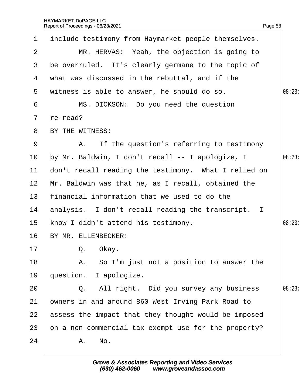| $\mathbf 1$     | include testimony from Haymarket people themselves.  |       |
|-----------------|------------------------------------------------------|-------|
| 2               | MR. HERVAS: Yeah, the objection is going to          |       |
| 3               | be overruled. It's clearly germane to the topic of   |       |
| 4               | what was discussed in the rebuttal, and if the       |       |
| 5               | witness is able to answer, he should do so.          | 08:23 |
| 6               | MS. DICKSON: Do you need the question                |       |
| $7\phantom{.}$  | re-read?                                             |       |
| 8               | BY THE WITNESS:                                      |       |
| 9               | A. If the question's referring to testimony          |       |
| 10              | by Mr. Baldwin, I don't recall -- I apologize, I     | 08:23 |
| 11              | don't recall reading the testimony. What I relied on |       |
| 12 <sup>2</sup> | Mr. Baldwin was that he, as I recall, obtained the   |       |
| 13 <sup>°</sup> | financial information that we used to do the         |       |
| 14              | analysis. I don't recall reading the transcript. I   |       |
| 15 <sub>2</sub> | know I didn't attend his testimony.                  | 08:23 |
| 16              | BY MR. ELLENBECKER:                                  |       |
| 17              | Q. Okay.                                             |       |
| 18              | A. So I'm just not a position to answer the          |       |
| 19              | question. I apologize.                               |       |
| 20              | Q. All right. Did you survey any business            | 08:23 |
| 21              | owners in and around 860 West Irving Park Road to    |       |
| 22              | assess the impact that they thought would be imposed |       |
| 23              | on a non-commercial tax exempt use for the property? |       |
| 24              | A. No.                                               |       |
|                 |                                                      |       |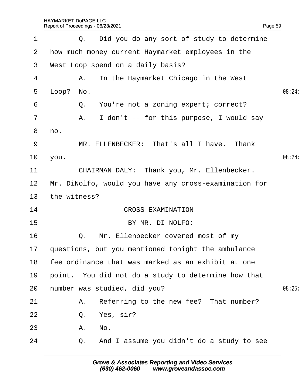$1 \mid Q$ . Did you do any sort of study to determine

| $\mathbf{2}$   | how much money current Haymarket employees in the     |       |  |  |
|----------------|-------------------------------------------------------|-------|--|--|
| 3              | West Loop spend on a daily basis?                     |       |  |  |
| 4              | A. In the Haymarket Chicago in the West               |       |  |  |
| 5              | $\mu$ oop? No.                                        | 08:24 |  |  |
| 6              | Q. You're not a zoning expert; correct?               |       |  |  |
| $\overline{7}$ | A. I don't -- for this purpose, I would say           |       |  |  |
| 8              | no.                                                   |       |  |  |
| 9              | MR. ELLENBECKER: That's all I have. Thank             |       |  |  |
| 10             | you.                                                  | 08:24 |  |  |
| 11             | CHAIRMAN DALY: Thank you, Mr. Ellenbecker.            |       |  |  |
| 12             | Mr. DiNolfo, would you have any cross-examination for |       |  |  |
| 13             | the witness?                                          |       |  |  |
| 14             | <b>CROSS-EXAMINATION</b>                              |       |  |  |
| 15             | BY MR. DI NOLFO:                                      |       |  |  |
| 16             | Q. Mr. Ellenbecker covered most of my                 |       |  |  |
| 17             | questions, but you mentioned tonight the ambulance    |       |  |  |
| 18             | fee ordinance that was marked as an exhibit at one    |       |  |  |
| 19             | point. You did not do a study to determine how that   |       |  |  |
| 20             | humber was studied, did you?<br>08:25                 |       |  |  |
| 21             | Referring to the new fee? That number?<br>A.          |       |  |  |
| 22             | Q. Yes, sir?                                          |       |  |  |
| 23             | A. No.                                                |       |  |  |
| 24             | Q. And I assume you didn't do a study to see          |       |  |  |
|                |                                                       |       |  |  |

Page 59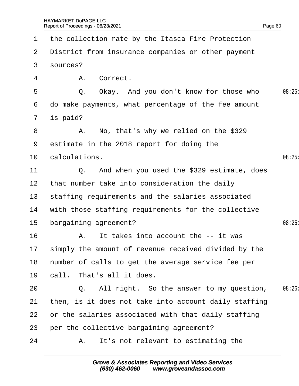| $\mathbf 1$     | the collection rate by the Itasca Fire Protection       |        |
|-----------------|---------------------------------------------------------|--------|
| $\overline{2}$  | District from insurance companies or other payment      |        |
| 3 <sup>1</sup>  | sources?                                                |        |
| 4               | A. Correct.                                             |        |
| 5               | Q. Okay. And you don't know for those who               | 08:25  |
| 6               | do make payments, what percentage of the fee amount     |        |
|                 | 7 $i\$ {p} paid?                                        |        |
| 8               | A. No, that's why we relied on the \$329                |        |
| 9               | estimate in the 2018 report for doing the               |        |
| 10 <sup>°</sup> | calculations.                                           | 08:25  |
| 11              | Q. And when you used the \$329 estimate, does           |        |
| 12 <sup>2</sup> | that number take into consideration the daily           |        |
| 13 <sup>°</sup> | staffing requirements and the salaries associated       |        |
| 14              | with those staffing requirements for the collective     |        |
| 15 <sub>1</sub> | bargaining agreement?                                   | 08:25  |
| 16              | A. It takes into account the -- it was                  |        |
|                 | 17 simply the amount of revenue received divided by the |        |
| 18              | humber of calls to get the average service fee per      |        |
| 19              | call. That's all it does.                               |        |
| 20              | Q. All right. So the answer to my question,             | 08:26: |
| 21              | then, is it does not take into account daily staffing   |        |
| 22              | or the salaries associated with that daily staffing     |        |
| 23              | per the collective bargaining agreement?                |        |
| 24              | A. It's not relevant to estimating the                  |        |
|                 |                                                         |        |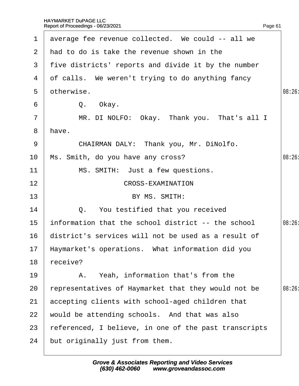| $\mathbf 1$           | average fee revenue collected. We could -- all we     |        |
|-----------------------|-------------------------------------------------------|--------|
| $\mathbf{2}^{\prime}$ | had to do is take the revenue shown in the            |        |
| 3                     | five districts' reports and divide it by the number   |        |
| 4                     | of calls. We weren't trying to do anything fancy      |        |
| 5                     | otherwise.                                            | 08:26  |
| 6                     | Q. Okay.                                              |        |
| $\overline{7}$        | MR. DI NOLFO: Okay. Thank you. That's all I           |        |
| 8                     | have.                                                 |        |
| 9                     | CHAIRMAN DALY: Thank you, Mr. DiNolfo.                |        |
| 10                    | Ms. Smith, do you have any cross?                     | 08:26  |
| 11                    | MS. SMITH: Just a few questions.                      |        |
| 12                    | <b>CROSS-EXAMINATION</b>                              |        |
| 13                    | BY MS. SMITH:                                         |        |
| 14                    | Q. You testified that you received                    |        |
| 15                    | information that the school district -- the school    | 08:26: |
| 16                    | district's services will not be used as a result of   |        |
|                       | 17 Haymarket's operations. What information did you   |        |
| 18                    | receive?                                              |        |
| 19                    | A. Yeah, information that's from the                  |        |
| 20                    | representatives of Haymarket that they would not be   | 08:26: |
| 21                    | accepting clients with school-aged children that      |        |
| 22                    | would be attending schools. And that was also         |        |
| 23                    | referenced, I believe, in one of the past transcripts |        |
| 24                    | but originally just from them.                        |        |
|                       |                                                       |        |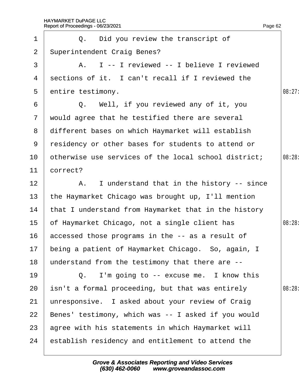|                | Page 62<br>Report of Proceedings - 06/23/2021        |        |
|----------------|------------------------------------------------------|--------|
| 1              | Q. Did you review the transcript of                  |        |
| 2              | <b>Superintendent Craig Benes?</b>                   |        |
| 3              | A. I -- I reviewed -- I believe I reviewed           |        |
| 4              | sections of it. I can't recall if I reviewed the     |        |
| 5              | entire testimony.                                    | 08:27: |
| 6              | Q. Well, if you reviewed any of it, you              |        |
| 7 <sup>7</sup> | would agree that he testified there are several      |        |
| 8              | different bases on which Haymarket will establish    |        |
| 9              | residency or other bases for students to attend or   |        |
| 10             | otherwise use services of the local school district; | 08:28: |
| 11             | correct?                                             |        |
| 12             | A. I understand that in the history -- since         |        |
| 13             | the Haymarket Chicago was brought up, I'll mention   |        |
| 14             | that I understand from Haymarket that in the history |        |
| 15             | of Haymarket Chicago, not a single client has        | 08:28: |
| 16             | accessed those programs in the -- as a result of     |        |
| 17             | being a patient of Haymarket Chicago. So, again, I   |        |
| 18             | understand from the testimony that there are --      |        |
| 19             | Q. I'm going to -- excuse me. I know this            |        |
| 20             | isn't a formal proceeding, but that was entirely     | 08:28: |
| 21             | unresponsive. I asked about your review of Craig     |        |
| 22             | Benes' testimony, which was -- I asked if you would  |        |
| 23             | agree with his statements in which Haymarket will    |        |
| 24             | establish residency and entitlement to attend the    |        |
|                |                                                      |        |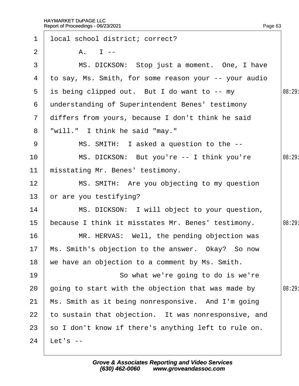|                | Report of Proceedings - 06/23/2021                    | Page 63 |
|----------------|-------------------------------------------------------|---------|
| $\mathbf 1$    | Ipcal school district; correct?                       |         |
| $\overline{2}$ | $A. \ \blacksquare$                                   |         |
| 3              | MS. DICKSON: Stop just a moment. One, I have          |         |
| 4              | to say, Ms. Smith, for some reason your -- your audio |         |
| 5              | is being clipped out. But I do want to -- my          | 08:29   |
| 6              | understanding of Superintendent Benes' testimony      |         |
| 7 <sup>7</sup> | differs from yours, because I don't think he said     |         |
| 8              | "will." I think he said "may."                        |         |
| 9              | MS. SMITH: I asked a question to the --               |         |
| 10             | MS. DICKSON: But you're -- I think you're             | 08:29:  |
| 11             | misstating Mr. Benes' testimony.                      |         |
| 12             | MS. SMITH: Are you objecting to my question           |         |
| 13             | or are you testifying?                                |         |
| 14             | MS. DICKSON: I will object to your question,          |         |
| 15             | because I think it misstates Mr. Benes' testimony.    | 08:29:  |
| 16             | MR. HERVAS: Well, the pending objection was           |         |
| 17             | Ms. Smith's objection to the answer. Okay? So now     |         |
| 18             | we have an objection to a comment by Ms. Smith.       |         |
| 19             | So what we're going to do is we're                    |         |
| 20             | going to start with the objection that was made by    | 08:29:  |
| 21             | Ms. Smith as it being nonresponsive. And I'm going    |         |
| 22             | to sustain that objection. It was nonresponsive, and  |         |
| 23             | so I don't know if there's anything left to rule on.  |         |
| 24             | Let's --                                              |         |
|                |                                                       |         |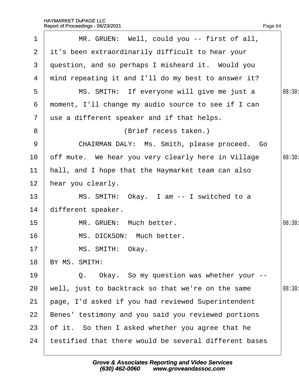|                | Report of Proceedings - 06/23/2021<br>Page 64         |        |
|----------------|-------------------------------------------------------|--------|
| 1              | MR. GRUEN: Well, could you -- first of all,           |        |
| $\overline{2}$ | it's been extraordinarily difficult to hear your      |        |
| 3              | question, and so perhaps I misheard it. Would you     |        |
| 4              | mind repeating it and I'll do my best to answer it?   |        |
| 5              | MS. SMITH: If everyone will give me just a            | 08:30: |
| 6              | moment, I'll change my audio source to see if I can   |        |
| $\mathbf{7}$   | use a different speaker and if that helps.            |        |
| 8              | (Brief recess taken.)                                 |        |
| 9              | CHAIRMAN DALY: Ms. Smith, please proceed. Go          |        |
| 10             | off mute. We hear you very clearly here in Village    | 08:30: |
| 11             | hall, and I hope that the Haymarket team can also     |        |
| 12             | hear you clearly.                                     |        |
| 13             | MS. SMITH: Okay. I am -- I switched to a              |        |
| 14             | different speaker.                                    |        |
| 15             | MR. GRUEN: Much better.                               | 08:30  |
| 16             | MS. DICKSON: Much better.                             |        |
| 17             | MS. SMITH: Okay.                                      |        |
| 18             | BY MS. SMITH:                                         |        |
| 19             | Q. Okay. So my question was whether your --           |        |
| 20             | well, just to backtrack so that we're on the same     | 08:30  |
| 21             | page, I'd asked if you had reviewed Superintendent    |        |
| 22             | Benes' testimony and you said you reviewed portions   |        |
| 23             | of it. So then I asked whether you agree that he      |        |
| 24             | testified that there would be several different bases |        |
|                |                                                       |        |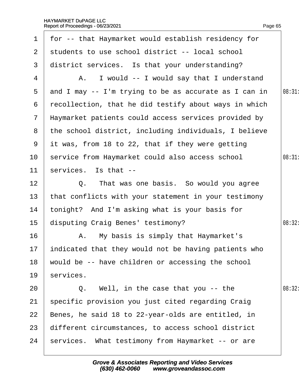|                 | 1 for -- that Haymarket would establish residency for   |        |
|-----------------|---------------------------------------------------------|--------|
| $\mathbf{2}$    | students to use school district -- local school         |        |
| 3               | district services. Is that your understanding?          |        |
| 4               | A. I would -- I would say that I understand             |        |
| 5               | and I may -- I'm trying to be as accurate as I can in   | 08:31  |
| 6               | recollection, that he did testify about ways in which   |        |
|                 | 7 Haymarket patients could access services provided by  |        |
|                 | 8 the school district, including individuals, I believe |        |
| 9               | it was, from 18 to 22, that if they were getting        |        |
| 10              | service from Haymarket could also access school         | 08:31  |
| 11              | services. Is that --                                    |        |
| 12 <sup>2</sup> | Q. That was one basis. So would you agree               |        |
| 13              | that conflicts with your statement in your testimony    |        |
| 14              | tonight? And I'm asking what is your basis for          |        |
| 15 <sub>1</sub> | disputing Craig Benes' testimony?                       | 08:32: |
| 16              | A. My basis is simply that Haymarket's                  |        |
|                 | 17 indicated that they would not be having patients who |        |
| 18              | would be -- have children or accessing the school       |        |
| 19              | services.                                               |        |
| 20              | Q. Well, in the case that you -- the                    | 08:32: |
| 21              | specific provision you just cited regarding Craig       |        |
| 22              | Benes, he said 18 to 22-year-olds are entitled, in      |        |
| 23              | different circumstances, to access school district      |        |
| 24              | services. What testimony from Haymarket -- or are       |        |
|                 |                                                         |        |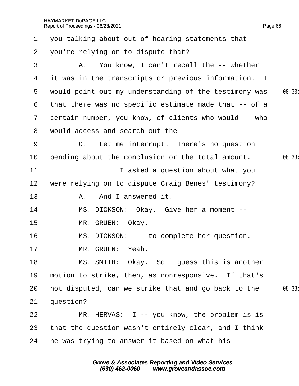| 1              | you talking about out-of-hearing statements that      |       |
|----------------|-------------------------------------------------------|-------|
| $\overline{2}$ | you're relying on to dispute that?                    |       |
| 3              | A. You know, I can't recall the -- whether            |       |
| 4              | it was in the transcripts or previous information. I  |       |
| 5              | would point out my understanding of the testimony was | 08:33 |
| 6              | that there was no specific estimate made that -- of a |       |
| $\mathbf{7}$   | dertain number, you know, of clients who would -- who |       |
| 8              | would access and search out the --                    |       |
| 9              | Q. Let me interrupt. There's no question              |       |
| 10             | pending about the conclusion or the total amount.     | 08:33 |
| 11             | I asked a question about what you                     |       |
| 12             | were relying on to dispute Craig Benes' testimony?    |       |
| 13             | A. And I answered it.                                 |       |
| 14             | MS. DICKSON: Okay. Give her a moment --               |       |
| 15             | MR. GRUEN: Okay.                                      |       |
| 16             | MS. DICKSON: -- to complete her question.             |       |
| 17             | MR. GRUEN: Yeah.                                      |       |
| 18             | MS. SMITH: Okay. So I guess this is another           |       |
| 19             | motion to strike, then, as nonresponsive. If that's   |       |
| 20             | hot disputed, can we strike that and go back to the   | 08:33 |
| 21             | question?                                             |       |
| 22             | MR. HERVAS: I -- you know, the problem is is          |       |
| 23             | that the question wasn't entirely clear, and I think  |       |
| 24             | he was trying to answer it based on what his          |       |
|                |                                                       |       |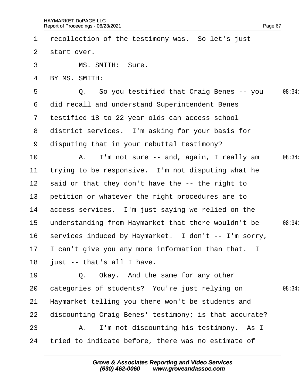2 start over.

1 recollection of the testimony was. So let's just

| 18<br>19              | just -- that's all I have.<br>Q. Okay. And the same for any other                                        |        |
|-----------------------|----------------------------------------------------------------------------------------------------------|--------|
| 17                    | can't give you any more information than that. I                                                         |        |
| 16                    | services induced by Haymarket. I don't -- I'm sorry,                                                     |        |
| 14<br>15 <sub>1</sub> | access services. I'm just saying we relied on the<br>understanding from Haymarket that there wouldn't be | 08:34: |
| 13                    | petition or whatever the right procedures are to                                                         |        |
| 12 <sub>2</sub>       | said or that they don't have the -- the right to                                                         |        |
| 11                    | trying to be responsive. I'm not disputing what he                                                       |        |
| 10                    | A. I'm not sure -- and, again, I really am                                                               | 08:34: |
| 9                     | disputing that in your rebuttal testimony?                                                               |        |
| 8                     | district services. I'm asking for your basis for                                                         |        |
| 7 <sup>1</sup>        | testified 18 to 22-year-olds can access school                                                           |        |
| 6                     | did recall and understand Superintendent Benes                                                           |        |
| 5                     | Q. So you testified that Craig Benes -- you                                                              | 08:34: |
| 4                     | BY MS. SMITH:                                                                                            |        |
| 3                     | MS. SMITH: Sure.                                                                                         |        |

Page 67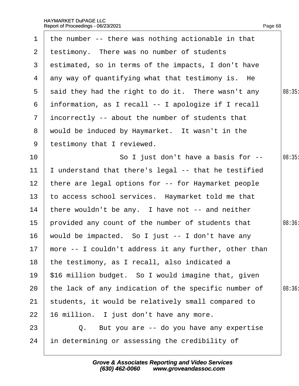|                 | 1 the number -- there was nothing actionable in that  |        |
|-----------------|-------------------------------------------------------|--------|
| 2 <sup>1</sup>  | testimony. There was no number of students            |        |
| 3 <sup>1</sup>  | estimated, so in terms of the impacts, I don't have   |        |
| 4               | any way of quantifying what that testimony is. He     |        |
| 5               | said they had the right to do it. There wasn't any    | 08:35  |
| 6               | information, as I recall -- I apologize if I recall   |        |
| $\mathbf{7}$    | incorrectly -- about the number of students that      |        |
| 8               | would be induced by Haymarket. It wasn't in the       |        |
| 9               | testimony that I reviewed.                            |        |
| 10 <sup>°</sup> | So I just don't have a basis for --                   | 08:35  |
| 11              | understand that there's legal -- that he testified    |        |
| 12              | there are legal options for -- for Haymarket people   |        |
| 13              | to access school services. Haymarket told me that     |        |
| 14              | there wouldn't be any. I have not -- and neither      |        |
| 15              | provided any count of the number of students that     | 08:36: |
| 16              | would be impacted. So I just -- I don't have any      |        |
| 17 <sub>2</sub> | more -- I couldn't address it any further, other than |        |
| 18              | the testimony, as I recall, also indicated a          |        |
| 19              | \$16 million budget. So I would imagine that, given   |        |
| 20              | the lack of any indication of the specific number of  | 08:36  |
| 21              | students, it would be relatively small compared to    |        |
| 22              | 16 million. I just don't have any more.               |        |
| 23              | Q. But you are -- do you have any expertise           |        |
| 24              | in determining or assessing the credibility of        |        |
|                 |                                                       |        |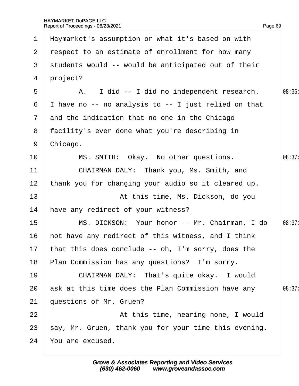| $\mathbf 1$     | Haymarket's assumption or what it's based on with     |        |
|-----------------|-------------------------------------------------------|--------|
| 2 <sup>1</sup>  | respect to an estimate of enrollment for how many     |        |
| 3               | students would -- would be anticipated out of their   |        |
| 4               | project?                                              |        |
| 5               | A. I did -- I did no independent research.            | 08:36: |
| 6               | I have no -- no analysis to -- I just relied on that  |        |
| $\mathbf{7}$    | and the indication that no one in the Chicago         |        |
| 8               | facility's ever done what you're describing in        |        |
| 9               | Chicago.                                              |        |
| 10 <sup>°</sup> | MS. SMITH: Okay. No other questions.                  | 08:37: |
| 11              | CHAIRMAN DALY: Thank you, Ms. Smith, and              |        |
| 12              | thank you for changing your audio so it cleared up.   |        |
| 13              | At this time, Ms. Dickson, do you                     |        |
| 14              | have any redirect of your witness?                    |        |
| 15              | MS. DICKSON: Your honor -- Mr. Chairman, I do         | 08:37: |
| 16              | not have any redirect of this witness, and I think    |        |
|                 | 17 that this does conclude -- oh, I'm sorry, does the |        |
| 18              | Plan Commission has any questions? I'm sorry.         |        |
| 19              | CHAIRMAN DALY: That's quite okay. I would             |        |
| 20              | ask at this time does the Plan Commission have any    | 08:37: |
| 21              | questions of Mr. Gruen?                               |        |
| 22              | At this time, hearing none, I would                   |        |
| 23              | say, Mr. Gruen, thank you for your time this evening. |        |
| 24              | You are excused.                                      |        |
|                 |                                                       |        |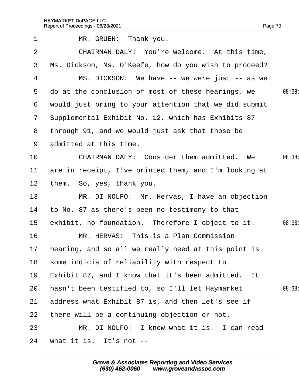|                 | Report of Proceedings - 06/23/2021                    | Page 70 |
|-----------------|-------------------------------------------------------|---------|
| $\mathbf 1$     | MR. GRUEN: Thank you.                                 |         |
| 2               | CHAIRMAN DALY: You're welcome. At this time,          |         |
| 3               | Ms. Dickson, Ms. O'Keefe, how do you wish to proceed? |         |
| 4               | MS. DICKSON: We have -- we were just -- as we         |         |
| 5               | do at the conclusion of most of these hearings, we    | 08:38:  |
| 6               | would just bring to your attention that we did submit |         |
| $7\overline{ }$ | Supplemental Exhibit No. 12, which has Exhibits 87    |         |
| 8               | through 91, and we would just ask that those be       |         |
|                 | 9 admitted at this time.                              |         |
| 10              | <b>CHAIRMAN DALY: Consider them admitted. We</b>      | 08:38:  |
| 11              | are in receipt, I've printed them, and I'm looking at |         |
| 12 <sub>2</sub> | them. So, yes, thank you.                             |         |
| 13              | MR. DI NOLFO: Mr. Hervas, I have an objection         |         |
| 14              | to No. 87 as there's been no testimony to that        |         |
| 15              | exhibit, no foundation. Therefore I object to it.     | 08:38:  |
| 16              | MR. HERVAS: This is a Plan Commission                 |         |
| 17              | hearing, and so all we really need at this point is   |         |
| 18              | some indicia of reliability with respect to           |         |
| 19              | Exhibit 87, and I know that it's been admitted. It    |         |
| 20              | hasn't been testified to, so I'll let Haymarket       | 08:38   |
| 21              | address what Exhibit 87 is, and then let's see if     |         |
| 22              | there will be a continuing objection or not.          |         |
| 23              | MR. DI NOLFO: I know what it is. I can read           |         |
| 24              | what it is. It's not --                               |         |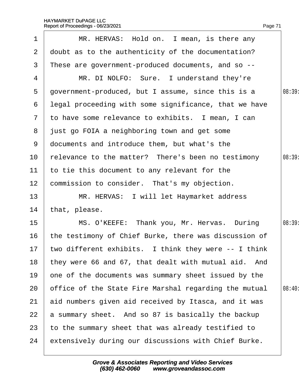| $\mathbf 1$     | MR. HERVAS: Hold on. I mean, is there any               |        |
|-----------------|---------------------------------------------------------|--------|
| $\overline{2}$  | doubt as to the authenticity of the documentation?      |        |
| 3               | These are government-produced documents, and so --      |        |
| 4               | MR. DI NOLFO: Sure. I understand they're                |        |
| 5               | government-produced, but I assume, since this is a      | 08:39: |
| 6               | legal proceeding with some significance, that we have   |        |
|                 | 7 to have some relevance to exhibits. I mean, I can     |        |
|                 | 8 just go FOIA a neighboring town and get some          |        |
| 9               | documents and introduce them, but what's the            |        |
| 10 <sup>°</sup> | felevance to the matter? There's been no testimony      | 08:39: |
| 11              | to tie this document to any relevant for the            |        |
| 12 <sub>2</sub> | commission to consider. That's my objection.            |        |
| 13              | MR. HERVAS: I will let Haymarket address                |        |
| 14              | that, please.                                           |        |
| 15 <sub>2</sub> | MS. O'KEEFE: Thank you, Mr. Hervas. During              | 08:39: |
| 16              | the testimony of Chief Burke, there was discussion of   |        |
|                 | 17 two different exhibits. I think they were -- I think |        |
| 18              | they were 66 and 67, that dealt with mutual aid. And    |        |
| 19              | one of the documents was summary sheet issued by the    |        |
| 20              | office of the State Fire Marshal regarding the mutual   | 08:40: |
| 21              | aid numbers given aid received by Itasca, and it was    |        |
| 22              | a summary sheet. And so 87 is basically the backup      |        |
| 23              | to the summary sheet that was already testified to      |        |
| 24              | extensively during our discussions with Chief Burke.    |        |
|                 |                                                         |        |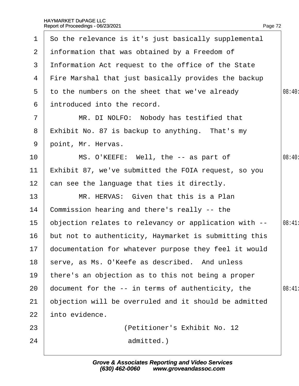<span id="page-72-0"></span>

| $\mathbf 1$     | So the relevance is it's just basically supplemental     |       |
|-----------------|----------------------------------------------------------|-------|
| 2 <sup>1</sup>  | information that was obtained by a Freedom of            |       |
| 3               | Information Act request to the office of the State       |       |
| 4               | Fire Marshal that just basically provides the backup     |       |
| 5               | to the numbers on the sheet that we've already           | 08:40 |
| 6               | introduced into the record.                              |       |
| $\overline{7}$  | MR. DI NOLFO: Nobody has testified that                  |       |
| 8               | Exhibit No. 87 is backup to anything. That's my          |       |
| 9               | point, Mr. Hervas.                                       |       |
| 10              | MS. O'KEEFE: Well, the -- as part of                     | 08:40 |
| 11              | Exhibit 87, we've submitted the FOIA request, so you     |       |
| 12 <sub>2</sub> | can see the language that ties it directly.              |       |
| 13              | MR. HERVAS: Given that this is a Plan                    |       |
| 14              | Commission hearing and there's really -- the             |       |
| 15 <sub>1</sub> | objection relates to relevancy or application with --    | 08:41 |
| 16              | but not to authenticity, Haymarket is submitting this    |       |
|                 | 17 documentation for whatever purpose they feel it would |       |
| 18              | serve, as Ms. O'Keefe as described. And unless           |       |
| 19              | there's an objection as to this not being a proper       |       |
| 20              | document for the -- in terms of authenticity, the        | 08:41 |
| 21              | objection will be overruled and it should be admitted    |       |
| 22              | into evidence.                                           |       |
| 23              | (Petitioner's Exhibit No. 12)                            |       |
| 24              | admitted.)                                               |       |
|                 |                                                          |       |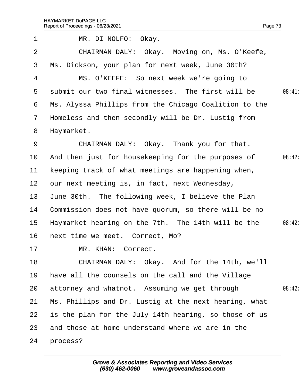<span id="page-73-0"></span>

| $\mathbf 1$     | MR. DI NOLFO: Okay.                                   |        |
|-----------------|-------------------------------------------------------|--------|
| 2               | CHAIRMAN DALY: Okay. Moving on, Ms. O'Keefe,          |        |
| 3               | Ms. Dickson, your plan for next week, June 30th?      |        |
| 4               | MS. O'KEEFE: So next week we're going to              |        |
| 5               | submit our two final witnesses. The first will be     | 08:41: |
| 6               | Ms. Alyssa Phillips from the Chicago Coalition to the |        |
| $7\overline{ }$ | Homeless and then secondly will be Dr. Lustig from    |        |
| 8               | Haymarket.                                            |        |
| 9               | CHAIRMAN DALY: Okay. Thank you for that.              |        |
| 10              | And then just for housekeeping for the purposes of    | 08:42: |
| 11              | keeping track of what meetings are happening when,    |        |
| 12 <sup>1</sup> | bur next meeting is, in fact, next Wednesday,         |        |
| 13              | June 30th. The following week, I believe the Plan     |        |
| 14              | Commission does not have quorum, so there will be no  |        |
| 15 <sub>1</sub> | Haymarket hearing on the 7th. The 14th will be the    | 08:42: |
| 16              | hext time we meet. Correct, Mo?                       |        |
| 17 <sub>1</sub> | MR. KHAN: Correct.                                    |        |
| 18              | CHAIRMAN DALY: Okay. And for the 14th, we'll          |        |
| 19              | have all the counsels on the call and the Village     |        |
| 20              | attorney and whatnot. Assuming we get through         | 08:42: |
| 21              | Ms. Phillips and Dr. Lustig at the next hearing, what |        |
| 22              | is the plan for the July 14th hearing, so those of us |        |
| 23              | and those at home understand where we are in the      |        |
| 24              | process?                                              |        |
|                 |                                                       |        |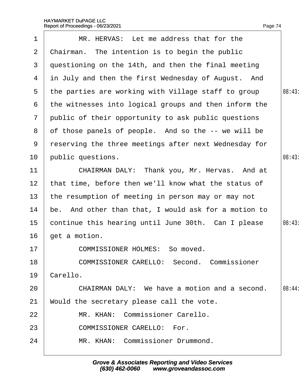<span id="page-74-0"></span>

| 1              | MR. HERVAS: Let me address that for the               |        |
|----------------|-------------------------------------------------------|--------|
| 2              | Chairman. The intention is to begin the public        |        |
| 3              | questioning on the 14th, and then the final meeting   |        |
| 4              | in July and then the first Wednesday of August. And   |        |
| 5              | the parties are working with Village staff to group   | 08:43: |
| 6              | the witnesses into logical groups and then inform the |        |
| $\overline{7}$ | public of their opportunity to ask public questions   |        |
| 8              | of those panels of people. And so the -- we will be   |        |
| 9              | reserving the three meetings after next Wednesday for |        |
| 10             | public questions.                                     | 08:43  |
| 11             | CHAIRMAN DALY: Thank you, Mr. Hervas. And at          |        |
| 12             | that time, before then we'll know what the status of  |        |
| 13             | the resumption of meeting in person may or may not    |        |
| 14             | be. And other than that, I would ask for a motion to  |        |
| 15             | continue this hearing until June 30th. Can I please   | 08:43  |
| 16             | get a motion.                                         |        |
| 17             | <b>COMMISSIONER HOLMES: So moved.</b>                 |        |
| 18             | <b>COMMISSIONER CARELLO: Second. Commissioner</b>     |        |
| 19             | Carello.                                              |        |
| 20             | CHAIRMAN DALY: We have a motion and a second.         | 08:44: |
| 21             | Would the secretary please call the vote.             |        |
| 22             | MR. KHAN: Commissioner Carello.                       |        |
| 23             | <b>COMMISSIONER CARELLO: For.</b>                     |        |
| 24             | MR. KHAN: Commissioner Drummond.                      |        |
|                |                                                       |        |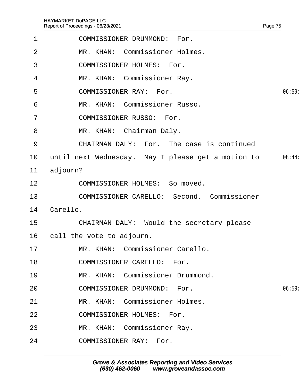<span id="page-75-0"></span>

| $\mathbf 1$    | <b>COMMISSIONER DRUMMOND: For.</b>                 |        |
|----------------|----------------------------------------------------|--------|
| 2              | MR. KHAN: Commissioner Holmes.                     |        |
| 3              | <b>COMMISSIONER HOLMES: For.</b>                   |        |
| 4              | MR. KHAN: Commissioner Ray.                        |        |
| 5              | <b>COMMISSIONER RAY: For.</b>                      | 06:59  |
| 6              | MR. KHAN: Commissioner Russo.                      |        |
| $\overline{7}$ | <b>COMMISSIONER RUSSO: For.</b>                    |        |
| 8              | MR. KHAN: Chairman Daly.                           |        |
| 9              | CHAIRMAN DALY: For. The case is continued          |        |
| 10             | until next Wednesday. May I please get a motion to | 08:44: |
| 11             | adjourn?                                           |        |
| 12             | <b>COMMISSIONER HOLMES: So moved.</b>              |        |
| 13             | <b>COMMISSIONER CARELLO: Second. Commissioner</b>  |        |
| 14             | Carello.                                           |        |
| 15             | <b>CHAIRMAN DALY: Would the secretary please</b>   |        |
| 16             | call the vote to adjourn.                          |        |
| 17             | MR. KHAN: Commissioner Carello.                    |        |
| 18             | <b>COMMISSIONER CARELLO: For.</b>                  |        |
| 19             | MR. KHAN: Commissioner Drummond.                   |        |
| 20             | <b>COMMISSIONER DRUMMOND: For.</b>                 | 06:59: |
| 21             | MR. KHAN: Commissioner Holmes.                     |        |
| 22             | <b>COMMISSIONER HOLMES: For.</b>                   |        |
| 23             | MR. KHAN: Commissioner Ray.                        |        |
| 24             | <b>COMMISSIONER RAY: For.</b>                      |        |
|                |                                                    |        |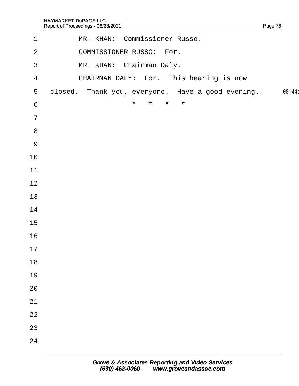<span id="page-76-0"></span>

|                 | Report of Proceedings - 06/23/2021                | Page 76 |
|-----------------|---------------------------------------------------|---------|
| $\mathbf{1}$    | MR. KHAN: Commissioner Russo.                     |         |
| $\overline{2}$  | <b>COMMISSIONER RUSSO: For.</b>                   |         |
| 3               | MR. KHAN: Chairman Daly.                          |         |
| $\overline{4}$  | CHAIRMAN DALY: For. This hearing is now           |         |
| 5               | closed. Thank you, everyone. Have a good evening. | 08:44   |
| $6\phantom{1}6$ | $\star$<br>$\star$<br>$\star$<br>$\star$          |         |
| $\overline{7}$  |                                                   |         |
| 8               |                                                   |         |
| 9               |                                                   |         |
| 10              |                                                   |         |
| 11              |                                                   |         |
| 12              |                                                   |         |
| 13              |                                                   |         |
| 14              |                                                   |         |
| 15              |                                                   |         |
| 16              |                                                   |         |
| 17              |                                                   |         |
| 18              |                                                   |         |
| 19              |                                                   |         |
| 20              |                                                   |         |
| 21              |                                                   |         |
| 22              |                                                   |         |
| 23              |                                                   |         |
| 24              |                                                   |         |
|                 |                                                   |         |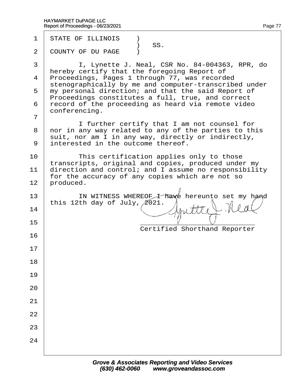| $\mathbf 1$ | <b>STATE OF ILLINOIS</b><br>SS.                                                                                                                                                                                                                                                                                                                                                                                                                                                                                                                                                                      |
|-------------|------------------------------------------------------------------------------------------------------------------------------------------------------------------------------------------------------------------------------------------------------------------------------------------------------------------------------------------------------------------------------------------------------------------------------------------------------------------------------------------------------------------------------------------------------------------------------------------------------|
| 2           | <b>COUNTY OF DU PAGE</b> )                                                                                                                                                                                                                                                                                                                                                                                                                                                                                                                                                                           |
| 3<br>7<br>8 | I, Lynette J. Neal, CSR No. 84-004363, RPR, do<br>hereby certify that the foregoing Report of<br>4 Proceedings, Pages 1 through 77, was recorded<br>stenographically by me and computer-transcribed under<br>5 my personal direction; and that the said Report of<br>Proceedings constitutes a full, true, and correct<br>6 record of the proceeding as heard via remote video<br>conferencing.<br>I further certify that I am not counsel for<br>nor in any way related to any of the parties to this<br>suit, nor am I in any way, directly or indirectly,<br>9 interested in the outcome thereof. |
| 10<br>11    | This certification applies only to those<br>transcripts, original and copies, produced under my<br>direction and control; and I assume no responsibility<br>for the accuracy of any copies which are not so<br>12 produced.                                                                                                                                                                                                                                                                                                                                                                          |
| 13<br>14    | IN WITNESS WHEREOF I have hereunto set my hand<br>this 12th day of July, 2021.                                                                                                                                                                                                                                                                                                                                                                                                                                                                                                                       |
| 15          | <b>Certified Shorthand Reporter</b>                                                                                                                                                                                                                                                                                                                                                                                                                                                                                                                                                                  |
| 16          |                                                                                                                                                                                                                                                                                                                                                                                                                                                                                                                                                                                                      |
| 17          |                                                                                                                                                                                                                                                                                                                                                                                                                                                                                                                                                                                                      |
| 18          |                                                                                                                                                                                                                                                                                                                                                                                                                                                                                                                                                                                                      |
| 19          |                                                                                                                                                                                                                                                                                                                                                                                                                                                                                                                                                                                                      |
| 20          |                                                                                                                                                                                                                                                                                                                                                                                                                                                                                                                                                                                                      |
| 21          |                                                                                                                                                                                                                                                                                                                                                                                                                                                                                                                                                                                                      |
| 22          |                                                                                                                                                                                                                                                                                                                                                                                                                                                                                                                                                                                                      |
| 23          |                                                                                                                                                                                                                                                                                                                                                                                                                                                                                                                                                                                                      |
| 24          |                                                                                                                                                                                                                                                                                                                                                                                                                                                                                                                                                                                                      |
|             |                                                                                                                                                                                                                                                                                                                                                                                                                                                                                                                                                                                                      |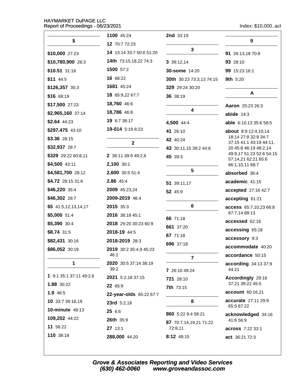Index: \$10,000..act

|                         | 1100 45:24                    | 2nd 33:19                |                                                 |
|-------------------------|-------------------------------|--------------------------|-------------------------------------------------|
| \$                      | 12 70:7 72:23                 |                          | 9                                               |
| \$10,000 27:23          | 14 13:14 33:7 50:6 51:20      | 3                        | 91 26:13,18 70:8                                |
| \$10,780,900 28:3       | <b>14th</b> 73:15,18,22 74:3  | 3 39:12,14               | 93 28:10                                        |
| \$10.51 31:18           | 1500 57:2                     | <b>30-some 14:20</b>     | 99 15:23 16:1                                   |
| \$11 44:5               | 16 68:22                      | 30th 30:23 73:3,13 74:15 | <b>9th 5:20</b>                                 |
| \$126,357 35:3          | 1681 45:24                    | 329 29:24 30:20          |                                                 |
| \$16 68:19              | 18 65:9,22 67:7               | 36 38:19                 | A                                               |
| \$17,500 27:23          | 18,760 46:6                   |                          | Aaron 25:23 26:3                                |
| \$2,965,160 37:14       | 18,786 46:8                   | 4                        | abide $14:3$                                    |
| \$2.64 44:23            | 19 6:7 38:17                  | 4,500 44:4               | able 6:10,13 35:6 58:5                          |
| \$297,475 43:10         | 19-014 5:19 8:23              | 41 26:10                 | <b>about</b> 8:9 12:4,10,14                     |
| \$3.36 28:15            |                               | 42 40:24                 | 18:14 27:8 32:9 34:7<br>37:15 41:1 43:19 44:11, |
| \$32,937 28:7           | $\mathbf{2}$                  | 43 30:11,15 39:2 44:6    | 20 45:8 46:19 48:2,14                           |
| \$329 29:22 60:8,11     | 2 38:11 39:9 49:2,6           | 45 39:3                  | 49:9,17 51:23 52:6 54:15<br>57:14,21 62:21 65:6 |
| \$4,500 43:11           | 2,100 30:1                    |                          | 66:1,10,11 68:7                                 |
| \$4,581,700 28:12       | 2,600 30:5 51:4               | 5                        | absorbed 36:4                                   |
| \$4.72 28:15 31:6       | 2.86 45:4                     | 51 39:11,17              | academic 41:15                                  |
| \$46,220 35:4           | 2009 45:23,24                 | 52 45:9                  | accepted 27:16 42:7                             |
| \$46,302 28:7           | 2009-2019 46:4                |                          | accepting 61:21                                 |
| $$5$ 41:5,12,13,14,17   | 2015 35:3                     | 6                        | access 65:7,10,23 66:8                          |
| \$5,000 51:4            | 2016 38:18 45:1               | 66 71:18                 | 67:7,14 68:13                                   |
| \$5,390 30:4            | 2018 29:20 30:23 60:9         | 661 37:20                | accessed 62:16                                  |
| \$8.74 31:5             | 2018-19 44:5                  | 67 71:18                 | accessing 65:18                                 |
| \$82,431 30:16          | 2018-2019 28:3                | 696 37:18                | accessory 9:3                                   |
| \$86,052 30:19          | 2019 30:2 35:4,9 45:23        |                          | accommodate 40:20                               |
|                         | 46:1                          | $\overline{7}$           | accordance 50:15                                |
| 1                       | 2020 30:5 37:14 38:19<br>39:2 | 7 26:10 49:24            | according 34:13 37:9<br>44:21                   |
| 1 9:1 35:1 37:11 49:2,6 | 2021 5:2,18 37:15             | 721 28:10                | Accordingly 29:16                               |
| 1.88 30:22              | 22 65:9                       | 7th 73:15                | 37:21 39:22 45:5                                |
| 1.9 46:5                | 22-year-olds 65:22 67:7       |                          | account 60:16,21                                |
| 10 33:7 39:16,19        | 23rd 5:2,18                   | 8                        | accurate 27:11 29:9                             |
| 10-minute 48:13         | 25 6:6                        | 860 5:22 9:4 58:21       | 65:5 67:22                                      |
| 109,202 44:22           | 26th 35:9                     | 87 70:7,14,19,21 71:22   | acknowledged 34:16<br>41:6 56:9                 |
| 11 56:22                | 27 13:1                       | 72:8,11                  | across 7:22 33:1                                |
| 110 38:18               | 288,000 44:20                 | 8:12 48:15               | act 36:21 72:3                                  |
|                         |                               |                          |                                                 |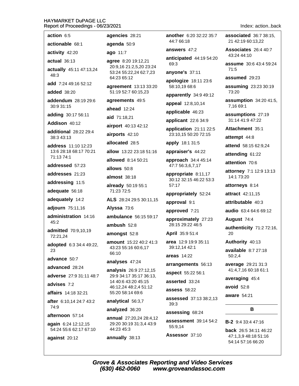| action 6:5                                                       | agencies 28:21                                      |
|------------------------------------------------------------------|-----------------------------------------------------|
| actionable 68:1                                                  | agenda 50:9                                         |
| activity 42:20                                                   | ago 11:7                                            |
| actual 36:13                                                     | agree 8:20 19:12                                    |
| actually 45:11 47:13,24<br>48:3                                  | 20:9,16 21:2,5,2<br>53:24 55:22,24 6<br>64:23 65:12 |
| add 7:24 49:16 52:12                                             | agreement 13:1                                      |
| <b>added</b> 38:20                                               | 51:19 52:7 60:15                                    |
| addendum 28:19 29:6<br>30:9 31:15                                | agreements 49<br>ahead $12:24$                      |
| adding 30:17 56:11                                               | aid 71:18,21                                        |
| Addison 40:12                                                    | airport 40:13 42                                    |
| additional 28:22 29:4<br>38:3 43:13                              | airports 42:10                                      |
| <b>address</b> 11:10 12:23                                       | allocated 28:5                                      |
| 13:6 28:18 68:17 70:21                                           | allow 13:22 23:1                                    |
| 71:13 74:1                                                       | allowed 8:14 50                                     |
| addressed 57:23                                                  | allows 50:8                                         |
| addresses 21:23                                                  | almost 38:18                                        |
| addressing 11:5<br>adequate 56:18                                | already 50:19 5<br>71:23 72:5                       |
| adequately 14:2                                                  | ALS 28:24 29:5                                      |
| adjourn 75:11,16                                                 | Alyssa 73:6                                         |
| administration 14:16                                             | ambulance 56:                                       |
| 45:2                                                             | ambush $52:8$                                       |
| admitted 70:9,10,19<br>72:21,24                                  | amongst 52:8                                        |
| adopted 6:3 34:4 49:22,<br>23                                    | amount 15:22 4<br>43:23 55:16 60:6<br>66:10         |
| advance 50:7                                                     | analyses 47:24                                      |
| advanced 28:24                                                   | analysis 26:92                                      |
| adverse 27:9 31:11 48:7                                          | 29:9 34:17 35:17                                    |
| advises 7:2                                                      | 14 40:6 43:20 45<br>46:12,24 48:2,4                 |
| affairs 14:18 32:21                                              | 55:20 58:14 69:6                                    |
| after 6:10,14 24:7 43:2                                          | analytical 56:3,                                    |
| 74:9                                                             | analyzed 36:20                                      |
| afternoon 57:14<br>again 6:24 12:12,15<br>54:24 55:6 62:17 67:10 | annual 27:20,24<br>29:20 30:19 31:3<br>44:23 45:3   |
| against 20:12                                                    | annually 38:13                                      |
|                                                                  |                                                     |

20 19:12,21 69:3 21:2,5,20 23:24 5:22,24 62:7,23  $5.12$ ent 13:13 33:20 2:7 60:15,23 ents  $49:5$  $2:24$ 8,21 40:13 42:12  $42:10$  $d$  28:5  $: 2223:1851:16$ 8:14 50:21  $8:0i$ 38:18 50:19 55:1  $2:5$ 24 29:5 30:11,15 73:6 Ce 56:15 59:17  $52:8$  $t 52:8$ 15:22 40:2 41:3 5:16 60:6,17  $$47:24$ 26:9 27:12.15 17 35:17 36:13, 43:20 45:15 4 48:2,4 51:12 3:14 69:6 al 56:3.7  $d.36:20$ 27:20,24 28:4,12 0:19 31:3,4 43:9  $5:3$ 

another 6:20 32:22 35:7 44:7 66:18

answers 47:2

anticipated 44:19 54:20

anyone's 37:11

apologize 18:11 23:6 58:10,19 68:6

apparently 34:9 49:12

appeal 12:8,10,14

applicable 46:23

applicant 22:6 34:9

application 21:11 22:5 23:10,15 50:20 72:15

apply 18:1 31:5

appraiser's 44:22

approach 34:4 45:14 47:7 56:3,6,7,17

appropriate 8:11,17 30:12 32:15 46:22 53:3 57:17

#### appropriately 52:24

approval 9:1

approved 7:21

approximately 27:23 28:15 29:22 46:5

April 35:9 51:4

area 12:9 19:9 35:11 39:12.14 42:1

areas 14:22

arrangements 56:13

aspect 55:22 56:1

asserted 33:24

**assess** 58:22

assessed 37:13 38:2.13  $39:3$ 

assessing 68:24

assessment 39:14 54:2 55:9.14

Assessor 37:10

associated 36:7 38:15. 21 42:19 60:13.22

Associates 26:4 40:7 43:24 44:10

assume 30:6 43:4 59:24  $71:5$ 

assumed 29:23

assuming 23:23 30:19 73:20

assumption 34:20 41:5. 7,16 69:1

assumptions 27:19 31:14 41:9 47:22

Attachment 35:1

attempt 44:8

attend 58:15 62:9.24

attending 61:22

attention 70:6

attorney 7:1 12:9 13:13 14:1 73:20

attorneys 8:14

**attract** 42:11,15

attributable 40:3

audio 63:4 64:6 69:12

August 74:4

authenticity 71:2 72:16, 20

Authority 40:13

available  $8:727:18$  $50:2,4$ 

average 29:21 31:3 41:4,7,16 60:18 61:1

averaging 45:4

avoid  $52:8$ 

aware 54:21

#### B

**B-2** 9:4 33:4 47:16

**back** 26:5 34:11 46:22 47:1,3,9 48:18 51:16 54:14 57:16 66:20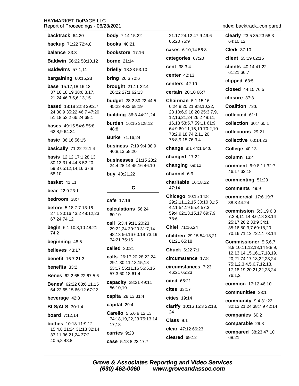| backtrack 64:20                                                         | <b>body</b> 7:14 15:22                                                            | 21:17 24:12 47:9 49:6                                                          |  |
|-------------------------------------------------------------------------|-----------------------------------------------------------------------------------|--------------------------------------------------------------------------------|--|
| backup 71:22 72:4,8                                                     | <b>books</b> 40:21                                                                | 65:20 75:9                                                                     |  |
| <b>balance</b> 33:3                                                     | bookstore 17:16                                                                   | cases 6:10,14 56:8                                                             |  |
| Baldwin 56:22 58:10,12                                                  | borne $21:14$                                                                     | categories 67:20                                                               |  |
| <b>Baldwin's 57:1,11</b>                                                | <b>briefly</b> 18:23 53:10                                                        | cent 38:3,4                                                                    |  |
| bargaining 60:15,23                                                     | <b>bring</b> 26:6 70:6                                                            | center 42:13                                                                   |  |
| <b>base</b> 15:17,18 16:13<br>37:16,18,19 38:6,8,17,                    | <b>brought</b> 21:11 22:4<br>26:22 27:1 62:13                                     | centers $42:10$<br>certain 20:10 66:7                                          |  |
| 21,24 46:3,5,6,13,15                                                    | budget 28:2 30:22 44:5                                                            | Chairman 5:1,15,16                                                             |  |
| <b>based</b> 18:18 22:8 29:2,7,                                         | 45:23 46:3 68:19                                                                  | 6:24 8:20,21 9:8,10,22,                                                        |  |
| 24 30:9 35:22 46:7 47:20<br>51:18 53:2 66:24 69:1                       | <b>building</b> 36:3 44:21,24                                                     | 23 10:6,9 18:20 25:3,7,9,<br>12, 16, 21, 24 26: 248: 11,                       |  |
| <b>bases</b> 49:15 54:6 55:8<br>62:8,9 64:24                            | burden 16:15 31:8,12<br>48:8                                                      | 16,18 53:5,7 59:11 61:9<br>64:9 69:11,15,19 70:2,10                            |  |
| <b>basic</b> 36:16 56:15                                                | <b>Burke 71:16,24</b>                                                             | 73:2,9,18 74:2,11,20<br>75:8,9,15 76:3,4                                       |  |
| basically 71:22 72:1,4                                                  | <b>business</b> 7:19 9:4 38:9<br>46:8,13 58:20                                    | change 8:1 44:1 64:6                                                           |  |
| <b>basis</b> 12:12 17:1 28:13                                           | <b>businesses</b> 21:15 23:2                                                      | changed 17:22                                                                  |  |
| 30:13 31:4 44:8 52:20<br>59:3 65:12,14,16 67:8                          | 24:4 28:14 45:16 46:10                                                            | changing 69:12                                                                 |  |
| 68:10                                                                   | <b>buy</b> $40:21,22$                                                             | channel 6:9                                                                    |  |
| <b>basket</b> 41:11                                                     |                                                                                   | charitable 16:18,22<br>47:14<br>Chicago 10:15 14:8<br>29:2,11,12,15 30:10 31:5 |  |
| bear 22:9 23:1                                                          | C                                                                                 |                                                                                |  |
| <b>bedroom</b> 38:7                                                     | cafe 17:16                                                                        |                                                                                |  |
| <b>before</b> 5:18 7:7 13:16<br>27:1 30:16 43:2 48:12,23<br>67:24 74:12 | calculations 56:24<br>60:10                                                       | 42:1 54:19 55:4 57:3<br>59:4 62:13,15,17 69:7,9<br>73:6                        |  |
| begin 6:1 10:8,10 48:21<br>74:2                                         | <b>call</b> 5:3,4 9:11 20:23<br>29:22,24 30:20 31:7,14<br>48:13 56:16 60:19 73:19 | Chief 71:16,24                                                                 |  |
| beginning 48:5                                                          | 74:21 75:16                                                                       | children 29:15 54:18,21<br>61:21 65:18                                         |  |
| believes 43:17                                                          | <b>called</b> 30:21                                                               | Chuck 6:22 7:1                                                                 |  |
| <b>benefit</b> 16:7 21:3                                                | calls 26:17,20 28:22,24                                                           | circumstance 17:8                                                              |  |
| benefits 33:2                                                           | 29:1 30:11,13,15,18<br>53:17 55:11,16 56:5,15                                     | circumstances 7:23                                                             |  |
| <b>Benes</b> 62:2 65:22 67:5,6                                          | 57:3 60:18 61:4                                                                   | 46:21 65:23                                                                    |  |
| <b>Benes'</b> 62:22 63:6,11,15                                          | capacity 28:21 49:11<br>56:10,19                                                  | cited 65:21<br>$cites$ 33:17                                                   |  |
| 64:22 65:15 66:12 67:22                                                 | capita 28:13 31:4                                                                 | cities 19:14                                                                   |  |
| beverage 42:8                                                           | capital 29:4                                                                      |                                                                                |  |
| <b>BLS/ALS</b> 30:1,4                                                   | <b>Carello</b> 5:5,6 9:12,13                                                      | clarify 10:16 15:3 22:18,<br>24                                                |  |
| <b>board</b> $7:12,14$                                                  | 74:18,19,22,23 75:13,14,                                                          | Class 9:1                                                                      |  |
| <b>bodies</b> 10:18 11:9,12<br>15:4,8 21:24 31:13 32:14                 | 17,18                                                                             | clear 47:12 66:23                                                              |  |
| 33:11 36:21,24 37:2                                                     | carries 9:23                                                                      | cleared $69:12$                                                                |  |
| 40:5,8 48:8                                                             | case 5:18 8:23 17:7                                                               |                                                                                |  |

 $(630)$  462-0060

Index: backtrack..compared

clearly 23:5 35:23 58:3

client 55:19 62:15 clients 40:14 41:22 61:21 66:7 clipped 63:5

closed 44:15 76:5

collection 30:7 60:1 collections 29:21 collective 60:14.23

College 40:13 column 13:4

closure 37:3 Coalition 73:6 collected 61:1

64:10.12 Clerk 37:10

comment 6:9 8:11 32:7 46:17 63:18 commenting 51:23 comments 49:9 commercial 17:6 19:7 38:8 44:24 commission  $5:3,196:3$ 7:2,8,11,14 8:6,18 23:14 25:17 26:2 33:9 34:1 35:16 50:3,7 69:18,20 70:16 71:12 72:14 73:14 Commissioner 5:5,6,7, 8,9,10,11,12,13,14 9:8,9, 12, 13, 14, 15, 16, 17, 18, 19, 20,21 74:17,18,22,23,24 75:1,2,3,4,5,6,7,12,13, 17, 18, 19, 20, 21, 22, 23, 24 76:1,2 common 17:12 46:10 communities 33:1 **community** 9:4 31:22 32:13,21,24 38:7,9 42:14 companies 60:2 comparable 29:8 compared 38:23 47:10

**Grove & Associates Reporting and Video Services** www.groveandassoc.com

68:21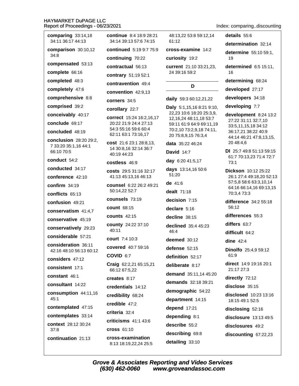comparing  $33:14.18$ continue 8:4 18:9 28:21 details 55:6 48:13.22 53:8 59:12.14 34:11 36:17 44:13 34:14 39:13 57:6 74:15  $61:12$ determination 32:14 comparison 30:10,12 continued 5:19 9:7 75:9 cross-examine 14:2 determine 55:10 59:1. 34:8 continuing 70:22 curiosity 19:2 19 compensated 53:13 determined 6:5 15:11, contractual 56:13 current 21:10 33:21,23, complete 66:16 24 39:16 59:2 16 contrary 51:19 52:1 completed 48:3 determining 68:24 contravention 49:4 D completely 47:6 developed 27:17 convention 42:9.13 comprehensive 8:8 developers 34:18 daily 59:3 60:12,21,22 corners 34:5 developing 7:7 comprised 39:2 Daly 5:1,15,16 8:21 9:10, corollary 22:7 22,23 10:6 18:20 25:3,9, conceivably 40:17 development 8:24 13:2 correct 15:24 16:2,16,17 12, 16, 24 48: 11, 18 53: 7 27:22 31:11 32:7,10 conclude 69:17 20:22 21:9 24:4 27:13 59:11 61:9 64:9 69:11,19 33:5,11,15,18 34:12 54:3 55:16 59:6 60:4 70:2,10 73:2,9,18 74:11, concluded 48:19 36:17,21 38:22 40:9 62:11 63:1 73:16,17 20 75:8,9,15 76:3,4 44:14 46:21 47:8,13,15, conclusion 28:20 29:2. cost 21:6 23:1 28:8,13, 20 48:4,6 data 35:22 46:24 7 33:20 35:1,16 44:1 14 30:8.16 32:14 36:7 DI 25:7 49:8 51:13 59:15 66:10 70:5 **David** 14:7 40:19 44:23 61:7 70:13,23 71:4 72:7 conduct  $54:2$ day 6:20 41:5,17 costless 46:9  $73:1$ conducted 34:17 days 13:14,16 50:6 costs 29:5 31:16 32:17 Dickson 10:12 25:22 51:20 26:1 27:4 49:18.20 52:13 conference 42:10 41:13 45:13,16 46:13 57:5,8 58:6 63:3,10,14 de 41:6 confirm  $34:19$ counsel 6:22 26:2 49:21 64:16 66:14,16 69:13,15 50:14.22 52:7 dealt  $71.18$ 70:3.4 73:3 conflicts 65:13 counsels 73:19 decision 7:15 difference 34:2 55:18 confusion 49:21 56:12 **count 68:15** declare 5:16 conservatism 41:4,7 differences 55:3 **counts 42:15** decline 38:15 conservative 45:19 county 24:22 37:10 differs  $63:7$ declined 35:4 45:23 conservatively 29:23 40:11 46:4 difficult 64:2 considerable 57:21 court 7:4 10:3 deemed 30:12 dine  $42:4$ consideration 36:11 covered 40:7 59:16 defense  $52:15$ **Dinolfo** 25:4,9 59:12 42:16 48:10 56:13 60:12  $61:9$ COVID 6:7 definition 52:17 considers 47.12 direct 14:9 19:16 20:1 Craig 62:2,21 65:15,21 deliberate 8:17 consistent 17:1 21:17 27:3 66:12 67:5,22 demand 35:11,14 45:20 constant 46:1 creates  $8.17$ directly 72:12 demands 32:18 39:21 consultant 14:22 disclose 35:15 credentials 14:12 demographic 54:22 consumption 44:11,16 disclosed 10:23 13:16 credibility 68:24  $45:1$ department 14:15 18:15 49:1 52:5 credible 47:2 depend 17:21 contemplated 47:15 disclosing 52:16 criteria  $32.4$ contemplates 33:14 depending 8:1 disclosure 13:13 49:5 criticisms 41:1 43:6 context 28:12 30:24 describe 55:2 disclosures 49:2 **cross 61:10**  $37:8$ describing 69:8 discounting 67:22,23 continuation 21:13 cross-examination detailing 33:10

8:13 18:19,22,24 25:5

Index: comparing..discounting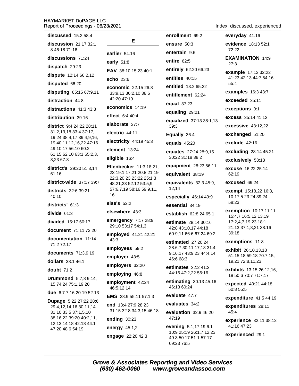| <b>discussed</b> 15:2 58:4                                                      |                                                                              |  |  |
|---------------------------------------------------------------------------------|------------------------------------------------------------------------------|--|--|
| discussion 21:17 32:1,                                                          | Е                                                                            |  |  |
| 8 46:18 71:16<br>discussions 71:24                                              | earlier 54:16                                                                |  |  |
| <b>dispatch</b> 29:23                                                           | early 51:8                                                                   |  |  |
| dispute 12:14 66:2,12                                                           | EAV 38:10,15,23 40:1                                                         |  |  |
| disputed 66:20                                                                  | echo $23:6$                                                                  |  |  |
| disputing 65:15 67:9,11                                                         | economic 22:15 26:8<br>33:9,13 36:2,10 38:6                                  |  |  |
| <b>distraction</b> 44:8                                                         | 42:20 47:19                                                                  |  |  |
| $distractions$ 41:3 43:8                                                        | economics 14:19                                                              |  |  |
| distribution 39:16                                                              | effect 6:4 40:4                                                              |  |  |
| <b>district</b> 9:4 24:22 28:11                                                 | elaborate 37:7                                                               |  |  |
| 31:2,13,18 33:4 37:17,<br>19,24 38:4,17 39:4,9,16,                              | electric 44:11                                                               |  |  |
| 19 40:11,12,16,22 47:16                                                         | electricity 44:19 45:3                                                       |  |  |
| 49:10,17 56:10 60:2<br>61:15 62:10 63:1 65:2,3,                                 | element 13:24                                                                |  |  |
| 8.23 67:8                                                                       | eligible 16:4                                                                |  |  |
| district's 29:20 51:3,14<br>61:16                                               | Ellenbecker 11:3 18:21<br>23 19:1,17,21 20:8 21:1<br>22:3,20,23 23:22 25:1,3 |  |  |
| <b>district-wide</b> 37:17 39:7                                                 | 48:21,23 52:12 53:5,9<br>57:6,7,19 58:16 59:9,11<br>16                       |  |  |
| <b>districts</b> 32:6 39:21<br>40:10                                            |                                                                              |  |  |
| districts' 61:3                                                                 | else's $52:2$                                                                |  |  |
| divide 61:3                                                                     | elsewhere 43:3                                                               |  |  |
| <b>divided</b> 15:17 60:17                                                      | emergency 7:17 28:9<br>29:10 53:17 54:1,3                                    |  |  |
| document 71:11 72:20<br>documentation 11:14                                     | employed 41:21 42:21<br>43:3                                                 |  |  |
| 71:2 72:17                                                                      | employees 59:2                                                               |  |  |
| documents 71:3,9,19                                                             | employer 43:5                                                                |  |  |
| dollars 38:1 46:1                                                               | employers 32:20                                                              |  |  |
| <b>doubt</b> 71:2                                                               | employing 46:8                                                               |  |  |
| <b>Drummond</b> 5:7,8 9:14,<br>15 74:24 75:1,19,20                              | employment 42:24<br>46:5,12,14                                               |  |  |
| <b>due</b> 6:7 7:16 20:19 52:13                                                 | <b>EMS</b> 28:9 55:11 57:1,3                                                 |  |  |
| <b>Dupage</b> 5:22 27:22 28:6<br>29:4,12,14,16 30:11,14<br>31:10 33:5 37:1,5,10 | end 13:4 27:9 28:23<br>31:15 32:8 34:3,15 46:1                               |  |  |
| 38:16,22 39:20 40:2,11,                                                         | ending 30:23                                                                 |  |  |
| 12, 13, 14, 18 42: 18 44: 1<br>47:20 48:6 54:19                                 | energy 45:1,2                                                                |  |  |
|                                                                                 | engage 22:20 42:3                                                            |  |  |

enrollment 69:2 ensure  $50:3$ entertain 9:6 entire 62:5 entirely 62:20 66:23 entities 40:15 entitled 13:2 65:22 entitlement 62:24 equal 37:23 equaling 29:21 equalized 37:13 38:1,13  $39:3$ Equally 36:4 equals  $45:20$ equates 27:24 28:9,15 30:22 31:18 38:2 equipment 28:23 56:11  $: 21,$ :19 equivalent 38:19  $,3$ equivalents 32:3 45:9, 12.14  $11.$ especially 46:14 49:9 essential 34:19 establish 62:8,24 65:1 estimate 28:14 30:16 42:8 43:10,17 44:18 60:9,11 66:6 67:24 69:2 estimated 27:20.24 28:6,7 30:11,17,18 31:4, 9,16,17 43:9,23 44:4,14 46:6 68:3 estimates 32:2 41:2 44:16 47:2,22 56:16 estimating 30:13 45:16 46:13 60:24 evaluate 47:7 evaluates 34:2  $6:18$ evaluation 32:9 46:20 47:19

> evening 5:1,17,19 6:1 10:9 25:19 26:1,7,12,23 49:3 50:17 51:1 57:17 69:23 76:5

Index: discussed..experienced

everyday 41:16 evidence 18:13 52:1  $72.22$ **EXAMINATION 14:9**  $27:3$ example 17:13 32:22 41:23 42:13 44:7 54:16  $55:4$ examples 16:3 43:7 exceeded 35:11 exceptions 9:1 excess 35:14 41:12 excessive 43:12,22 exchanged 51:20

exclude 42:16

excluding 28:14 45:21

exclusively 53:18

excuse 16:22 25:14 62:19

excused 69:24

exempt 15:18,22 16:8, 10 17:5 23:24 39:24 58:23

**exemption** 10:17 11:11 15:4,7 16:5,12,13,19 17:2,4,7,19,23 18:1 21:13 37:1,8,21 38:16 39:18

exemptions 11:8

exhibit 26:10,13,18 51:15,18 59:18 70:7,15, 19,21 72:8,11,23

exhibits 13:15 26:12,16, 18 50:6 70:7 71:7,17

expected 40:21 44:18 50:8 55:5

expenditure 41:5 44:19

expenditures 28:11  $45:4$ 

experience 32:11 38:12 41:16 47:23

experienced 29:1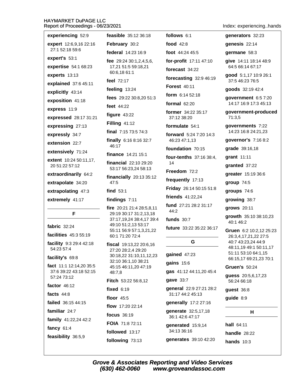| Report of Proceedings - 06/23/2021                |                                                     |                                      | Index: experiencinghands                     |
|---------------------------------------------------|-----------------------------------------------------|--------------------------------------|----------------------------------------------|
| experiencing 52:9                                 | feasible 35:12 36:18                                | follows 6:1                          | generators 32:23                             |
| expert 12:6,9,16 22:16                            | February 30:2                                       | <b>food</b> 42:8                     | genesis 22:14                                |
| 27:1 52:18 59:6                                   | federal 14:23 16:9                                  | foot 44:24 45:5                      | germane 58:3                                 |
| expert's 53:1                                     | fee $29:2430:1,2,4,5,6$ ,                           | for-profit 17:11 47:10               | give 14:11 18:14 48:9                        |
| expertise 54:1 68:23                              | 17,21 51:5 59:18,21<br>60:6,18 61:1                 | forecast 34:22                       | 64:5 66:14 67:17                             |
| experts 13:13                                     | feel 72:17                                          | forecasting $32:946:19$              | good 5:1,17 10:9 26:1<br>37:5 46:23 76:5     |
| explained 37:6 45:11                              | feeling 13:24                                       | <b>Forest 40:11</b>                  | goods 32:19 42:4                             |
| explicitly 43:14                                  | fees 29:22 30:8,20 51:3                             | form $6:1452:18$                     | government 6:5 7:20                          |
| exposition 41:18                                  | feet $44:22$                                        | formal $62:20$                       | 14:17 16:9 17:3 45:13                        |
| express 11:9                                      |                                                     | <b>former</b> 34:22 35:17            | government-produced                          |
| expressed 28:17 31:21                             | figure $43:22$                                      | 37:12 38:20                          | 71:3,5                                       |
| expressing 27:13                                  | <b>Filling 41:12</b>                                | formulate 54:1                       | governments 7:22                             |
| expressly 34:7                                    | final 7:15 73:5 74:3                                | forward 5:24 7:20 14:3               | 14:23 16:8 24:21,23                          |
| extension 22:7                                    | finally 6:16 8:16 32:7<br>46:17                     | 46:23 47:1,13                        | governor's 7:16 8:2                          |
| extensively 71:24                                 | <b>finance</b> $14:21$ 15:1                         | foundation 70:15                     | grade 39:16,18                               |
| <b>extent</b> 10:24 50:11,17,                     | <b>financial</b> 22:10 29:20                        | <b>four-tenths</b> 37:16 38:4,<br>14 | grant 11:11                                  |
| 20 51:22 57:12                                    | 53:17 56:23,24 58:13                                | Freedom 72:2                         | granted 37:22                                |
| extraordinarily 64:2                              | financially $20:1335:12$                            | frequently 17:13                     | greater 15:19 36:6                           |
| extrapolate 34:20                                 | 47:5                                                | Friday 26:14 50:15 51:8              | group $74:5$                                 |
| extrapolating 47:3                                | find $53:1$                                         | friends 41:22,24                     | groups 74:6                                  |
| extremely 41:17                                   | findings 7:11                                       | fund 27:21 28:2 31:17                | growing 38:7                                 |
| F                                                 | fire 20:21 21:4 28:5,8,11<br>29:19 30:17 31:2,13,18 | 44:2                                 | grows 20:11                                  |
|                                                   | 37:17,19,24 38:4,17 39:4                            | funds $30:7$                         | growth 35:10 38:10,23<br>40:1 46:2           |
| fabric 32:24                                      | 49:10 51:2,13 53:17<br>55:11 56:9 57:1,3,21,22      | future 33:22 35:22 36:17             | Gruen 6:2 10:2,12 25:23                      |
| facilities 45:3 55:19                             | 60:1 71:20 72:4                                     |                                      | 26:3,4,17,21,22 27:5                         |
| facility 9:3 29:4 42:18                           | fiscal 19:13,22 20:6,16                             | G                                    | 40:7 43:23,24 44:9<br>48:11,19 49:1 50:11,17 |
| 54:23 57:4                                        | 27:20 28:2,4 29:20<br>30:18,22 31:10,11,12,23       | gained 47:23                         | 51:11 53:10 64:1,15                          |
| facility's 69:8                                   | 32:10 36:1,10 38:21                                 | gains 15:6                           | 66:15,17 69:21,23 70:1                       |
| fact 11:1 12:14,20 35:5<br>37:6 39:22 43:18 52:15 | 45:15 46:11,20 47:19<br>48:7,8                      | gas 41:12 44:11,20 45:4              | <b>Gruen's 50:24</b>                         |
| 57:24 73:12                                       | Fitch 53:22 56:8,12                                 | gave 33:7                            | guess 20:5,6,17,23<br>56:24 66:18            |
| factor $46:12$                                    | fixed 6:19                                          | general 22:9 27:21 28:2              |                                              |
| facts $44:8$                                      | floor 45:5                                          | 31:17 44:2 45:13                     | guest 36:8                                   |
| failed 36:15 44:15                                |                                                     | generally 17:2 27:16                 | guide 8:9                                    |
| familiar 24:7                                     | flow 17:20 22:14                                    | generate 32:5,17,18                  | н                                            |
| family 41:22,24 42:2                              | focus 36:19                                         | 36:1 42:6 47:17                      |                                              |
| fancy $61:4$                                      | FOIA 71:8 72:11<br>followed 13:17                   | generated 15:9,14<br>34:13 36:16     | hall 64:11                                   |
|                                                   |                                                     |                                      | $h$ andla 20.22                              |

feasibility 36:5,9

followed 13:17

following 73:13

**Grove & Associates Reporting and Video Services**  $(630)$  462-0060 www.groveandassoc.com

generates 39:10 42:20

handle  $28:22$ 

hands  $10:3$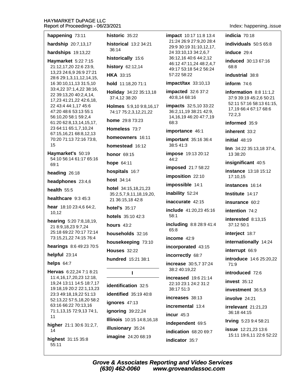| happening 73:11                                     | historic 35:22                                   | impact 10:17 11:8 13:4                                 | indicia 70:18                                       |
|-----------------------------------------------------|--------------------------------------------------|--------------------------------------------------------|-----------------------------------------------------|
|                                                     |                                                  | 21:24 26:9 27:9,20 28:4                                |                                                     |
| hardship 20:7,13,17                                 | historical 13:2 34:21<br>36:14                   | 29:9 30:19 31:10,12,17,                                | individuals 50:5 65:8                               |
| hardships 19:13,22                                  |                                                  | 24 33:10,13 34:2,6,7                                   | induce 29:4                                         |
| Haymarket 5:22 7:15                                 | historically 15:6                                | 36:12,16 40:6 44:2,12<br>46:12 47:11,24 48:2,4,7       | induced 30:13 67:16                                 |
| 21:12,17,20 22:6 23:9,                              | history 62:12,14                                 | 49:17 53:18 54:2 56:24                                 | 68:8                                                |
| 13,23 24:6,9 26:9 27:21<br>28:6 29:1,3,11,12,14,15, | <b>HKA 33:15</b>                                 | 57:22 58:22                                            | industrial 38:8                                     |
| 16 30:10,11,13 31:5,10                              | hold 11:18,20 71:1                               | impact/tax 33:10,13                                    | inform $74:6$                                       |
| 33:4,22 37:1,4,22 38:16,<br>22 39:13,20 40:2,4,14,  | Holiday 34:22 35:13,18<br>37:4,12 38:20          | impacted 32:6 37:2<br>40:8,14 68:16                    | information $8:8$ 11:1,2                            |
| 17,23 41:21,22 42:6,18,                             |                                                  |                                                        | 37:9 39:19 45:2,6 50:21<br>52:11 57:16 58:13 61:15, |
| 22 43:4 44:1,17 45:6<br>47:20 48:6 53:13 55:1       | Holmes 5:9,10 9:8,16,17<br>74:17 75:2,3,12,21,22 | <b>impacts</b> 32:5,10 33:22<br>36:2,11,19 38:21 42:9, | 17,19 66:4 67:17 68:6                               |
| 56:10,20 58:1 59:2,4                                |                                                  | 14, 16, 19 46: 20 47: 7, 19                            | 72:2,3                                              |
| 61:20 62:8,13,14,15,17,                             | <b>home</b> 29:8 73:23                           | 68:3                                                   | informed 35:9                                       |
| 23 64:11 65:1,7,10,24<br>67:15,16,21 68:8,12,13     | Homeless 73:7                                    | importance 46:1                                        | inherent 33:2                                       |
| 70:20 71:13 72:16 73:8,                             | homeowners 16:11                                 | important 35:16 36:4                                   | initial 48:19                                       |
| 15                                                  | homestead 16:12                                  | 38:5 41:3                                              | Inn 34:22 35:13,18 37:4,                            |
| Haymarket's 50:19                                   | <b>honor</b> 69:15                               | impose 19:13 20:12                                     | 13 38:20                                            |
| 54:10 56:14 61:17 65:16                             | hope 64:11                                       | 44:2                                                   | insignificant 40:5                                  |
| 69:1                                                | hospitals 16:7                                   | imposed 21:7 58:22                                     | <b>instance</b> 13:18 15:12                         |
| heading 26:18                                       |                                                  | imposition 22:10                                       | 17:10,15                                            |
| headphones 23:4,6                                   | host $34:14$                                     | impossible 14:1                                        | instances 16:14                                     |
| health $55:5$                                       | hotel 34:15,18,21,23<br>35:2,5,7,9,11,18,19,20,  | inability 52:24                                        | Institute 14:17                                     |
| healthcare $9:345:3$                                | 21 36:15,18 42:8                                 | inaccurate 42:15                                       | insurance 60:2                                      |
| hear 18:10 23:4,6 64:2,                             | hotel's 35:17                                    |                                                        |                                                     |
| 10,12                                               | hotels 35:10 42:3                                | include 41:20,23 45:16<br>58:1                         | intention 74:2                                      |
| hearing 5:20 7:8,18,19,                             |                                                  |                                                        | interested 8:13,15                                  |
| 21 8:9,18,23 9:7,24                                 | hours $43:2$                                     | including 8:8 28:9 41:4<br>65:8                        | 37:12 50:1                                          |
| 25:18 69:22 70:17 72:14<br>73:15,21,22 74:15 76:4   | households 32:16                                 | income $42:9$                                          | interject 18:7                                      |
| hearings 8:6 49:23 70:5                             | housekeeping 73:10                               |                                                        | internationally 14:24                               |
|                                                     | <b>Houses</b> 32:22                              | incorporated 43:15                                     | interrupt 66:9                                      |
| helpful 23:14                                       | hundred 15:21 38:1                               | incorrectly 68:7                                       | introduce 14:6 25:20,22                             |
| helps $64:7$                                        |                                                  | <b>increase</b> 30:5,7 37:24                           | 71:9                                                |
| Hervas 6:22,24 7:1 8:21                             | L                                                | 38:2 40:19,22                                          | introduced 72:6                                     |
| 11:4,16,17,20,23 12:18,<br>19,24 13:11 14:5 18:7,17 |                                                  | <b>increased</b> 19:6 21:14<br>22:10 23:1 24:2 31:2    | invest 35:12                                        |
| 19:18,19 20:2 22:1,13,23                            | identification 32:5                              | 38:17 51:3                                             | investment 36:5,9                                   |
| 23:3 49:18,19,22 51:13<br>52:13,22 57:5,18,20 58:2  | identified 35:19 40:8                            | increases 38:13                                        | involve 24:21                                       |
| 63:16 66:22 70:13,16                                | ignores 47:13                                    | incremental 13:4                                       | $irrelevant$ 21:21,23                               |
| 71:1,13,15 72:9,13 74:1,                            | ignoring 39:22,24                                | incur $45:3$                                           | 36:18 44:15                                         |
| 11                                                  | Illinois 10:15 14:8,16,18                        |                                                        | <b>Irving 5:23 9:4 58:21</b>                        |
| higher 21:1 30:6 31:2,7,                            | illusionary 35:24                                | independent 69:5                                       | <b>issue</b> 12:21,23 13:6                          |
| 14                                                  | imagine 24:20 68:19                              | indication 68:20 69:7                                  | 15:11 19:6,11 22:6 52:22                            |
| highest 31:15 35:8<br>55:11                         |                                                  | indicator 35:7                                         |                                                     |
|                                                     |                                                  |                                                        |                                                     |

Index: happening..issue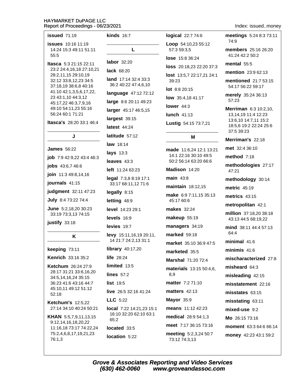| issued 71:19                                                | <b>kinds</b> 16:7                                        | logical 22:7 74:6                      | meetings 5:24 8:3 73:11                               |
|-------------------------------------------------------------|----------------------------------------------------------|----------------------------------------|-------------------------------------------------------|
| <b>issues</b> 10:16 11:19<br>14:24 15:3 49:11 51:11         | L                                                        | Loop 54:10,23 55:12<br>57:3 59:3,5     | 74:9<br><b>members</b> 25:16 26:20<br>41:24 42:2 50:2 |
| 55:5<br><b>Itasca</b> 5:3 21:15 22:11                       | <b>labor</b> 32:20<br>lack 68:20<br>land 17:14 32:4 33:3 | <b>lose</b> 15:8 36:24                 | mental $55:5$                                         |
| 23:2 24:4,16,18 27:10,21                                    |                                                          | loss 20:18,23 22:20 37:3               | mention 23:9 62:13                                    |
| 28:2,11,15 29:10,19<br>32:12 33:8,12,23 34:5                |                                                          | lost 13:5,7 22:17,21 24:1<br>39:23     | mentioned 21:7 53:15                                  |
| 37:18,19 38:6,8 40:16                                       | 36:2 40:22 47:4,6,10                                     | lot 8:8 20:15                          | 54:17 56:22 59:17                                     |
| 41:10 42:1,3,5,6,17,22,<br>23 43:1,10 44:3,12               | language 47:12 72:12                                     | low 35:4,18 41:17                      | merely 35:24 36:13                                    |
| 45:17,22 46:3,7,9,16                                        | large 8:6 20:11 49:23                                    | lower $44:3$                           | 57:23                                                 |
| 49:10 54:11,23 55:16<br>56:24 60:1 71:21                    | larger 45:17 46:5,15                                     | lunch 41:13                            | Merriman 6:3 10:2,10,<br>13, 14, 19 11: 4 12: 23      |
| Itasca's 28:20 33:1 46:4                                    | largest 39:15                                            | Lustig 54:15 73:7,21                   | 13:6,10 14:7,11 15:2                                  |
|                                                             | latest 44:24                                             |                                        | 18:5,6 19:2 22:24 25:6<br>37:5 39:23                  |
| J                                                           | latitude 57:12                                           | М                                      | Merriman's 22:18                                      |
| <b>James</b> 56:22                                          | law 18:14                                                | made 11:6,24 12:1 13:21                | met 32:4 36:10                                        |
| job 7:9 42:9,22 43:4 46:3                                   | <b>lays</b> 13:3                                         | 14:1 22:16 30:10 49:5                  | method $7:18$                                         |
| jobs 43:6,7 46:6                                            | leaves $43:3$                                            | 50:2 56:14 63:20 66:6                  | methodologies 27:17                                   |
| join 11:3 49:8,14,16                                        | left 11:24 63:23                                         | Madison 14:20                          | 47:21                                                 |
| journals 41:15                                              | legal 7:3,8 8:19 17:1<br>33:17 68:11,12 71:6             | $main$ 43:8<br>maintain 18:12,15       | methodology 30:14                                     |
| judgment 32:11 47:23                                        | legally 8:15                                             | make 6:9 7:11,15 35:13                 | <b>metric</b> 45:19                                   |
| July 8:4 73:22 74:4                                         | letting 48:9                                             | 45:17 60:6                             | metrics $43:15$                                       |
| June 5:2,18,20 30:23                                        | level 14:23 29:1                                         | <b>makes</b> 32:24                     | metropolitan 42:1                                     |
| 33:19 73:3,13 74:15                                         | levels 16:9                                              | makeup 55:19                           | million 37:18,20 38:18<br>43:13 44:5 68:19,22         |
| justify 33:18                                               | levies 19:7                                              | managers 34:19                         | mind 38:11 44:4 57:13                                 |
| K                                                           | levy 15:11,16,19 20:11,                                  | marked 59:18                           | 64:4                                                  |
|                                                             | 14 21:7 24:2,13 31:1                                     | market 35:10 36:9 47:5                 | minimal 41:6                                          |
| keeping 73:11                                               | <b>library</b> 40:17,20                                  | marketed 35:5                          | minimis $41:6$                                        |
| <b>Kenrich 33:16 35:2</b>                                   | life $28:24$<br>limited 13:5                             | Marshal 71:20 72:4                     | mischaracterized 27:8                                 |
| <b>Ketchum</b> 26:24 27:9<br>28:17 31:21 33:6,16,20         | lines $57:2$                                             | materials 13:15 50:4,6,<br>8,9         | misheard 64:3                                         |
| 34:5,14,16,24 35:15                                         | <b>list 19:5</b>                                         | matter 7:2 71:10                       | misleading 42:15                                      |
| 36:23 41:6 43:16 44:7<br>45:10,11 49:12 51:12               | live $26:532:1641:24$                                    | matters $42:13$                        | misstatement 22:16                                    |
| 52:18                                                       | $LLC$ 5:22                                               | Mayor 35:9                             | misstates 63:15                                       |
| <b>Ketchum's 12:5,22</b><br>27:14 34:10 40:24 50:21         | <b>local</b> $7:22$ 14:21,23 15:1                        | means 11:12 42:23                      | misstating 63:11<br>mixed-use 9:2                     |
| <b>KHAN</b> 5:5,7,9,11,13,15                                | 16:10 32:20 62:10 63:1                                   | medical 28:9 54:1,3                    | Mo 26:15 73:16                                        |
| 9:12,14,16,18,20,22                                         | 65:2                                                     | meet 7:17 36:15 73:16                  | <b>moment</b> 63:3 64:6 66:14                         |
| 11:16,18 73:17 74:22,24<br>75:2,4,6,8,17,19,21,23<br>76:1,3 | located 33:5<br>location 5:22                            | meeting 5:2,3,24 50:7<br>73:12 74:3,13 | money 42:23 43:1 59:2                                 |

Index: issued..money

Grove & Associates Reporting and Video Services<br>(630) 462-0060 www.groveandassoc.com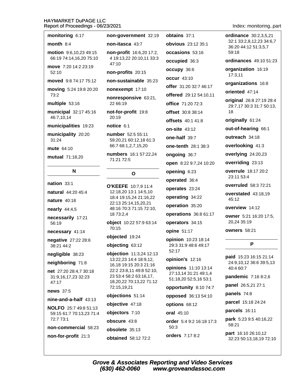| monitoring 6:17                                                            | non-government 32:19                                                                                                                             |  |  |
|----------------------------------------------------------------------------|--------------------------------------------------------------------------------------------------------------------------------------------------|--|--|
| month $8:4$                                                                | non-itasca 43:7                                                                                                                                  |  |  |
| motion 9:6,10,23 49:15<br>66:19 74:14,16,20 75:10                          | non-profit 16:6,20 17:2,<br>4 19:13,22 20:10,11 33:3<br>47:10                                                                                    |  |  |
| move 7:20 14:2 23:19<br>52:10                                              | non-profits 20:15                                                                                                                                |  |  |
| moved 9:8 74:17 75:12                                                      | non-sustainable 35:23                                                                                                                            |  |  |
| moving 5:24 19:8 20:20<br>73:2                                             | nonexempt 17:10<br>nonresponsive 63:21,                                                                                                          |  |  |
| multiple 53:16                                                             | 22 66:19                                                                                                                                         |  |  |
| municipal 32:17 45:16<br>46:7,10,14                                        | not-for-profit 19:8<br>20:19                                                                                                                     |  |  |
| municipalities 19:23                                                       | notice 6:1                                                                                                                                       |  |  |
| municipality 20:20<br>31:24                                                | number 52:5 55:11<br>59:20,21 60:12,18 61:3<br>66:7 68:1,2,7,15,20                                                                               |  |  |
| <b>mute</b> 64:10                                                          | numbers 16:1 57:22,24                                                                                                                            |  |  |
| mutual 71:18,20                                                            | 71:21 72:5                                                                                                                                       |  |  |
|                                                                            |                                                                                                                                                  |  |  |
| N                                                                          | Ο                                                                                                                                                |  |  |
| nation 33:1<br>natural 44:20 45:4<br><b>nature</b> 40:18<br>nearly 44:4,5  | O'KEEFE 10:7,9 11:4<br>12:18,20 13:1 14:5,10<br>18:4 19:15,24 21:16,22<br>22:13 25:14,15,20,21<br>48:16 70:3 71:15 72:10,                        |  |  |
| necessarily 17:21<br>56:19                                                 | 18 73:2,4<br>object 10:22 57:9 63:14                                                                                                             |  |  |
| necessary 41:14                                                            | 70:15                                                                                                                                            |  |  |
| negative 27:22 28:6<br>38:21 44:2                                          | objected 19:24<br>objecting 63:12                                                                                                                |  |  |
| negligible 38:23                                                           | objection 11:3,24 12:13                                                                                                                          |  |  |
| neighboring 71:8<br>net 27:20 28:4,7 30:18<br>31:9,16,17,23 32:23<br>47:17 | 13:22,23 14:4 18:9,12,<br>16,18 19:15 20:3 21:16<br>22:2 23:8,11 49:8 52:10,<br>23 53:4 58:2 63:16,17,<br>18,20,22 70:13,22 71:12<br>72:15,19,21 |  |  |
| news 37:5<br>$nine-and-a-half 43:13$                                       | objections 51:14                                                                                                                                 |  |  |

59:15 61:7 70:13,23 71:4 72:7 73:1 non-commercial 58:23 non-for-profit 21:3

### $\mathbf{o}$

- EEFE 10:7.9 11:4 :18,20 13:1 14:5,10 :4 19:15,24 21:16,22 :13 25:14,15,20,21 :16 70:3 71:15 72:10, 73:2,4
- ect 10:22 57:9 63:14  $:15$

#### ections 51:14

ective 47:18 objectors 7:10 obscure 43:8

obsolete 35:13 **obtained** 58:12 72:2 obtains 37:1 obvious 23:12 35:1 occasions 53:16 occupied 36:3 occupy 36:6 occur 43:10 offer 31:20 32:7 46:17 offered 29:12 54:10,11 office 71:20 72:3 offset 30:8 38:14 offsets 40:1 41:8 on-site 43:12 one-half 39:7 one-tenth 28:1 38:3 ongoing 36:7 open 8:22 9:7,24 10:20 opening 6:23 operated 36:4 operates 23:24 operating 34:22 operation 35:20 operations 36:8 61:17 operators 34:15 opine 51:17 opinion 10:23 18:14 29:3 31:9 48:6 49:17  $52:17$ opinion's 12:16 opinions 11:10 13:14 27:13,14 31:21 49:1,4 51:18,20 52:5,16 53:1 opportunity 8:10 74:7 opposed 36:13 54:10 options 68:12

oral 45:10

order 5:4 9:2 16:18 17:3  $50:3$ orders 7:17 8:2

Index: monitoring..part

ordinance 30:2.3.5.21 32:1 33:2.8.12.23 34:6.7 36:20 44:12 51:3,5,7 59:18

**ordinances** 49:10 51:23

organization 16:19 17:3,11

organizations 16:8

oriented 47:14

original 26:8 27:19 28:4 29:7,17 30:3 31:7 50:13, 18

originally 61:24

out-of-hearing 66:1

outreach 34:18

overlooking 41:3

overlying 24:20,23

overriding 23:13

overrule 18:17 20:2 23:11 53:4

overruled 58:3 72:21

overstated 43:18,19 45:12

overview 14:12

owner 5:21 16:20 17:5. 20,24 35:19

owners 58:21

#### P

paid 15:23 16:15 21:14 24:9,10,12 36:6 39:5,13 40:4 60:7

pandemic 7:16 8:2,6

panel 26:5,21 27:1

panels 74:8

parcel 15:18 24:24

parcels 16:11

park 5:23 9:5 40:16,22 58:21

part 16:10 26:10.12 32:23 50:13,18,19 72:10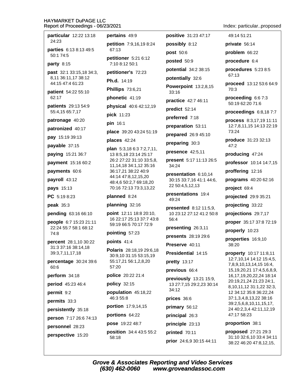particular 12:22 13:18 24:23 parties 6:13 8:13 49:5 50:1 74:5 party 8:15 past 32:1 33:15,18 34:3, 8,11 36:11,17 38:12 44:15 47:4 61:23 patient 54:22 55:10 62:17 **patients** 29:13 54:9 55:4,15 65:7,17 patronage 40:20 pin 16:1 patronized 40:17 pay 15:19 39:13 payable 37:15 paying 15:21 36:7 payment 15:16 60:2 payments 60:6 payroll 43:12 pays 15:13 **PC** 5:19 8:23 peak 35:3 pending 63:16 66:10 people 6:7 15:23 21:11 22:24 55:7 58:1 68:12 74:8 percent 28:1,10 30:22 31:3 37:16 38:14,18 39:3,7,11,17,18 percentage 30:24 39:6 60:6 perform 34:18 period 45:23 46:4 permit 9:2  $permits 33:3$ persistently 35:18 person 7:17 26:6 74:13 personnel 28:23 perspective 15:20

pertains 49:9 petition 7:9,16,19 8:24 67:13 petitioner 5:21 6:12 7:10 8:12 50:1 petitioner's 72:23 Ph.d. 14:19

**Phillips** 73:6,21

phonetic 41:19

physical 40:6 42:12,19

pick 11:23

place 39:20 43:24 51:19

places 42:24

**plan**  $5:3,186:37:2,7,11$ , 13 8:5.18 23:14 25:17 26:2 27:22 31:10 33:5,8, 11, 14, 18 34: 1, 12 35: 16 36:17,21 38:22 40:9 44:14 47:8,12,15,20 48:4,6 50:2,7 69:18,20 70:16 72:13 73:3,13,22

#### planned 8:24

#### planning 32:16

point 12:11 18:8 20:10. 16 22:17 25:13 37:7 43:8 59:19 66:5 70:17 72:9

#### pointing 57:23

points 41:4

Polaris 28:18,19 29:6,18 30:9,10 31:15 53:15,19 55:17.21 56:1.2.8.20  $57.20$ 

police 20:22 21:4

policy 32:15

population 45:18,22 46:3 55:8

portion 17:9,14,15

portions 64:22

pose 19:22 48:7

position 34:4 43:5 55:2 58:18

post 50:6 posted 50:9 potential 34:2 38:15 potentially 32:6 Powerpoint 13:2.8.15 33:16 practice 42:7 46:11 predict 52:14 preferred 7:18 preparation 53:11

positive 31:23 47:17

possibly 8:12

prepared 26:9 45:10

preparing 30:3

presence 42:5,11

present 5:17 11:13 26:5 34:24

presentation 6:10,14 30:15 33:7,16 41:1 44:6, 22 50:4,5,12,13

presentations 19:4 49:24

presented 8:12 11:5,9, 10 23:12 27:12 41:2 50:8  $56.4$ 

presenting 26:3,11

presents 28:19 29:6

Preserve 40:11

Presidential 14:15

pretty 13:17

previous 66:4

previously 13:21 15:9, 13 27:7,15 29:2,23 30:14 34:12

prices 36:6

primary 56:12

principal 26:3

principle 23:13 printed 70:11

prior 24:6,9 30:15 44:11

Index: particular..proposed 49:14 51:21 private 56:14 problem 66:22 procedure 6:4 procedures 5:23 8:5 67:13 proceed 13:12 53:6 64:9 70:3 proceeding  $6:67:3$ 50:19 62:20 71:6 proceedings 6:8,187:7 process 8:3,17,19 11:11 12:7,8,11,15 14:13 22:19 73:24 produce 31:23 32:13  $47:2$ producing 47:24 professor 10:14 14:7,15 proffering 12:16 programs 40:20 62:16 project 69:4 projected 29:9 35:21 projecting 33:22 projections 29:7,17 proper 35:17 37:8 72:19 properly 10:23 properties 16:9,10 38:20 property 10:17 11:8,11 12:7,10,14 14:12 15:4,5, 7,8,9,10,13,14,15 16:4, 15, 19, 20, 21 17: 4, 5, 6, 8, 9, 16,17,19,20,22,24 18:14 20:19,21,24 21:23 24:1, 8,10,11,12 31:1,22 32:3, 12 34:12 35:8 36:22,24 37:1,3,4,8,13,22 38:16 39:2,5,6,8,10,11,15,17, 24 40:2,3,4 42:11,12,19 47:17 58:23 proportion 38:1 proposed 27:21 29:3 31:10 32:6,10 33:4 34:11

38:22 46:20 47:8,12,15,

**Grove & Associates Reporting and Video Services** (630) 462-0060 www.groveandassoc.com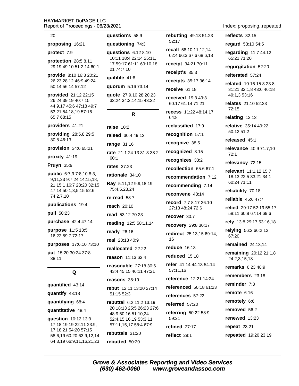#### HAYMARKET DUPAGE I I C  $R$ 021

| .v<br>ır<br>,,,,,<br>- 1<br>שר ומש<br>ᄂᄂ<br>eport of Proceedings - 06/23/20                                                    |                           |
|--------------------------------------------------------------------------------------------------------------------------------|---------------------------|
| 20                                                                                                                             | que                       |
| proposing 16:21                                                                                                                | que                       |
| protect 7:9                                                                                                                    | que                       |
| protection 28:5,8,11<br>29:19 49:10 51:2,14 60:1                                                                               | 10<br>17<br>21            |
| provide 8:10 16:3 20:21<br>26:23 28:12 46:9 49:24<br>50:14 56:14 57:12                                                         | qui<br>quo                |
| provided 21:12 22:15<br>26:24 39:19 40:7,15<br>44:9,17 45:6 47:18 49:7<br>53:21 54:18,19 57:16<br>65:7 68:15                   | quo<br>33                 |
| providers 41:21                                                                                                                | rais                      |
| providing 28:5,8 29:5<br>30:8 46:13                                                                                            | rais<br>ran               |
| provision 34:6 65:21                                                                                                           | rato                      |
| proxity 41:19                                                                                                                  | 60                        |
| Pruyn 35:9                                                                                                                     | rato                      |
| <b>public</b> 6:7,9 7:8,10 8:3,<br>9,11,23 9:7,24 14:15,18,<br>21 15:1 16:7 28:20 32:15<br>47:14 50:1,3,5,15 52:6<br>74:2,7,10 | rati<br>Ray<br>75<br>re-i |
| publications 19:4                                                                                                              | rea                       |
| pull 50:23                                                                                                                     | rea                       |
| purchase 42:4 47:14                                                                                                            | rea                       |
| purpose 11:5 13:5<br>16:22 59:7 72:17                                                                                          | rea                       |
| purposes 17:6,10 73:10                                                                                                         | rea                       |
| put 15:20 30:24 37:8                                                                                                           | rea                       |
| 38:11                                                                                                                          | rea<br>rea                |
| Q                                                                                                                              | 43                        |
| quantified 43:14                                                                                                               | rea<br>reb                |
| quantify 43:18                                                                                                                 |                           |
| quantifying 68:4                                                                                                               | reb                       |
| quantitative 48:4                                                                                                              | 20<br>48                  |
| <b>question</b> 10:12 13:9<br>17:18 19:19 22:11 23:9,                                                                          | 52<br>57                  |

17, 18, 21 54: 20 57: 15 58:6,19 60:20 63:9,12,14 64:3,19 66:9,11,16,21,23

### estion's 58:9

estioning 74:3

**estions** 6:12 8:10 0:11 18:4 22:14 25:11, 59:17 61:11 69:10,18, 74:7,10

#### **bble**  $41:8$

orum 5:16 73:14

**ote** 27:9.10 28:20.23 3:24 34:3,14,15 43:22

#### R.

se 10:2

sed 30:4 49:12

ge 31:16

e 21:1 24:13 31:3 38:2  $2:1$ 

es 37:23

**onale** 34:10

 $y$  5:11,12 9:9,18,19 5:4,5,23,24

read  $58:7$ 

ch 20:10

d 53:12 70:23

ding 12:5 58:11,14

dy 26:16

l 23:13 40:9

**illocated** 22:22

**son** 11:13 63:4

sonable 27:18 30:6 3:4 45:15 46:11 47:21

**sons** 35:19

- ut 12:11 13:20 27:14 :15 52:3
- uttal 6:2 11:2 13:19, 0 18:13 25:5 26:23 27:6 3:9 50:16 51:10,24 2:4,15,16,19 53:3,11 11, 15, 17 58: 4 67: 9

rebuttals 31:20

rebutted 50:20

rebutting 49:13 51:23 52:17

recall 58:10,11,12,14 62:4 66:3 67:6 68:6,18

receipt 34:21 70:11

receipt's 35:3

receipts 35:17 36:14

receive 61:18

**received** 19:3 49:3 60:17 61:14 71:21

recess 11:22 48:14,17 64:8

reclassified 17:9 recognition 57:1

recognize 38:5

recognized 8:15

recognizes 33:2

recollection 65:6 67:1

recommendation 7:12

recommending 7:14

reconvene 48:14

record 7:7 8:17 26:10 27:13 48:24 72:6

recover 30:7

recovery 29:8 30:17

redirect 25:13,15 69:14, 16

reduce 16:13

reduced 15:18

refer 41:14 44:13 54:14 57:11.16

reference 12:21 14:24 referenced 50:18 61:23

references 57:22

referred 57:20

referring 50:22 58:9 59:21 refined 27:17

reflect 29:1

#### Index: proposing..repeated

reflects 32:15

regard 53:10 54:5

regarding  $11:744:12$ 65:21 71:20

#### regurgitation 52:20

reiterated 57:24

related 10:16 15:3 23:8 31:21 32:1.8 43:6 46:18 49:1,3 53:16

relates  $21:10.52:23$ 72:15

relating 13:13

relative 35:14 49:22 50:12 51:2

released 45:1

relevance 40:9 71:7,10  $72:1$ 

relevancy 72:15

relevant 11:1,12 15:7 18:13 22:5 33:21 34:1 60:24 71:11

reliability 70:18

reliable 45:6 47:7

relied 29:17 52:19 55:17 58:11 60:8 67:14 69:6

rely 13:8 29:17 53:16,18

relying 56:2 66:2,12 67:20

remained 24:13,14

**remaining** 20:12 21:1,8 24:2.3.15.18

**remarks** 6:23 48:9

remembers 23:18

reminder 7:3

remote 6:16

remotely 6:6

removed 56:2

renewed 13:23

repeat 23:21

repeated 19:20 23:19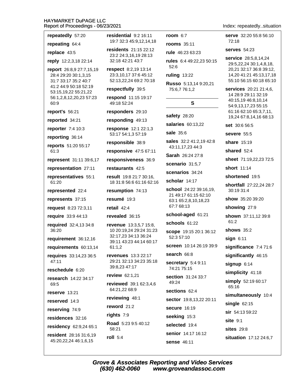| repeatedly 57:20                                                         | residential (                              |  |
|--------------------------------------------------------------------------|--------------------------------------------|--|
| repeating 64:4                                                           | 19:7 32:3 45                               |  |
| replace 43:5                                                             | residents 21<br>23:2 24:3,16               |  |
| reply 12:2,3,18 22:14                                                    | 32:18 42:21                                |  |
| report 26:8,9 27:7,15,19<br>28:4 29:20 30:1,3,15<br>31:7 33:17 35:2 40:7 | respect 8:2,<br>23:3,10,173<br>52:13,22,24 |  |
| 41:2 44:9 50:18 52:19<br>53:15,19,22 55:21,22                            | respectfully                               |  |
| 56:1,2,8,12,20,23 57:23<br>60:9                                          | respond 11:<br>49:18 52:24                 |  |
| report's 56:21                                                           | responders                                 |  |
| reported 34:21                                                           | responding                                 |  |
| reporter 7:4 10:3                                                        | response 12                                |  |
| reporting 36:14                                                          | 53:17 54:1,3                               |  |
| reports 51:20 55:17                                                      | responsible                                |  |
| 61:3                                                                     | responsive                                 |  |
| represent 31:11 39:6,17                                                  | responsiven                                |  |
| representation 27:11                                                     | restaurants                                |  |
| representatives 55:1<br>61:20                                            | <b>result</b> 19:82<br>18 31:8 56:6        |  |
|                                                                          |                                            |  |
| represented 22:4                                                         | resumption                                 |  |
| represents 37:15                                                         | resumé 19:3                                |  |
| request 8:23 72:3,11                                                     | retail $42:4$                              |  |
| require 33:9 44:13                                                       | revealed 36:                               |  |
| required 32:4,13 34:8<br>36:20                                           | revenue 13:<br>10 20:19,24                 |  |
| requirement 36:12,16                                                     | 32:17,23 34:                               |  |
| requirements 60:13,14                                                    | 39:11 43:23<br>61:1,2                      |  |
| requires 33:14,23 36:5<br>47:11                                          | revenues 13<br>29:21 32:13                 |  |
| reschedule 6:20                                                          | 39:8,23 47:1                               |  |
| <b>research</b> 14:22 34:17<br>69:5                                      | review 62:1,<br>reviewed 39                |  |
| reserve $13:21$                                                          | 64:21,22 68:                               |  |
| reserved 14:3                                                            | reviewing 4                                |  |
| reserving 74:9                                                           | reword 21:2                                |  |
| residences 32:16                                                         | rights 7:9                                 |  |
| residency 62:9,24 65:1                                                   | <b>Road</b> 5:23 9:<br>58:21               |  |

al 9:2 16:11 45:9.12.14.18 21:15 22:12 16,19 28:13 21 43:7 52:6 3:2,19 13:14 7 37:6 45:12 24 69:2 70:18  $I$ ly 39:5 11:15 19:17 rs 29:10 ng 49:13 12:1 22:1,3 sale 35:6  $:1,357:19$ ble 38:9 ve 47:5 67:11  $v$ eness  $36:9$ **its** 42:5 8 21:7 30:16, 6:6 61:16 62:16 on 74:13  $9:3$ 36:15 13:3,5,7 15:8, 24 29:24 31:23 34:13 36:24 23 44:14 60:17 13:3 22:17 :13 34:23 35:18  $7:17$  $2:1,21$ 49:24 39:1 62:3,4,6 68:9  $348:1$ 3 9:5 40:12

room  $6:7$ rooms 35:11 rule 46:23 63:23 rules 6:4 49:22,23 50:15 ruling 13:22 Russo 5:13,14 9:20,21 75:6,7 76:1,2 S

safety 28:20

salaries 60:13,22

sales 32:2 41:2,19 42:8 43:11,17,23 44:3

Sarah 26:24 27:8

scenario 31:5,7

scenarios 34:24

scholar 14:17

school 24:22 39:16,19, 21 49:17 61:15 62:10 63:1 65:2,8,10,18,23 67:7 68:13

#### school-aged 61:21

schools 61:22

scope 19:15 20:1 36:12 52:3 57:10

screen 10:14 26:19 39:9

search 66:8

secretary 5:4 9:11 74:21 75:15

section 31:24 33:7

- sections 62:4 sector 19:8,13,22 20:11
- secure 16:19
- seeking 15:3

selected 19:4 senior 14:17 16:12 sense 46:11

Index: repeatedly..situation

serve 32:20 55:8 56:10 72:18

**serves** 54:23

service 28:5,8,14,24 29:5,22,24 30:1,4,8,18, 20,21 32:17 36:8 39:12, 14,20 41:21 45:13,17,18 55:10 56:15 60:18 65:10

services 20:21 21:4,6, 14 28:9 29:11 32:19 40:15,19 46:8,10,14 54:9,13,17,23 55:15 61:16 62:10 65:3,7,11, 19,24 67:8,14,16 68:13

set 30:6 56:5

severe 55:5

share 15:19

shared 52:4

sheet 71:19,22,23 72:5

short 11:14

shortened 19:5

shortfall 27:22,24 28:7 30:19 31:4

show 35:20 39:20

showing 27:9

shown 37:11,12 39:8  $61:2$ 

shows 35:2

 $sign 6:11$ 

significance 7:4 71:6

significantly 46:15

 $signup 6:14$ 

simplicity 41:18

simply 52:19 60:17 65:16

simultaneously 10:4

single  $62:15$ 

 $sir$  54:13 59:22

 $site$  9:1

sites  $29:8$ 

situation 17:12 24:6,7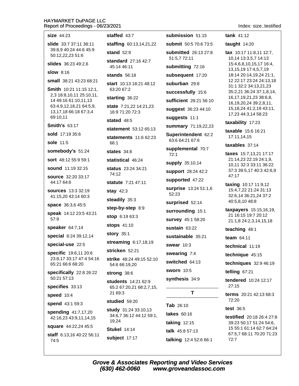| size 44:23                                      | staffed 43:7                                     | submission 51:15                       | tank $41:12$                                             |
|-------------------------------------------------|--------------------------------------------------|----------------------------------------|----------------------------------------------------------|
| slide 33:7 37:11 38:11                          | <b>staffing</b> 60:13,14,21,22                   | submit 50:5 70:6 73:5                  | taught $14:20$                                           |
| 39:8,9 40:24 44:6 45:9<br>50:12,22,23 51:6      | <b>stand</b> 52:9                                | <b>submitted</b> 26:13 27:8            | <b>tax</b> $10:17$ 11:8,11 12:7,                         |
| <b>slides</b> 36:23 49:2,6                      | standard 27:16 42:7                              | 51:5,7 72:11                           | 10,14 13:3,5,7 14:13<br>15:4,6,8,10,15,17 16:4,          |
| <b>slow</b> 8:16                                | 45:14 46:11                                      | submitting 72:16                       | 13, 15, 19 17: 4, 5, 7, 19                               |
| <b>small</b> 38:21 43:23 68:21                  | stands $56:18$                                   | subsequent 17:20                       | 18:14 20:14,19,24 21:1,<br>12 22:17 23:24 24:13,18       |
| Smith 10:21 11:15 12:1,                         | start 10:13 18:21 48:12<br>63:20 67:2            | suburban 29:8                          | 31:1 32:2 34:13,21,23                                    |
| 2,3 18:8,10,11 25:10,11,                        | starting 36:22                                   | successfully 15:6                      | 35:2,21 36:24 37:1,8,14,<br>16, 17, 19, 21, 23 38: 6, 8, |
| 14 49:16 61:10,11,13<br>63:4,9,12,18,21 64:5,9, | state 7:21,22 14:21,23                           | sufficient 28:21 56:10                 | 16, 19, 20, 24 39: 2, 8, 11,                             |
| 13, 17, 18 66: 18 67: 3, 4                      | 16:9 71:20 72:3                                  | suggest 36:23 44:10                    | 15, 18, 24 41: 2, 19 43: 11,<br>17,23 44:3,14 58:23      |
| 69:10,11                                        | stated $48:5$                                    | suggests 11:1                          | taxability 17:23                                         |
| <b>Smith's 63:17</b>                            | statement 53:12 65:13                            | summary 71:19,22,23                    | taxable 15:6 16:21                                       |
| sold 17:19 35:6                                 | <b>statements</b> 11:6 62:23                     | Superintendent 62:2<br>63:6 64:21 67:6 | 17:11,14,15                                              |
| sole 11:5                                       | 66:1                                             |                                        | taxables 37:14                                           |
| somebody's 51:24                                | states $34:8$                                    | supplemental 70:7<br>72:1              | taxes 15:7,13,21 17:17                                   |
| sort 48:12 55:9 59:1                            | statistical 46:24                                | supply 35:10,14                        | 21:14,23 22:19 24:1,9,<br>10,11 32:3 33:11 36:22         |
| sound 11:19 32:15                               | <b>status</b> 23:24 34:21<br>74:12               | support 28:24 42:2                     | 37:3 39:5,17 40:3 42:6,9                                 |
| <b>source</b> 32:20 33:17<br>44:17 64:6         | <b>statute</b> 7:21 47:11                        | supported 47:22                        | 47:17                                                    |
| <b>sources</b> 13:3 32:19                       |                                                  | surprise 13:24 51:1,6                  | taxing 10:17 11:9,12<br>15:4,7,22 21:24 31:13            |
| 41:15,20 43:14 60:3                             | stay $42:3$                                      | 52:23                                  | 32:6,14 36:21,24 37:2                                    |
| space 36:3,6 45:5                               | steadily 35:3                                    | surprised 52:14                        | 40:5,8,10 48:8                                           |
| <b>speak</b> 14:12 23:5 43:21                   | step-by-step 8:9                                 | surrounding 15:1                       | taxpayers 15:15,16,19,<br>21 16:15 19:7 20:12            |
| 57:9                                            | stop 6:19 63:3                                   | survey 45:1 58:20                      | 21:1,8 24:2,3,14,15,18                                   |
| speaker 64:7,14                                 | stops 41:10                                      | sustain 63:22                          | teaching 48:1                                            |
| special 8:24 39:12,14                           | <b>story</b> 35:1                                | sustainable 35:21                      | team $64:11$                                             |
| special-use 22:5                                | streaming 6:17,18,19                             | swear 10:3                             | technical 11:19                                          |
| specific 19:6,11 20:6                           | stricken 52:21                                   | swearing 7:4                           | technique 45:15                                          |
| 23:8,17 33:17 47:4 54:16<br>65:21 66:6 68:20    | <b>strike</b> 48:24 49:15 52:10<br>54:6 66:19,20 | switched 64:13                         | techniques 32:9 46:19                                    |
| specifically 22:8 26:22                         | strong 38:6                                      | sworn 10:5                             | telling 67:21                                            |
| 50:21 57:13                                     | students 14:21 62:9                              | synthesis 34:9                         | tendered 10:24 12:17                                     |
| specifies 33:13                                 | 65:2 67:20,21 68:2,7,15,                         |                                        | 27:15                                                    |
| speed 10:4                                      | 21 69:3                                          | Т                                      | <b>terms</b> $20:21$ 42:13 68:3<br>72:20                 |
| spend 43:1 59:3                                 | studied 59:20                                    | Tab 26:10                              | <b>test 36:5</b>                                         |
| spending 41:7,17,20                             | study 31:24 33:10,13<br>34:6,7 36:12 44:12 59:1, | takes 60:16                            | testified 20:18 26:4 27:8                                |
| 42:16,23 43:9,11,14,15                          | 19,24                                            | <b>taking 12:15</b>                    | 39:23 50:17 51:24 54:6,                                  |
| <b>square</b> 44:22,24 45:5                     | <b>Stukel 14:14</b>                              | talk 45:8 57:13                        | 15 55:1 61:14 62:7 64:24<br>67:5,7 68:11 70:20 71:23     |
| staff 6:13,16 40:22 56:11<br>74:5               | subject 17:17                                    | talking 12:4 52:6 66:1                 | 72:7                                                     |

Index: size..testified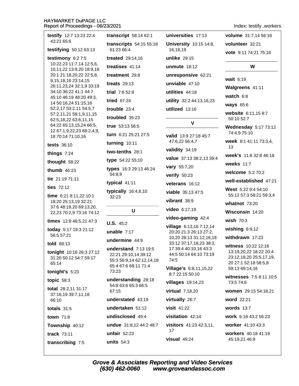| testify 12:7 13:23 22:4                              | transcript 58:14 62:1                            | universities 17:13                                |  |
|------------------------------------------------------|--------------------------------------------------|---------------------------------------------------|--|
| 43:21 65:6<br>testifying 50:12 63:13                 | transcripts 54:15 55:18<br>61:23 66:4            | University 10:15 14:8,<br>16,18,19                |  |
| testimony $6:27:5$                                   | <b>treated</b> 29:14,16                          | unlike 29:15                                      |  |
| 10:22,23 11:7,14 12:5,6,<br>10,11,22 13:9,20 18:9,18 | treatises 41:14                                  | unmute $18:12$                                    |  |
| 20:1 21:18,20,22 22:5,8,                             | treatment 29:8                                   | unresponsive 62:21                                |  |
| 9,15,18,19 23:14,15<br>26:11,23,24 32:1,9 33:19      | treats $29:13$                                   | unviable 47:10                                    |  |
| 34:10 36:22 41:1 44:7                                | trial 7:6 52:8                                   | utilities 44:18                                   |  |
| 45:10 46:19 48:20 49:3,<br>14 50:16,24 51:15,16      | tried 67:24                                      | utility 32:2 44:13,16,23                          |  |
| 52:2,17 53:2,11 54:5,7                               | trouble 23:4                                     | utilized 13:16                                    |  |
| 57:2,11,21 58:1,9,11,15<br>62:5, 18, 22 63:6, 11, 15 | troubled 35:23                                   |                                                   |  |
| 64:22 65:13,15,24 66:5,                              | <b>true</b> $53:1356:5$                          | V                                                 |  |
| 12 67:1,9,22,23 68:2,4,9,<br>18 70:14 71:10,16       | turn 6:21 25:21 27:5                             | valid 13:9 27:18 45:7<br>47:6,22 56:4,7           |  |
| <b>tests</b> 36:10                                   | turning 10:11                                    |                                                   |  |
| things $7:24$                                        | two-tenths 28:1                                  | validity 34:19                                    |  |
| thought 58:22                                        | type 54:22 55:10                                 | value 37:13 38:2,13 39:4                          |  |
| thumb $46:23$                                        | types 16:3 29:13 46:24                           | vary 55:7,20                                      |  |
| tie 21:19 71:11                                      | 54:8,9                                           | verify 50:23                                      |  |
| ties $72:12$                                         | typical 41:11                                    | veterans 16:12                                    |  |
| time 6:21 8:11,22 10:1                               | typically 16:4,8,10<br>32:23                     | viable 35:13 47:5                                 |  |
| 18:20 25:13,19 32:21                                 |                                                  | vibrant 38:9                                      |  |
| 37:6 48:19,20 69:13,20,<br>22,23 70:2,9 73:16 74:12  | U                                                | video 6:17,19                                     |  |
| times 12:8 46:5,21 47:3                              | $U.S. 45:2$                                      | video-gaming 42:4                                 |  |
| today 5:17 19:3 21:12                                | unable $7:17$                                    | village 6:13,16 7:12,14                           |  |
| 56:5 57:21                                           | undermine 44:9                                   | 20:20 21:3 26:13 27:2,<br>10,20 28:13 31:12,16,18 |  |
| told 68:13                                           | understand 7:13 19:5                             | 33:12 37:17,18,23 38:3,<br>17 39:4 40:10,16 43:3  |  |
| tonight 10:16 26:3 27:12                             | 22:21 29:10,14 39:12                             | 44:5 50:14 64:10 73:19                            |  |
| 31:20 50:12 54:7 59:17<br>65:14                      | 55:3 56:9,14 62:12,14,18<br>65:4 67:6 68:11 71:4 | 74:5                                              |  |
| tonight's 5:23                                       | 73:23                                            | <b>Village's 6:8,11,15,22</b><br>8:7 22:15 50:10  |  |
| topic $58:3$                                         | understanding 28:18                              | villages 19:14,23                                 |  |
| total 28:2,11 31:17                                  | 54:8 63:6 65:3 66:5<br>67:15                     | virtual 7:18,20                                   |  |
| 37:16,19 39:7,11,18<br>66:10                         | understated 43:19                                | virtually 26:7                                    |  |
| totals $31:5$                                        | undertaken $51:12$                               | visit 41:22                                       |  |
| <b>town</b> 71:8                                     | undisclosed 49:4                                 | visitation 42:14                                  |  |
| Township 40:12                                       | undue 31:8,12 44:2 48:7                          | <b>visitors</b> $41:23$ $42:3,11$ ,               |  |
| track $73:11$                                        | unfair $52:23$                                   | 17                                                |  |
| transcribing 7:5                                     | units $54:3$                                     | $visual$ 49:24                                    |  |

Index: testify..workers

volume 31:7,14 56:16 volunteer 32:21 vote 9:11 74:21 75:16

#### W

wait 6:19 Walgreens 41:11

watch 6:8

ways 65:6

website 6:11,15 8:7 50:10 52:7

**Wednesday 5:17 73:12** 74:4,9 75:10

week 8:1 41:11 73:3,4, 13

week's 11:6 32:8 46:18

weeks 11:7

welcome 5:2 70:2

well-established 47:21

West 5:22 9:4 54:10 55:12 57:3 58:21 59:3,4

whatnot  $73:20$ 

Wisconsin 14:20

wish 70:3

wishing  $6:9,12$ 

withdrawn 17:23

witness 10:22 12:16 13:19,20,22 18:22 20:4 23:12,18,20 25:5,17,19, 20 27:1 52:18 58:5,8 59:13 69:14,16

witnesses 7:5 8:11 10:5 73:5 74:6

women 29:15 54:18,21

word 22:21

words  $13:7$ 

work 6:18 43:2 56:23

worker 41:10 43:3

workers 40:18 41:19 45:19,21 46:9